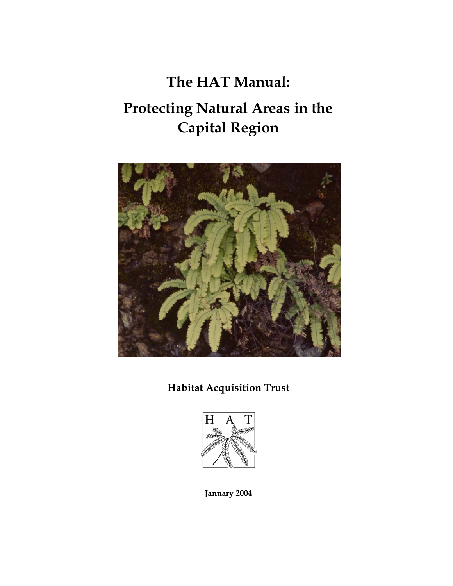# **The HAT Manual: Protecting Natural Areas in the Capital Region**



## **Habitat Acquisition Trust**



**January 2004**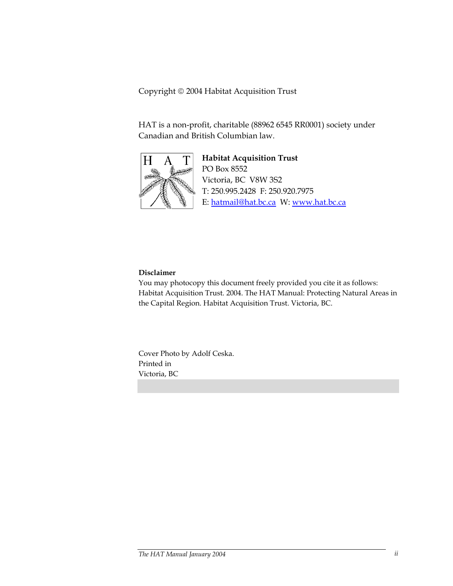Copyright 2004 Habitat Acquisition Trust

HAT is a non-profit, charitable (88962 6545 RR0001) society under Canadian and British Columbian law.



**Habitat Acquisition Trust**  PO Box 8552 Victoria, BC V8W 3S2 T: 250.995.2428 F: 250.920.7975 E: hatmail@hat.bc.ca W: www.hat.bc.ca

#### **Disclaimer**

You may photocopy this document freely provided you cite it as follows: Habitat Acquisition Trust. 2004. The HAT Manual: Protecting Natural Areas in the Capital Region. Habitat Acquisition Trust. Victoria, BC.

Cover Photo by Adolf Ceska. Printed in Victoria, BC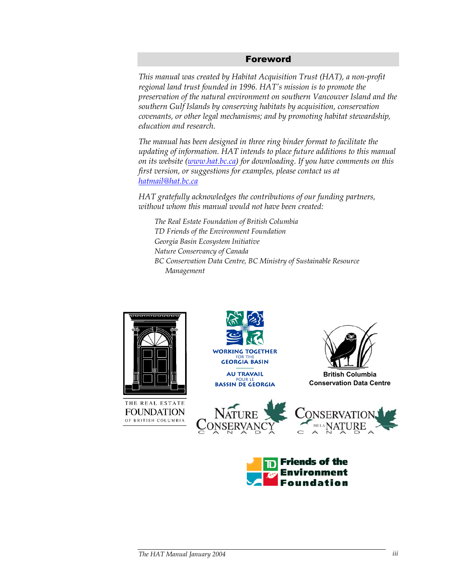#### Foreword

*This manual was created by Habitat Acquisition Trust (HAT), a non-profit regional land trust founded in 1996. HAT's mission is to promote the preservation of the natural environment on southern Vancouver Island and the southern Gulf Islands by conserving habitats by acquisition, conservation covenants, or other legal mechanisms; and by promoting habitat stewardship, education and research.* 

*The manual has been designed in three ring binder format to facilitate the updating of information. HAT intends to place future additions to this manual on its website (www.hat.bc.ca) for downloading. If you have comments on this first version, or suggestions for examples, please contact us at hatmail@hat.bc.ca* 

*HAT gratefully acknowledges the contributions of our funding partners, without whom this manual would not have been created:* 

*The Real Estate Foundation of British Columbia TD Friends of the Environment Foundation Georgia Basin Ecosystem Initiative Nature Conservancy of Canada BC Conservation Data Centre, BC Ministry of Sustainable Resource Management* 



THE REAL ESTATE **FOUNDATION** OF BRITISH COLUMBIA





**British Columbia Conservation Data Centre**





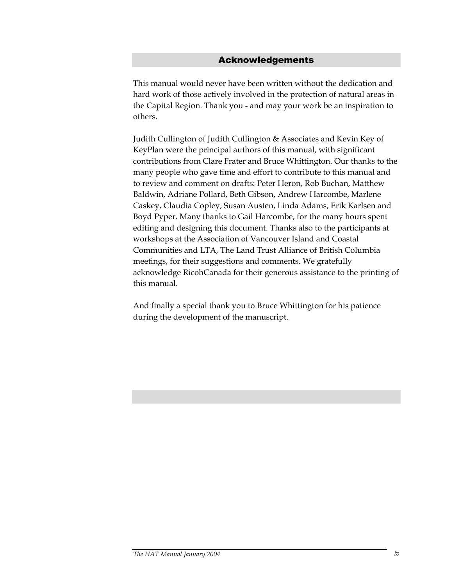#### Acknowledgements

This manual would never have been written without the dedication and hard work of those actively involved in the protection of natural areas in the Capital Region. Thank you - and may your work be an inspiration to others.

Judith Cullington of Judith Cullington & Associates and Kevin Key of KeyPlan were the principal authors of this manual, with significant contributions from Clare Frater and Bruce Whittington. Our thanks to the many people who gave time and effort to contribute to this manual and to review and comment on drafts: Peter Heron, Rob Buchan, Matthew Baldwin, Adriane Pollard, Beth Gibson, Andrew Harcombe, Marlene Caskey, Claudia Copley, Susan Austen, Linda Adams, Erik Karlsen and Boyd Pyper. Many thanks to Gail Harcombe, for the many hours spent editing and designing this document. Thanks also to the participants at workshops at the Association of Vancouver Island and Coastal Communities and LTA, The Land Trust Alliance of British Columbia meetings, for their suggestions and comments. We gratefully acknowledge RicohCanada for their generous assistance to the printing of this manual.

And finally a special thank you to Bruce Whittington for his patience during the development of the manuscript.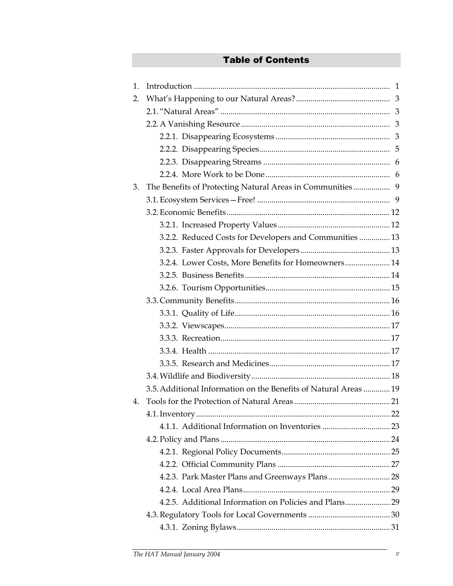## Table of Contents

| 1. |                                                                  |  |  |  |  |  |
|----|------------------------------------------------------------------|--|--|--|--|--|
| 2. |                                                                  |  |  |  |  |  |
|    |                                                                  |  |  |  |  |  |
|    |                                                                  |  |  |  |  |  |
|    |                                                                  |  |  |  |  |  |
|    |                                                                  |  |  |  |  |  |
|    |                                                                  |  |  |  |  |  |
|    |                                                                  |  |  |  |  |  |
| 3. |                                                                  |  |  |  |  |  |
|    |                                                                  |  |  |  |  |  |
|    |                                                                  |  |  |  |  |  |
|    |                                                                  |  |  |  |  |  |
|    | 3.2.2. Reduced Costs for Developers and Communities  13          |  |  |  |  |  |
|    |                                                                  |  |  |  |  |  |
|    | 3.2.4. Lower Costs, More Benefits for Homeowners 14              |  |  |  |  |  |
|    |                                                                  |  |  |  |  |  |
|    |                                                                  |  |  |  |  |  |
|    |                                                                  |  |  |  |  |  |
|    |                                                                  |  |  |  |  |  |
|    |                                                                  |  |  |  |  |  |
|    |                                                                  |  |  |  |  |  |
|    |                                                                  |  |  |  |  |  |
|    |                                                                  |  |  |  |  |  |
|    |                                                                  |  |  |  |  |  |
|    | 3.5. Additional Information on the Benefits of Natural Areas  19 |  |  |  |  |  |
| 4. |                                                                  |  |  |  |  |  |
|    |                                                                  |  |  |  |  |  |
|    |                                                                  |  |  |  |  |  |
|    |                                                                  |  |  |  |  |  |
|    |                                                                  |  |  |  |  |  |
|    |                                                                  |  |  |  |  |  |
|    |                                                                  |  |  |  |  |  |
|    |                                                                  |  |  |  |  |  |
|    | 4.2.5. Additional Information on Policies and Plans 29           |  |  |  |  |  |
|    |                                                                  |  |  |  |  |  |
|    |                                                                  |  |  |  |  |  |
|    |                                                                  |  |  |  |  |  |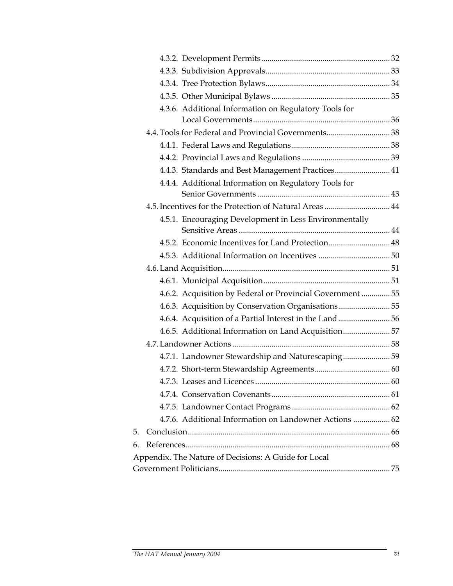|    | 4.3.6. Additional Information on Regulatory Tools for      |  |
|----|------------------------------------------------------------|--|
|    |                                                            |  |
|    | 4.4. Tools for Federal and Provincial Governments 38       |  |
|    |                                                            |  |
|    |                                                            |  |
|    | 4.4.3. Standards and Best Management Practices 41          |  |
|    | 4.4.4. Additional Information on Regulatory Tools for      |  |
|    |                                                            |  |
|    | 4.5. Incentives for the Protection of Natural Areas  44    |  |
|    | 4.5.1. Encouraging Development in Less Environmentally     |  |
|    |                                                            |  |
|    | 4.5.2. Economic Incentives for Land Protection 48          |  |
|    |                                                            |  |
|    |                                                            |  |
|    |                                                            |  |
|    | 4.6.2. Acquisition by Federal or Provincial Government  55 |  |
|    | 4.6.3. Acquisition by Conservation Organisations  55       |  |
|    |                                                            |  |
|    | 4.6.5. Additional Information on Land Acquisition 57       |  |
|    |                                                            |  |
|    | 4.7.1. Landowner Stewardship and Naturescaping 59          |  |
|    |                                                            |  |
|    |                                                            |  |
|    |                                                            |  |
|    |                                                            |  |
|    | 4.7.6. Additional Information on Landowner Actions  62     |  |
| 5. |                                                            |  |
| 6. |                                                            |  |
|    | Appendix. The Nature of Decisions: A Guide for Local       |  |
|    |                                                            |  |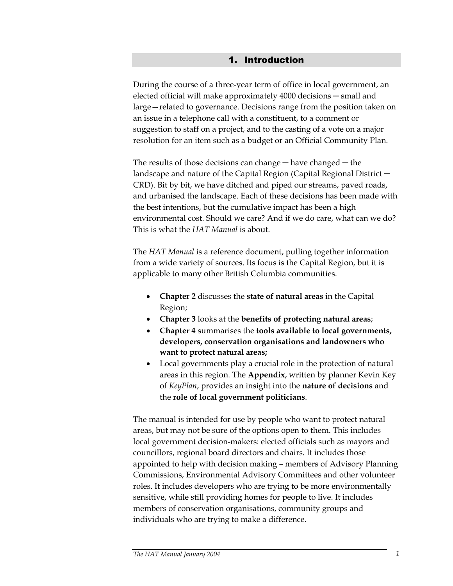#### 1. Introduction

During the course of a three-year term of office in local government, an elected official will make approximately 4000 decisions — small and large—related to governance. Decisions range from the position taken on an issue in a telephone call with a constituent, to a comment or suggestion to staff on a project, and to the casting of a vote on a major resolution for an item such as a budget or an Official Community Plan.

The results of those decisions can change  $-$  have changed  $-$  the landscape and nature of the Capital Region (Capital Regional District ─ CRD). Bit by bit, we have ditched and piped our streams, paved roads, and urbanised the landscape. Each of these decisions has been made with the best intentions, but the cumulative impact has been a high environmental cost. Should we care? And if we do care, what can we do? This is what the *HAT Manual* is about.

The *HAT Manual* is a reference document, pulling together information from a wide variety of sources. Its focus is the Capital Region, but it is applicable to many other British Columbia communities.

- **Chapter 2** discusses the **state of natural areas** in the Capital Region;
- **Chapter 3** looks at the **benefits of protecting natural areas**;
- **Chapter 4** summarises the **tools available to local governments, developers, conservation organisations and landowners who want to protect natural areas;**
- Local governments play a crucial role in the protection of natural areas in this region. The **Appendix**, written by planner Kevin Key of *KeyPlan*, provides an insight into the **nature of decisions** and the **role of local government politicians**.

The manual is intended for use by people who want to protect natural areas, but may not be sure of the options open to them. This includes local government decision-makers: elected officials such as mayors and councillors, regional board directors and chairs. It includes those appointed to help with decision making – members of Advisory Planning Commissions, Environmental Advisory Committees and other volunteer roles. It includes developers who are trying to be more environmentally sensitive, while still providing homes for people to live. It includes members of conservation organisations, community groups and individuals who are trying to make a difference.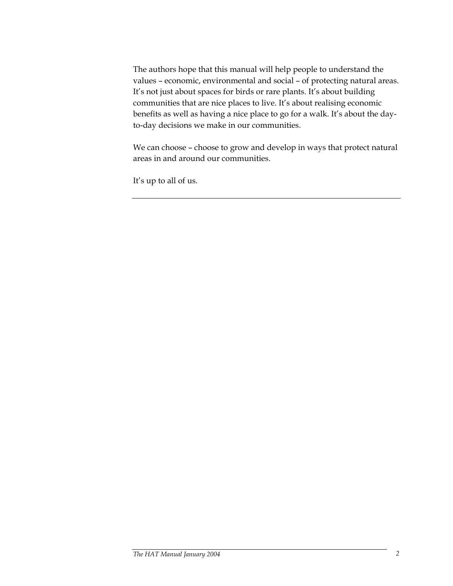The authors hope that this manual will help people to understand the values – economic, environmental and social – of protecting natural areas. It's not just about spaces for birds or rare plants. It's about building communities that are nice places to live. It's about realising economic benefits as well as having a nice place to go for a walk. It's about the dayto-day decisions we make in our communities.

We can choose – choose to grow and develop in ways that protect natural areas in and around our communities.

It's up to all of us.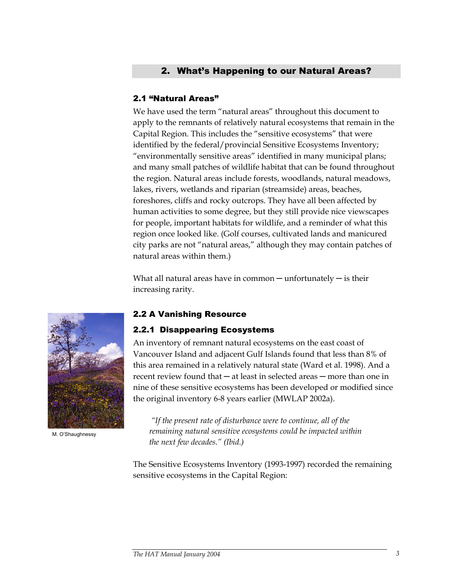## 2. What's Happening to our Natural Areas?

#### 2.1 "Natural Areas"

We have used the term "natural areas" throughout this document to apply to the remnants of relatively natural ecosystems that remain in the Capital Region. This includes the "sensitive ecosystems" that were identified by the federal/provincial Sensitive Ecosystems Inventory; "environmentally sensitive areas" identified in many municipal plans; and many small patches of wildlife habitat that can be found throughout the region. Natural areas include forests, woodlands, natural meadows, lakes, rivers, wetlands and riparian (streamside) areas, beaches, foreshores, cliffs and rocky outcrops. They have all been affected by human activities to some degree, but they still provide nice viewscapes for people, important habitats for wildlife, and a reminder of what this region once looked like. (Golf courses, cultivated lands and manicured city parks are not "natural areas," although they may contain patches of natural areas within them.)

What all natural areas have in common  $-$  unfortunately  $-$  is their increasing rarity.



M. O'Shaughnessy

#### 2.2 A Vanishing Resource

#### 2.2.1 Disappearing Ecosystems

An inventory of remnant natural ecosystems on the east coast of Vancouver Island and adjacent Gulf Islands found that less than 8% of this area remained in a relatively natural state (Ward et al. 1998). And a recent review found that — at least in selected areas — more than one in nine of these sensitive ecosystems has been developed or modified since the original inventory 6-8 years earlier (MWLAP 2002a).

 *"If the present rate of disturbance were to continue, all of the remaining natural sensitive ecosystems could be impacted within the next few decades." (Ibid.)* 

The Sensitive Ecosystems Inventory (1993-1997) recorded the remaining sensitive ecosystems in the Capital Region: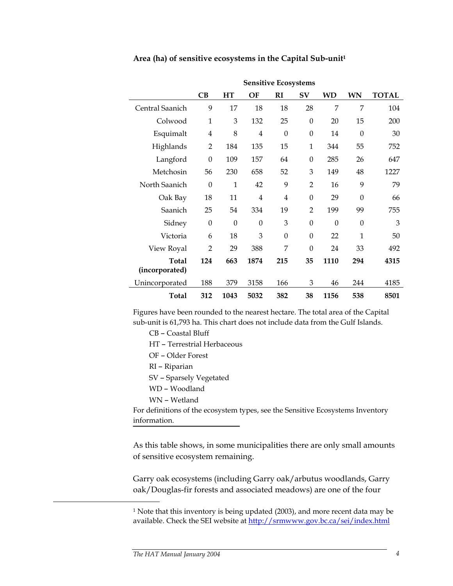|                         | <b>Sensitive Ecosystems</b> |              |                |                |                  |          |              |              |  |
|-------------------------|-----------------------------|--------------|----------------|----------------|------------------|----------|--------------|--------------|--|
|                         | CB                          | HT           | OF             | RI             | $S_{\rm V}$      | WD       | <b>WN</b>    | <b>TOTAL</b> |  |
| Central Saanich         | 9                           | 17           | 18             | 18             | 28               | 7        | 7            | 104          |  |
| Colwood                 | $\mathbf 1$                 | 3            | 132            | 25             | $\boldsymbol{0}$ | 20       | 15           | 200          |  |
| Esquimalt               | $\overline{4}$              | 8            | $\overline{4}$ | $\theta$       | $\theta$         | 14       | $\mathbf{0}$ | 30           |  |
| Highlands               | $\overline{2}$              | 184          | 135            | 15             | 1                | 344      | 55           | 752          |  |
| Langford                | $\mathbf{0}$                | 109          | 157            | 64             | $\mathbf{0}$     | 285      | 26           | 647          |  |
| Metchosin               | 56                          | 230          | 658            | 52             | 3                | 149      | 48           | 1227         |  |
| North Saanich           | $\theta$                    | $\mathbf{1}$ | 42             | 9              | $\overline{2}$   | 16       | 9            | 79           |  |
| Oak Bay                 | 18                          | 11           | $\overline{4}$ | $\overline{4}$ | $\theta$         | 29       | $\theta$     | 66           |  |
| Saanich                 | 25                          | 54           | 334            | 19             | $\overline{2}$   | 199      | 99           | 755          |  |
| Sidney                  | $\mathbf{0}$                | $\theta$     | $\theta$       | 3              | $\mathbf{0}$     | $\theta$ | $\Omega$     | 3            |  |
| Victoria                | 6                           | 18           | 3              | $\Omega$       | $\theta$         | 22       | $\mathbf{1}$ | 50           |  |
| View Royal              | $\overline{2}$              | 29           | 388            | 7              | $\mathbf{0}$     | 24       | 33           | 492          |  |
| Total<br>(incorporated) | 124                         | 663          | 1874           | 215            | 35               | 1110     | 294          | 4315         |  |
| Unincorporated          | 188                         | 379          | 3158           | 166            | 3                | 46       | 244          | 4185         |  |
| <b>Total</b>            | 312                         | 1043         | 5032           | 382            | 38               | 1156     | 538          | 8501         |  |

#### **Area (ha) of sensitive ecosystems in the Capital Sub-unit1**

Figures have been rounded to the nearest hectare. The total area of the Capital sub-unit is 61,793 ha. This chart does not include data from the Gulf Islands.

CB – Coastal Bluff

- HT Terrestrial Herbaceous
- OF Older Forest
- RI Riparian
- SV Sparsely Vegetated
- WD Woodland
- WN Wetland

For definitions of the ecosystem types, see the Sensitive Ecosystems Inventory information.

As this table shows, in some municipalities there are only small amounts of sensitive ecosystem remaining.

Garry oak ecosystems (including Garry oak/arbutus woodlands, Garry oak/Douglas-fir forests and associated meadows) are one of the four

<u>.</u>

<sup>&</sup>lt;sup>1</sup> Note that this inventory is being updated (2003), and more recent data may be available. Check the SEI website at http://srmwww.gov.bc.ca/sei/index.html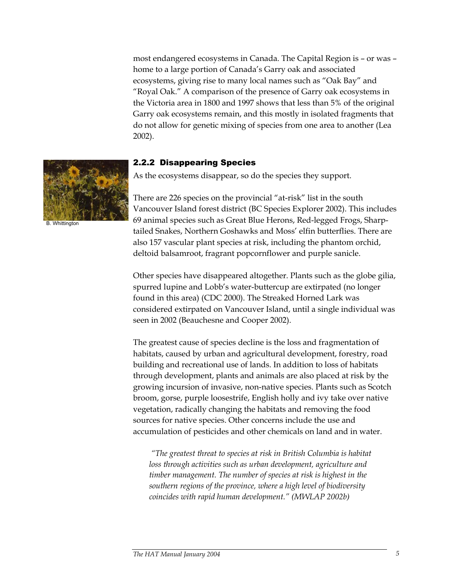most endangered ecosystems in Canada. The Capital Region is – or was – home to a large portion of Canada's Garry oak and associated ecosystems, giving rise to many local names such as "Oak Bay" and "Royal Oak." A comparison of the presence of Garry oak ecosystems in the Victoria area in 1800 and 1997 shows that less than 5% of the original Garry oak ecosystems remain, and this mostly in isolated fragments that do not allow for genetic mixing of species from one area to another (Lea 2002).



B. Whittington

#### 2.2.2 Disappearing Species

As the ecosystems disappear, so do the species they support.

There are 226 species on the provincial "at-risk" list in the south Vancouver Island forest district (BC Species Explorer 2002). This includes 69 animal species such as Great Blue Herons, Red-legged Frogs, Sharptailed Snakes, Northern Goshawks and Moss' elfin butterflies. There are also 157 vascular plant species at risk, including the phantom orchid, deltoid balsamroot, fragrant popcornflower and purple sanicle.

Other species have disappeared altogether. Plants such as the globe gilia, spurred lupine and Lobb's water-buttercup are extirpated (no longer found in this area) (CDC 2000). The Streaked Horned Lark was considered extirpated on Vancouver Island, until a single individual was seen in 2002 (Beauchesne and Cooper 2002).

The greatest cause of species decline is the loss and fragmentation of habitats, caused by urban and agricultural development, forestry, road building and recreational use of lands. In addition to loss of habitats through development, plants and animals are also placed at risk by the growing incursion of invasive, non-native species. Plants such as Scotch broom, gorse, purple loosestrife, English holly and ivy take over native vegetation, radically changing the habitats and removing the food sources for native species. Other concerns include the use and accumulation of pesticides and other chemicals on land and in water.

 *"The greatest threat to species at risk in British Columbia is habitat loss through activities such as urban development, agriculture and timber management. The number of species at risk is highest in the southern regions of the province, where a high level of biodiversity coincides with rapid human development." (MWLAP 2002b)*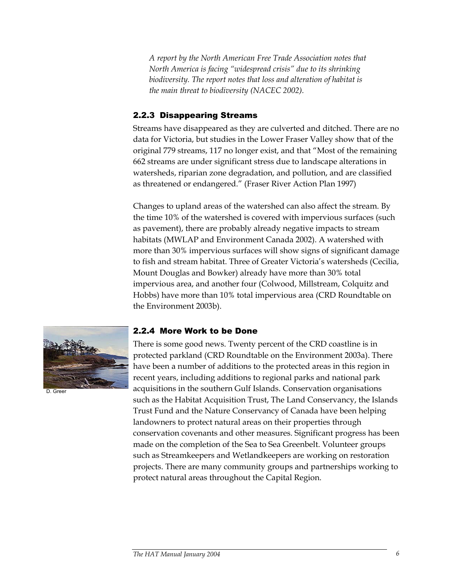*A report by the North American Free Trade Association notes that North America is facing "widespread crisis" due to its shrinking biodiversity. The report notes that loss and alteration of habitat is the main threat to biodiversity (NACEC 2002).* 

## 2.2.3 Disappearing Streams

Streams have disappeared as they are culverted and ditched. There are no data for Victoria, but studies in the Lower Fraser Valley show that of the original 779 streams, 117 no longer exist, and that "Most of the remaining 662 streams are under significant stress due to landscape alterations in watersheds, riparian zone degradation, and pollution, and are classified as threatened or endangered." (Fraser River Action Plan 1997)

Changes to upland areas of the watershed can also affect the stream. By the time 10% of the watershed is covered with impervious surfaces (such as pavement), there are probably already negative impacts to stream habitats (MWLAP and Environment Canada 2002). A watershed with more than 30% impervious surfaces will show signs of significant damage to fish and stream habitat. Three of Greater Victoria's watersheds (Cecilia, Mount Douglas and Bowker) already have more than 30% total impervious area, and another four (Colwood, Millstream, Colquitz and Hobbs) have more than 10% total impervious area (CRD Roundtable on the Environment 2003b).



D. Greer

#### 2.2.4 More Work to be Done

There is some good news. Twenty percent of the CRD coastline is in protected parkland (CRD Roundtable on the Environment 2003a). There have been a number of additions to the protected areas in this region in recent years, including additions to regional parks and national park acquisitions in the southern Gulf Islands. Conservation organisations such as the Habitat Acquisition Trust, The Land Conservancy, the Islands Trust Fund and the Nature Conservancy of Canada have been helping landowners to protect natural areas on their properties through conservation covenants and other measures. Significant progress has been made on the completion of the Sea to Sea Greenbelt. Volunteer groups such as Streamkeepers and Wetlandkeepers are working on restoration projects. There are many community groups and partnerships working to protect natural areas throughout the Capital Region.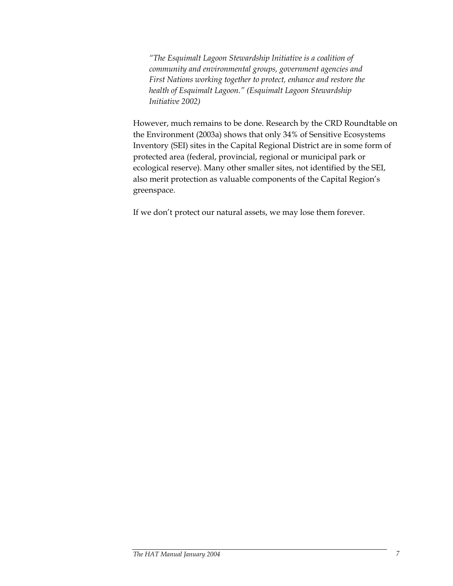*"The Esquimalt Lagoon Stewardship Initiative is a coalition of community and environmental groups, government agencies and First Nations working together to protect, enhance and restore the health of Esquimalt Lagoon." (Esquimalt Lagoon Stewardship Initiative 2002)* 

However, much remains to be done. Research by the CRD Roundtable on the Environment (2003a) shows that only 34% of Sensitive Ecosystems Inventory (SEI) sites in the Capital Regional District are in some form of protected area (federal, provincial, regional or municipal park or ecological reserve). Many other smaller sites, not identified by the SEI, also merit protection as valuable components of the Capital Region's greenspace.

If we don't protect our natural assets, we may lose them forever.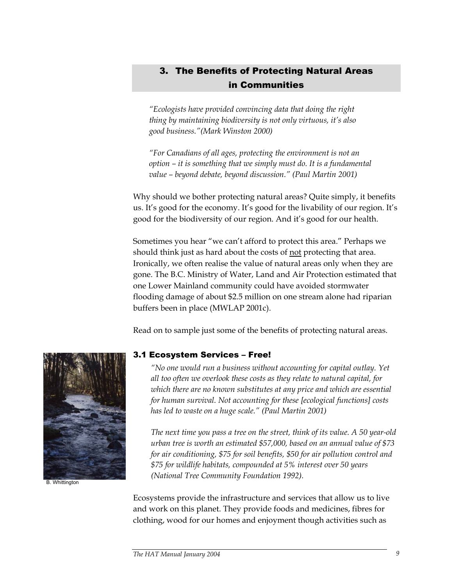## 3. The Benefits of Protecting Natural Areas in Communities

*"Ecologists have provided convincing data that doing the right thing by maintaining biodiversity is not only virtuous, it's also good business."(Mark Winston 2000)* 

*"For Canadians of all ages, protecting the environment is not an option – it is something that we simply must do. It is a fundamental value – beyond debate, beyond discussion." (Paul Martin 2001)* 

Why should we bother protecting natural areas? Quite simply, it benefits us. It's good for the economy. It's good for the livability of our region. It's good for the biodiversity of our region. And it's good for our health.

Sometimes you hear "we can't afford to protect this area." Perhaps we should think just as hard about the costs of not protecting that area. Ironically, we often realise the value of natural areas only when they are gone. The B.C. Ministry of Water, Land and Air Protection estimated that one Lower Mainland community could have avoided stormwater flooding damage of about \$2.5 million on one stream alone had riparian buffers been in place (MWLAP 2001c).

Read on to sample just some of the benefits of protecting natural areas.



B. Whittington

#### 3.1 Ecosystem Services – Free!

*"No one would run a business without accounting for capital outlay. Yet all too often we overlook these costs as they relate to natural capital, for which there are no known substitutes at any price and which are essential for human survival. Not accounting for these [ecological functions] costs has led to waste on a huge scale." (Paul Martin 2001)* 

*The next time you pass a tree on the street, think of its value. A 50 year-old urban tree is worth an estimated \$57,000, based on an annual value of \$73 for air conditioning, \$75 for soil benefits, \$50 for air pollution control and \$75 for wildlife habitats, compounded at 5% interest over 50 years (National Tree Community Foundation 1992).* 

Ecosystems provide the infrastructure and services that allow us to live and work on this planet. They provide foods and medicines, fibres for clothing, wood for our homes and enjoyment though activities such as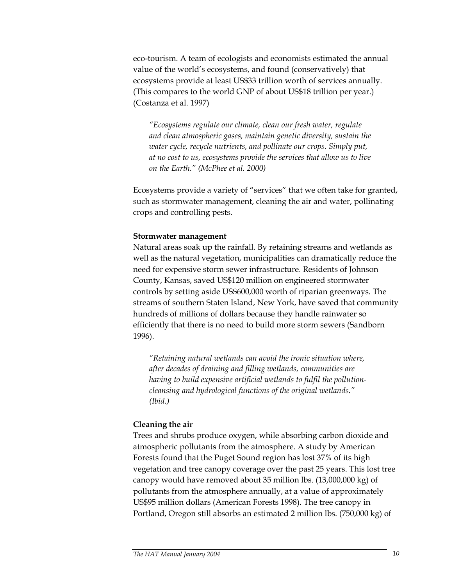eco-tourism. A team of ecologists and economists estimated the annual value of the world's ecosystems, and found (conservatively) that ecosystems provide at least US\$33 trillion worth of services annually. (This compares to the world GNP of about US\$18 trillion per year.) (Costanza et al. 1997)

*"Ecosystems regulate our climate, clean our fresh water, regulate and clean atmospheric gases, maintain genetic diversity, sustain the water cycle, recycle nutrients, and pollinate our crops. Simply put, at no cost to us, ecosystems provide the services that allow us to live on the Earth." (McPhee et al. 2000)* 

Ecosystems provide a variety of "services" that we often take for granted, such as stormwater management, cleaning the air and water, pollinating crops and controlling pests.

#### **Stormwater management**

Natural areas soak up the rainfall. By retaining streams and wetlands as well as the natural vegetation, municipalities can dramatically reduce the need for expensive storm sewer infrastructure. Residents of Johnson County, Kansas, saved US\$120 million on engineered stormwater controls by setting aside US\$600,000 worth of riparian greenways. The streams of southern Staten Island, New York, have saved that community hundreds of millions of dollars because they handle rainwater so efficiently that there is no need to build more storm sewers (Sandborn 1996).

*"Retaining natural wetlands can avoid the ironic situation where, after decades of draining and filling wetlands, communities are having to build expensive artificial wetlands to fulfil the pollutioncleansing and hydrological functions of the original wetlands." (Ibid.)* 

#### **Cleaning the air**

Trees and shrubs produce oxygen, while absorbing carbon dioxide and atmospheric pollutants from the atmosphere. A study by American Forests found that the Puget Sound region has lost 37% of its high vegetation and tree canopy coverage over the past 25 years. This lost tree canopy would have removed about 35 million lbs. (13,000,000 kg) of pollutants from the atmosphere annually, at a value of approximately US\$95 million dollars (American Forests 1998). The tree canopy in Portland, Oregon still absorbs an estimated 2 million lbs. (750,000 kg) of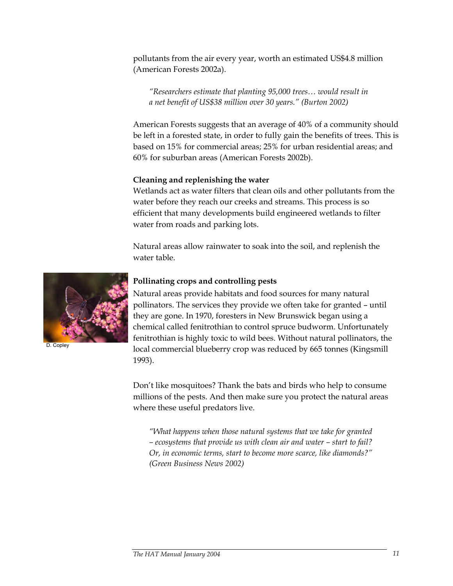pollutants from the air every year, worth an estimated US\$4.8 million (American Forests 2002a).

*"Researchers estimate that planting 95,000 trees… would result in a net benefit of US\$38 million over 30 years." (Burton 2002)* 

American Forests suggests that an average of 40% of a community should be left in a forested state, in order to fully gain the benefits of trees. This is based on 15% for commercial areas; 25% for urban residential areas; and 60% for suburban areas (American Forests 2002b).

#### **Cleaning and replenishing the water**

Wetlands act as water filters that clean oils and other pollutants from the water before they reach our creeks and streams. This process is so efficient that many developments build engineered wetlands to filter water from roads and parking lots.

Natural areas allow rainwater to soak into the soil, and replenish the water table.



```
 D. Copley
```
#### **Pollinating crops and controlling pests**

Natural areas provide habitats and food sources for many natural pollinators. The services they provide we often take for granted – until they are gone. In 1970, foresters in New Brunswick began using a chemical called fenitrothian to control spruce budworm. Unfortunately fenitrothian is highly toxic to wild bees. Without natural pollinators, the local commercial blueberry crop was reduced by 665 tonnes (Kingsmill 1993).

Don't like mosquitoes? Thank the bats and birds who help to consume millions of the pests. And then make sure you protect the natural areas where these useful predators live.

*"What happens when those natural systems that we take for granted – ecosystems that provide us with clean air and water – start to fail? Or, in economic terms, start to become more scarce, like diamonds?" (Green Business News 2002)*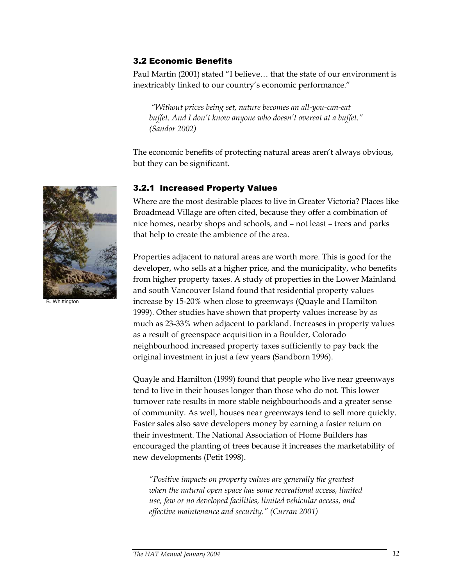#### 3.2 Economic Benefits

Paul Martin (2001) stated "I believe… that the state of our environment is inextricably linked to our country's economic performance."

 *"Without prices being set, nature becomes an all-you-can-eat buffet. And I don't know anyone who doesn't overeat at a buffet." (Sandor 2002)* 

The economic benefits of protecting natural areas aren't always obvious, but they can be significant.

#### 3.2.1 Increased Property Values

Where are the most desirable places to live in Greater Victoria? Places like Broadmead Village are often cited, because they offer a combination of nice homes, nearby shops and schools, and – not least – trees and parks that help to create the ambience of the area.

Properties adjacent to natural areas are worth more. This is good for the developer, who sells at a higher price, and the municipality, who benefits from higher property taxes. A study of properties in the Lower Mainland and south Vancouver Island found that residential property values increase by 15-20% when close to greenways (Quayle and Hamilton 1999). Other studies have shown that property values increase by as much as 23-33% when adjacent to parkland. Increases in property values as a result of greenspace acquisition in a Boulder, Colorado neighbourhood increased property taxes sufficiently to pay back the original investment in just a few years (Sandborn 1996).

Quayle and Hamilton (1999) found that people who live near greenways tend to live in their houses longer than those who do not. This lower turnover rate results in more stable neighbourhoods and a greater sense of community. As well, houses near greenways tend to sell more quickly. Faster sales also save developers money by earning a faster return on their investment. The National Association of Home Builders has encouraged the planting of trees because it increases the marketability of new developments (Petit 1998).

*"Positive impacts on property values are generally the greatest when the natural open space has some recreational access, limited use, few or no developed facilities, limited vehicular access, and effective maintenance and security." (Curran 2001)* 



*The HAT Manual January 2004* 12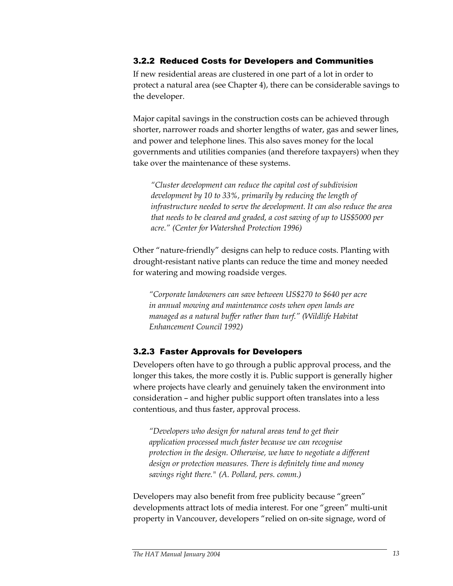#### 3.2.2 Reduced Costs for Developers and Communities

If new residential areas are clustered in one part of a lot in order to protect a natural area (see Chapter 4), there can be considerable savings to the developer.

Major capital savings in the construction costs can be achieved through shorter, narrower roads and shorter lengths of water, gas and sewer lines, and power and telephone lines. This also saves money for the local governments and utilities companies (and therefore taxpayers) when they take over the maintenance of these systems.

*"Cluster development can reduce the capital cost of subdivision development by 10 to 33%, primarily by reducing the length of infrastructure needed to serve the development. It can also reduce the area that needs to be cleared and graded, a cost saving of up to US\$5000 per acre." (Center for Watershed Protection 1996)* 

Other "nature-friendly" designs can help to reduce costs. Planting with drought-resistant native plants can reduce the time and money needed for watering and mowing roadside verges.

*"Corporate landowners can save between US\$270 to \$640 per acre in annual mowing and maintenance costs when open lands are managed as a natural buffer rather than turf." (Wildlife Habitat Enhancement Council 1992)* 

#### 3.2.3 Faster Approvals for Developers

Developers often have to go through a public approval process, and the longer this takes, the more costly it is. Public support is generally higher where projects have clearly and genuinely taken the environment into consideration – and higher public support often translates into a less contentious, and thus faster, approval process.

*"Developers who design for natural areas tend to get their application processed much faster because we can recognise protection in the design. Otherwise, we have to negotiate a different design or protection measures. There is definitely time and money savings right there." (A. Pollard, pers. comm.)* 

Developers may also benefit from free publicity because "green" developments attract lots of media interest. For one "green" multi-unit property in Vancouver, developers "relied on on-site signage, word of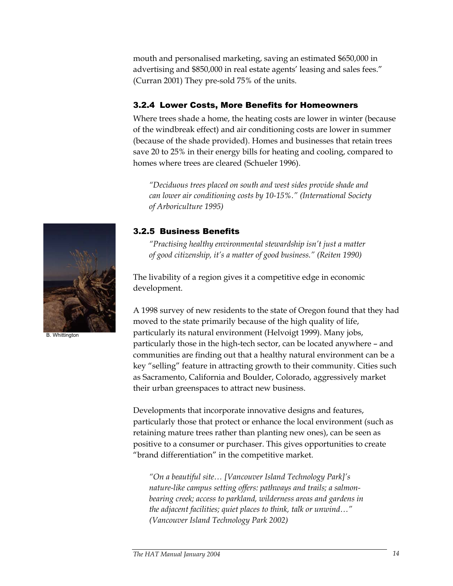mouth and personalised marketing, saving an estimated \$650,000 in advertising and \$850,000 in real estate agents' leasing and sales fees." (Curran 2001) They pre-sold 75% of the units.

## 3.2.4 Lower Costs, More Benefits for Homeowners

Where trees shade a home, the heating costs are lower in winter (because of the windbreak effect) and air conditioning costs are lower in summer (because of the shade provided). Homes and businesses that retain trees save 20 to 25% in their energy bills for heating and cooling, compared to homes where trees are cleared (Schueler 1996).

*"Deciduous trees placed on south and west sides provide shade and can lower air conditioning costs by 10-15%." (International Society of Arboriculture 1995)* 

## 3.2.5 Business Benefits

*"Practising healthy environmental stewardship isn't just a matter of good citizenship, it's a matter of good business." (Reiten 1990)* 

The livability of a region gives it a competitive edge in economic development.

A 1998 survey of new residents to the state of Oregon found that they had moved to the state primarily because of the high quality of life, particularly its natural environment (Helvoigt 1999). Many jobs, particularly those in the high-tech sector, can be located anywhere – and communities are finding out that a healthy natural environment can be a key "selling" feature in attracting growth to their community. Cities such as Sacramento, California and Boulder, Colorado, aggressively market their urban greenspaces to attract new business.

Developments that incorporate innovative designs and features, particularly those that protect or enhance the local environment (such as retaining mature trees rather than planting new ones), can be seen as positive to a consumer or purchaser. This gives opportunities to create "brand differentiation" in the competitive market.

*"On a beautiful site… [Vancouver Island Technology Park]'s nature-like campus setting offers: pathways and trails; a salmonbearing creek; access to parkland, wilderness areas and gardens in the adjacent facilities; quiet places to think, talk or unwind…" (Vancouver Island Technology Park 2002)* 



B. Whittington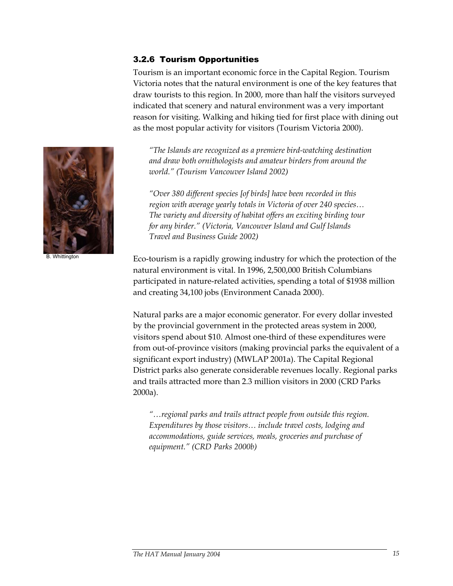## 3.2.6 Tourism Opportunities

Tourism is an important economic force in the Capital Region. Tourism Victoria notes that the natural environment is one of the key features that draw tourists to this region. In 2000, more than half the visitors surveyed indicated that scenery and natural environment was a very important reason for visiting. Walking and hiking tied for first place with dining out as the most popular activity for visitors (Tourism Victoria 2000).

*"The Islands are recognized as a premiere bird-watching destination and draw both ornithologists and amateur birders from around the world." (Tourism Vancouver Island 2002)* 

*"Over 380 different species [of birds] have been recorded in this region with average yearly totals in Victoria of over 240 species… The variety and diversity of habitat offers an exciting birding tour for any birder." (Victoria, Vancouver Island and Gulf Islands Travel and Business Guide 2002)* 

Eco-tourism is a rapidly growing industry for which the protection of the natural environment is vital. In 1996, 2,500,000 British Columbians participated in nature-related activities, spending a total of \$1938 million and creating 34,100 jobs (Environment Canada 2000).

Natural parks are a major economic generator. For every dollar invested by the provincial government in the protected areas system in 2000, visitors spend about \$10. Almost one-third of these expenditures were from out-of-province visitors (making provincial parks the equivalent of a significant export industry) (MWLAP 2001a). The Capital Regional District parks also generate considerable revenues locally. Regional parks and trails attracted more than 2.3 million visitors in 2000 (CRD Parks 2000a).

*"…regional parks and trails attract people from outside this region. Expenditures by those visitors… include travel costs, lodging and accommodations, guide services, meals, groceries and purchase of equipment." (CRD Parks 2000b)* 



B. Whittington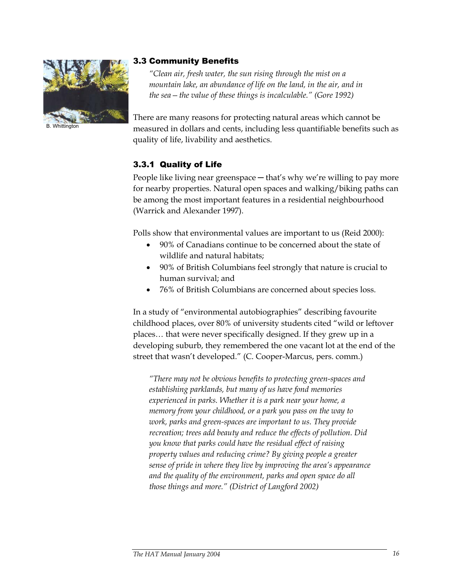

**B.** Whittingtor

#### 3.3 Community Benefits

*"Clean air, fresh water, the sun rising through the mist on a mountain lake, an abundance of life on the land, in the air, and in the sea—the value of these things is incalculable." (Gore 1992)* 

There are many reasons for protecting natural areas which cannot be measured in dollars and cents, including less quantifiable benefits such as quality of life, livability and aesthetics.

## 3.3.1 Quality of Life

People like living near greenspace — that's why we're willing to pay more for nearby properties. Natural open spaces and walking/biking paths can be among the most important features in a residential neighbourhood (Warrick and Alexander 1997).

Polls show that environmental values are important to us (Reid 2000):

- 90% of Canadians continue to be concerned about the state of wildlife and natural habitats;
- 90% of British Columbians feel strongly that nature is crucial to human survival; and
- 76% of British Columbians are concerned about species loss.

In a study of "environmental autobiographies" describing favourite childhood places, over 80% of university students cited "wild or leftover places… that were never specifically designed. If they grew up in a developing suburb, they remembered the one vacant lot at the end of the street that wasn't developed." (C. Cooper-Marcus, pers. comm.)

*"There may not be obvious benefits to protecting green-spaces and establishing parklands, but many of us have fond memories experienced in parks. Whether it is a park near your home, a memory from your childhood, or a park you pass on the way to work, parks and green-spaces are important to us. They provide recreation; trees add beauty and reduce the effects of pollution. Did you know that parks could have the residual effect of raising property values and reducing crime? By giving people a greater sense of pride in where they live by improving the area's appearance and the quality of the environment, parks and open space do all those things and more." (District of Langford 2002)*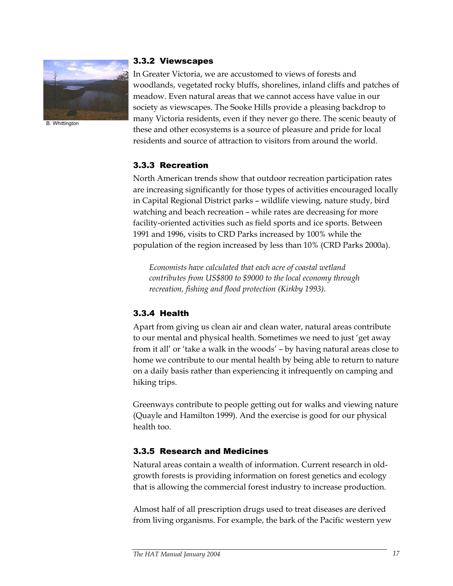

B. Whittington

#### 3.3.2 Viewscapes

In Greater Victoria, we are accustomed to views of forests and woodlands, vegetated rocky bluffs, shorelines, inland cliffs and patches of meadow. Even natural areas that we cannot access have value in our society as viewscapes. The Sooke Hills provide a pleasing backdrop to many Victoria residents, even if they never go there. The scenic beauty of these and other ecosystems is a source of pleasure and pride for local residents and source of attraction to visitors from around the world.

## 3.3.3 Recreation

North American trends show that outdoor recreation participation rates are increasing significantly for those types of activities encouraged locally in Capital Regional District parks – wildlife viewing, nature study, bird watching and beach recreation – while rates are decreasing for more facility-oriented activities such as field sports and ice sports. Between 1991 and 1996, visits to CRD Parks increased by 100% while the population of the region increased by less than 10% (CRD Parks 2000a).

*Economists have calculated that each acre of coastal wetland contributes from US\$800 to \$9000 to the local economy through recreation, fishing and flood protection (Kirkby 1993).* 

## 3.3.4 Health

Apart from giving us clean air and clean water, natural areas contribute to our mental and physical health. Sometimes we need to just 'get away from it all' or 'take a walk in the woods' – by having natural areas close to home we contribute to our mental health by being able to return to nature on a daily basis rather than experiencing it infrequently on camping and hiking trips.

Greenways contribute to people getting out for walks and viewing nature (Quayle and Hamilton 1999). And the exercise is good for our physical health too.

#### 3.3.5 Research and Medicines

Natural areas contain a wealth of information. Current research in oldgrowth forests is providing information on forest genetics and ecology that is allowing the commercial forest industry to increase production.

Almost half of all prescription drugs used to treat diseases are derived from living organisms. For example, the bark of the Pacific western yew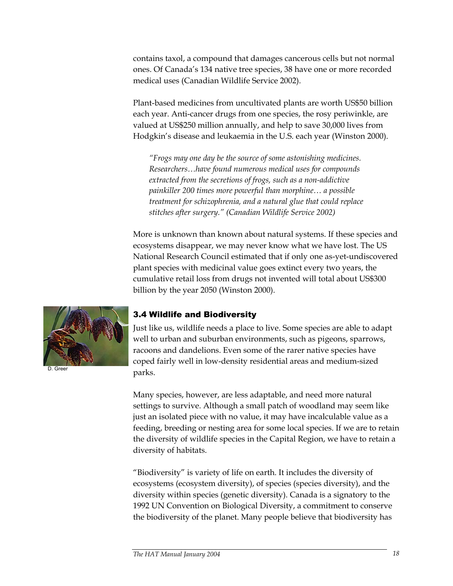contains taxol, a compound that damages cancerous cells but not normal ones. Of Canada's 134 native tree species, 38 have one or more recorded medical uses (Canadian Wildlife Service 2002).

Plant-based medicines from uncultivated plants are worth US\$50 billion each year. Anti-cancer drugs from one species, the rosy periwinkle, are valued at US\$250 million annually, and help to save 30,000 lives from Hodgkin's disease and leukaemia in the U.S. each year (Winston 2000).

*"Frogs may one day be the source of some astonishing medicines. Researchers…have found numerous medical uses for compounds extracted from the secretions of frogs, such as a non-addictive painkiller 200 times more powerful than morphine… a possible treatment for schizophrenia, and a natural glue that could replace stitches after surgery." (Canadian Wildlife Service 2002)* 

More is unknown than known about natural systems. If these species and ecosystems disappear, we may never know what we have lost. The US National Research Council estimated that if only one as-yet-undiscovered plant species with medicinal value goes extinct every two years, the cumulative retail loss from drugs not invented will total about US\$300 billion by the year 2050 (Winston 2000).



D. Greer

#### 3.4 Wildlife and Biodiversity

Just like us, wildlife needs a place to live. Some species are able to adapt well to urban and suburban environments, such as pigeons, sparrows, racoons and dandelions. Even some of the rarer native species have coped fairly well in low-density residential areas and medium-sized parks.

Many species, however, are less adaptable, and need more natural settings to survive. Although a small patch of woodland may seem like just an isolated piece with no value, it may have incalculable value as a feeding, breeding or nesting area for some local species. If we are to retain the diversity of wildlife species in the Capital Region, we have to retain a diversity of habitats.

"Biodiversity" is variety of life on earth. It includes the diversity of ecosystems (ecosystem diversity), of species (species diversity), and the diversity within species (genetic diversity). Canada is a signatory to the 1992 UN Convention on Biological Diversity, a commitment to conserve the biodiversity of the planet. Many people believe that biodiversity has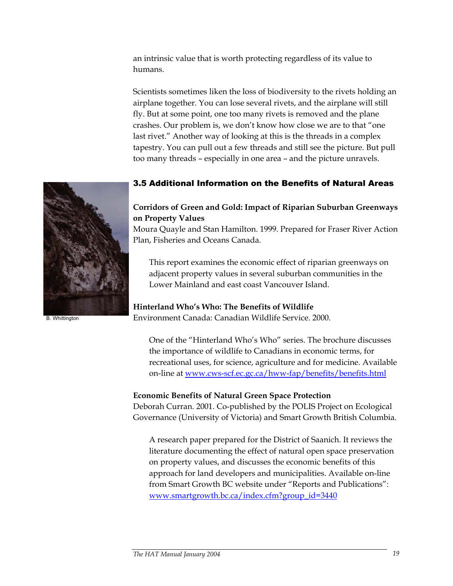an intrinsic value that is worth protecting regardless of its value to humans.

Scientists sometimes liken the loss of biodiversity to the rivets holding an airplane together. You can lose several rivets, and the airplane will still fly. But at some point, one too many rivets is removed and the plane crashes. Our problem is, we don't know how close we are to that "one last rivet." Another way of looking at this is the threads in a complex tapestry. You can pull out a few threads and still see the picture. But pull too many threads – especially in one area – and the picture unravels.

## 3.5 Additional Information on the Benefits of Natural Areas

#### **Corridors of Green and Gold: Impact of Riparian Suburban Greenways on Property Values**

Moura Quayle and Stan Hamilton. 1999. Prepared for Fraser River Action Plan, Fisheries and Oceans Canada.

This report examines the economic effect of riparian greenways on adjacent property values in several suburban communities in the Lower Mainland and east coast Vancouver Island.

#### **Hinterland Who's Who: The Benefits of Wildlife**

Environment Canada: Canadian Wildlife Service. 2000.

One of the "Hinterland Who's Who" series. The brochure discusses the importance of wildlife to Canadians in economic terms, for recreational uses, for science, agriculture and for medicine. Available on-line at www.cws-scf.ec.gc.ca/hww-fap/benefits/benefits.html

#### **Economic Benefits of Natural Green Space Protection**

Deborah Curran. 2001. Co-published by the POLIS Project on Ecological Governance (University of Victoria) and Smart Growth British Columbia.

A research paper prepared for the District of Saanich. It reviews the literature documenting the effect of natural open space preservation on property values, and discusses the economic benefits of this approach for land developers and municipalities. Available on-line from Smart Growth BC website under "Reports and Publications": www.smartgrowth.bc.ca/index.cfm?group\_id=3440



B. Whittington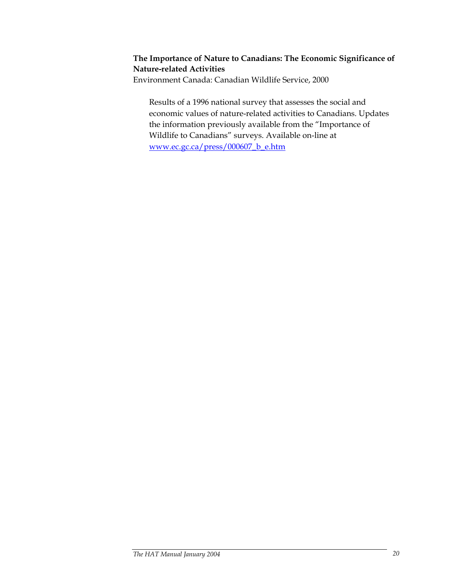#### **The Importance of Nature to Canadians: The Economic Significance of Nature-related Activities**

Environment Canada: Canadian Wildlife Service, 2000

Results of a 1996 national survey that assesses the social and economic values of nature-related activities to Canadians. Updates the information previously available from the "Importance of Wildlife to Canadians" surveys. Available on-line at www.ec.gc.ca/press/000607\_b\_e.htm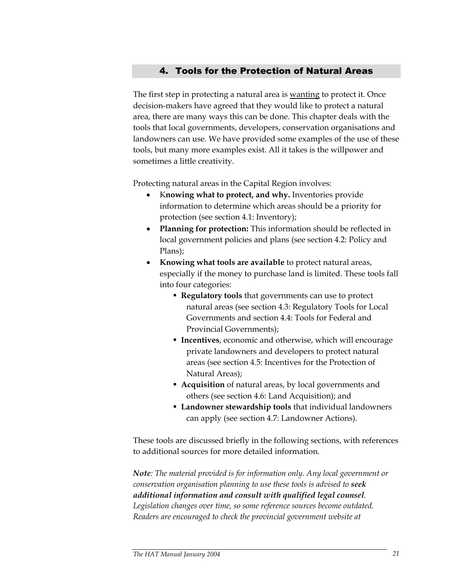## 4. Tools for the Protection of Natural Areas

The first step in protecting a natural area is wanting to protect it. Once decision-makers have agreed that they would like to protect a natural area, there are many ways this can be done. This chapter deals with the tools that local governments, developers, conservation organisations and landowners can use. We have provided some examples of the use of these tools, but many more examples exist. All it takes is the willpower and sometimes a little creativity.

Protecting natural areas in the Capital Region involves:

- K**nowing what to protect, and why.** Inventories provide information to determine which areas should be a priority for protection (see section 4.1: Inventory);
- **Planning for protection:** This information should be reflected in local government policies and plans (see section 4.2: Policy and Plans);
- **Knowing what tools are available** to protect natural areas, especially if the money to purchase land is limited. These tools fall into four categories:
	- **Regulatory tools** that governments can use to protect natural areas (see section 4.3: Regulatory Tools for Local Governments and section 4.4: Tools for Federal and Provincial Governments);
	- **Incentives**, economic and otherwise, which will encourage private landowners and developers to protect natural areas (see section 4.5: Incentives for the Protection of Natural Areas);
	- **Acquisition** of natural areas, by local governments and others (see section 4.6: Land Acquisition); and
	- **Landowner stewardship tools** that individual landowners can apply (see section 4.7: Landowner Actions).

These tools are discussed briefly in the following sections, with references to additional sources for more detailed information.

*Note: The material provided is for information only. Any local government or conservation organisation planning to use these tools is advised to seek additional information and consult with qualified legal counsel. Legislation changes over time, so some reference sources become outdated. Readers are encouraged to check the provincial government website at*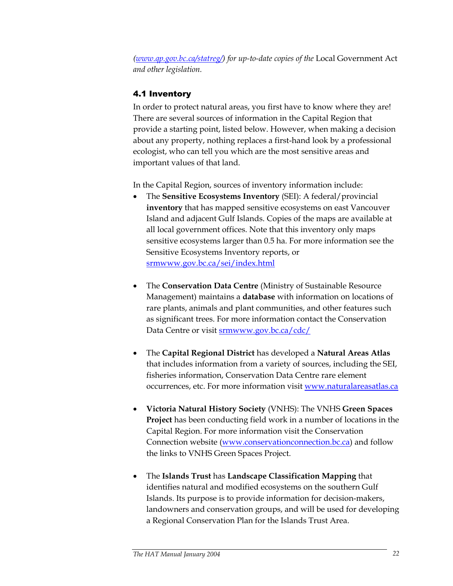*(www.qp.gov.bc.ca/statreg/) for up-to-date copies of the* Local Government Act *and other legislation.* 

## 4.1 Inventory

In order to protect natural areas, you first have to know where they are! There are several sources of information in the Capital Region that provide a starting point, listed below. However, when making a decision about any property, nothing replaces a first-hand look by a professional ecologist, who can tell you which are the most sensitive areas and important values of that land.

In the Capital Region, sources of inventory information include:

- The **Sensitive Ecosystems Inventory** (SEI): A federal/provincial **inventory** that has mapped sensitive ecosystems on east Vancouver Island and adjacent Gulf Islands. Copies of the maps are available at all local government offices. Note that this inventory only maps sensitive ecosystems larger than 0.5 ha. For more information see the Sensitive Ecosystems Inventory reports, or srmwww.gov.bc.ca/sei/index.html
- The **Conservation Data Centre** (Ministry of Sustainable Resource Management) maintains a **database** with information on locations of rare plants, animals and plant communities, and other features such as significant trees. For more information contact the Conservation Data Centre or visit srmwww.gov.bc.ca/cdc/
- The **Capital Regional District** has developed a **Natural Areas Atlas** that includes information from a variety of sources, including the SEI, fisheries information, Conservation Data Centre rare element occurrences, etc. For more information visit www.naturalareasatlas.ca
- **Victoria Natural History Society** (VNHS): The VNHS **Green Spaces Project** has been conducting field work in a number of locations in the Capital Region. For more information visit the Conservation Connection website (www.conservationconnection.bc.ca) and follow the links to VNHS Green Spaces Project.
- The **Islands Trust** has **Landscape Classification Mapping** that identifies natural and modified ecosystems on the southern Gulf Islands. Its purpose is to provide information for decision-makers, landowners and conservation groups, and will be used for developing a Regional Conservation Plan for the Islands Trust Area.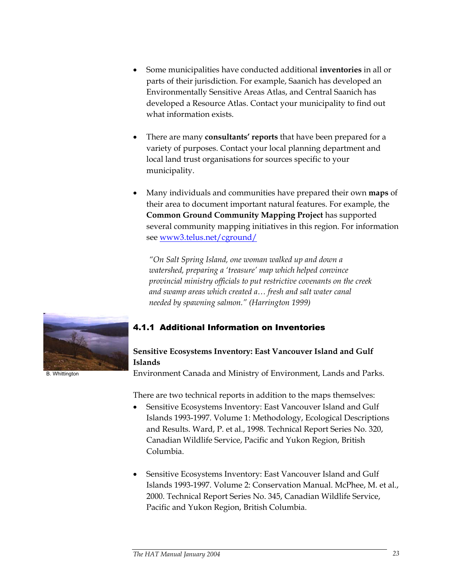- Some municipalities have conducted additional **inventories** in all or parts of their jurisdiction. For example, Saanich has developed an Environmentally Sensitive Areas Atlas, and Central Saanich has developed a Resource Atlas. Contact your municipality to find out what information exists.
- There are many **consultants' reports** that have been prepared for a variety of purposes. Contact your local planning department and local land trust organisations for sources specific to your municipality.
- Many individuals and communities have prepared their own **maps** of their area to document important natural features. For example, the **Common Ground Community Mapping Project** has supported several community mapping initiatives in this region. For information see www3.telus.net/cground/

*"On Salt Spring Island, one woman walked up and down a watershed, preparing a 'treasure' map which helped convince provincial ministry officials to put restrictive covenants on the creek and swamp areas which created a… fresh and salt water canal needed by spawning salmon." (Harrington 1999)* 



B. Whittington

## 4.1.1 Additional Information on Inventories

## **Sensitive Ecosystems Inventory: East Vancouver Island and Gulf Islands**

Environment Canada and Ministry of Environment, Lands and Parks.

There are two technical reports in addition to the maps themselves:

- Sensitive Ecosystems Inventory: East Vancouver Island and Gulf Islands 1993-1997. Volume 1: Methodology, Ecological Descriptions and Results. Ward, P. et al., 1998. Technical Report Series No. 320, Canadian Wildlife Service, Pacific and Yukon Region, British Columbia.
- Sensitive Ecosystems Inventory: East Vancouver Island and Gulf Islands 1993-1997. Volume 2: Conservation Manual. McPhee, M. et al., 2000. Technical Report Series No. 345, Canadian Wildlife Service, Pacific and Yukon Region, British Columbia.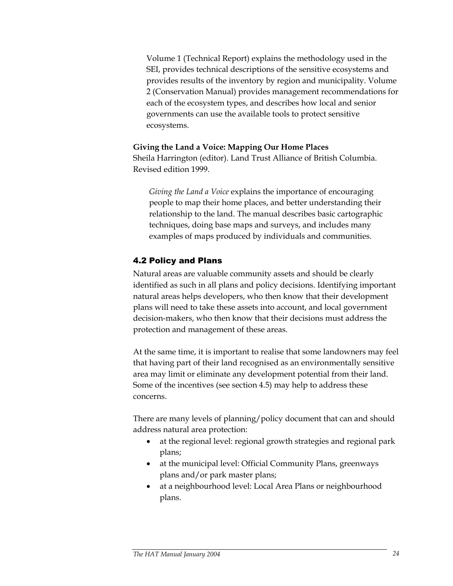Volume 1 (Technical Report) explains the methodology used in the SEI, provides technical descriptions of the sensitive ecosystems and provides results of the inventory by region and municipality. Volume 2 (Conservation Manual) provides management recommendations for each of the ecosystem types, and describes how local and senior governments can use the available tools to protect sensitive ecosystems.

#### **Giving the Land a Voice: Mapping Our Home Places**

Sheila Harrington (editor). Land Trust Alliance of British Columbia. Revised edition 1999.

*Giving the Land a Voice* explains the importance of encouraging people to map their home places, and better understanding their relationship to the land. The manual describes basic cartographic techniques, doing base maps and surveys, and includes many examples of maps produced by individuals and communities.

## 4.2 Policy and Plans

Natural areas are valuable community assets and should be clearly identified as such in all plans and policy decisions. Identifying important natural areas helps developers, who then know that their development plans will need to take these assets into account, and local government decision-makers, who then know that their decisions must address the protection and management of these areas.

At the same time, it is important to realise that some landowners may feel that having part of their land recognised as an environmentally sensitive area may limit or eliminate any development potential from their land. Some of the incentives (see section 4.5) may help to address these concerns.

There are many levels of planning/policy document that can and should address natural area protection:

- at the regional level: regional growth strategies and regional park plans;
- at the municipal level: Official Community Plans, greenways plans and/or park master plans;
- at a neighbourhood level: Local Area Plans or neighbourhood plans.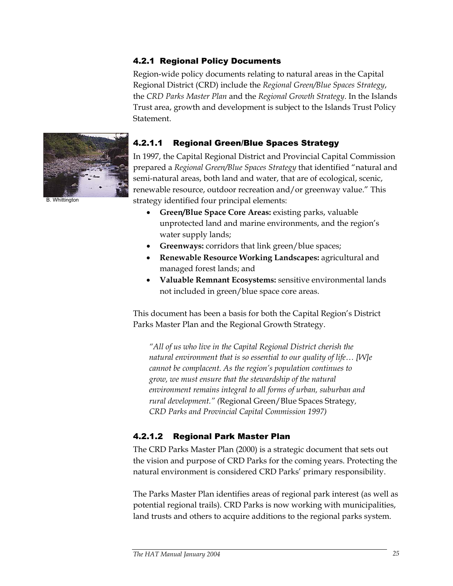## 4.2.1 Regional Policy Documents

Region-wide policy documents relating to natural areas in the Capital Regional District (CRD) include the *Regional Green/Blue Spaces Strategy*, the *CRD Parks Master Plan* and the *Regional Growth Strategy*. In the Islands Trust area, growth and development is subject to the Islands Trust Policy Statement.



B. Whittington

#### 4.2.1.1 Regional Green/Blue Spaces Strategy

In 1997, the Capital Regional District and Provincial Capital Commission prepared a *Regional Green/Blue Spaces Strategy* that identified "natural and semi-natural areas, both land and water, that are of ecological, scenic, renewable resource, outdoor recreation and/or greenway value." This strategy identified four principal elements:

- **Green/Blue Space Core Areas:** existing parks, valuable unprotected land and marine environments, and the region's water supply lands;
- **Greenways:** corridors that link green/blue spaces;
- **Renewable Resource Working Landscapes:** agricultural and managed forest lands; and
- **Valuable Remnant Ecosystems:** sensitive environmental lands not included in green/blue space core areas.

This document has been a basis for both the Capital Region's District Parks Master Plan and the Regional Growth Strategy.

*"All of us who live in the Capital Regional District cherish the natural environment that is so essential to our quality of life… [W]e cannot be complacent. As the region's population continues to grow, we must ensure that the stewardship of the natural environment remains integral to all forms of urban, suburban and rural development." (*Regional Green/Blue Spaces Strategy*, CRD Parks and Provincial Capital Commission 1997)* 

#### 4.2.1.2 Regional Park Master Plan

The CRD Parks Master Plan (2000) is a strategic document that sets out the vision and purpose of CRD Parks for the coming years. Protecting the natural environment is considered CRD Parks' primary responsibility.

The Parks Master Plan identifies areas of regional park interest (as well as potential regional trails). CRD Parks is now working with municipalities, land trusts and others to acquire additions to the regional parks system.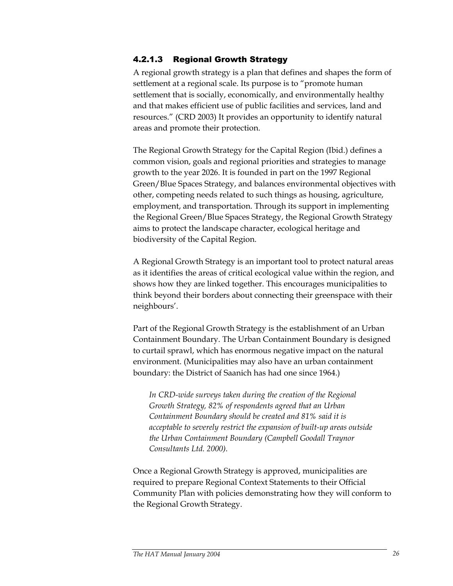## 4.2.1.3 Regional Growth Strategy

A regional growth strategy is a plan that defines and shapes the form of settlement at a regional scale. Its purpose is to "promote human settlement that is socially, economically, and environmentally healthy and that makes efficient use of public facilities and services, land and resources." (CRD 2003) It provides an opportunity to identify natural areas and promote their protection.

The Regional Growth Strategy for the Capital Region (Ibid.) defines a common vision, goals and regional priorities and strategies to manage growth to the year 2026. It is founded in part on the 1997 Regional Green/Blue Spaces Strategy, and balances environmental objectives with other, competing needs related to such things as housing, agriculture, employment, and transportation. Through its support in implementing the Regional Green/Blue Spaces Strategy, the Regional Growth Strategy aims to protect the landscape character, ecological heritage and biodiversity of the Capital Region.

A Regional Growth Strategy is an important tool to protect natural areas as it identifies the areas of critical ecological value within the region, and shows how they are linked together. This encourages municipalities to think beyond their borders about connecting their greenspace with their neighbours'.

Part of the Regional Growth Strategy is the establishment of an Urban Containment Boundary. The Urban Containment Boundary is designed to curtail sprawl, which has enormous negative impact on the natural environment. (Municipalities may also have an urban containment boundary: the District of Saanich has had one since 1964.)

*In CRD-wide surveys taken during the creation of the Regional Growth Strategy, 82% of respondents agreed that an Urban Containment Boundary should be created and 81% said it is acceptable to severely restrict the expansion of built-up areas outside the Urban Containment Boundary (Campbell Goodall Traynor Consultants Ltd. 2000).* 

Once a Regional Growth Strategy is approved, municipalities are required to prepare Regional Context Statements to their Official Community Plan with policies demonstrating how they will conform to the Regional Growth Strategy.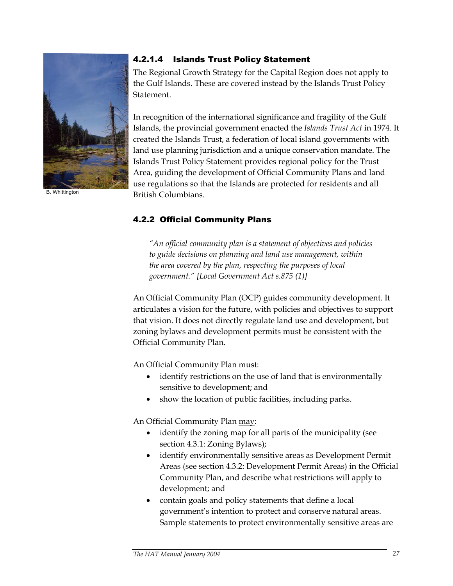

B. Whittington

## 4.2.1.4 Islands Trust Policy Statement

The Regional Growth Strategy for the Capital Region does not apply to the Gulf Islands. These are covered instead by the Islands Trust Policy Statement.

In recognition of the international significance and fragility of the Gulf Islands, the provincial government enacted the *Islands Trust Act* in 1974. It created the Islands Trust, a federation of local island governments with land use planning jurisdiction and a unique conservation mandate. The Islands Trust Policy Statement provides regional policy for the Trust Area, guiding the development of Official Community Plans and land use regulations so that the Islands are protected for residents and all British Columbians.

## 4.2.2 Official Community Plans

*"An official community plan is a statement of objectives and policies to guide decisions on planning and land use management, within the area covered by the plan, respecting the purposes of local government." [Local Government Act s.875 (1)]* 

An Official Community Plan (OCP) guides community development. It articulates a vision for the future, with policies and objectives to support that vision. It does not directly regulate land use and development, but zoning bylaws and development permits must be consistent with the Official Community Plan.

An Official Community Plan must:

- identify restrictions on the use of land that is environmentally sensitive to development; and
- show the location of public facilities, including parks.

An Official Community Plan may:

- identify the zoning map for all parts of the municipality (see section 4.3.1: Zoning Bylaws);
- identify environmentally sensitive areas as Development Permit Areas (see section 4.3.2: Development Permit Areas) in the Official Community Plan, and describe what restrictions will apply to development; and
- contain goals and policy statements that define a local government's intention to protect and conserve natural areas. Sample statements to protect environmentally sensitive areas are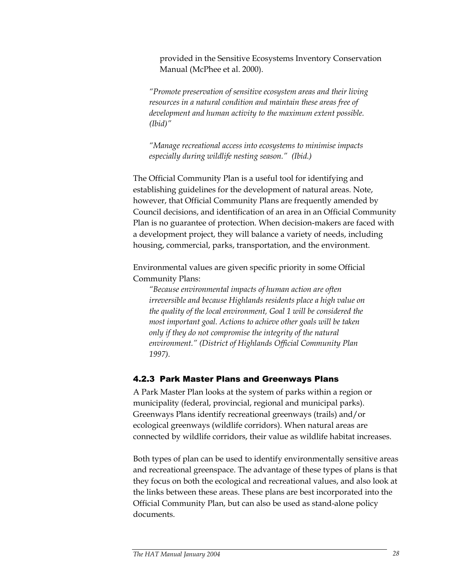provided in the Sensitive Ecosystems Inventory Conservation Manual (McPhee et al. 2000).

*"Promote preservation of sensitive ecosystem areas and their living resources in a natural condition and maintain these areas free of development and human activity to the maximum extent possible. (Ibid)"* 

*"Manage recreational access into ecosystems to minimise impacts especially during wildlife nesting season." (Ibid.)* 

The Official Community Plan is a useful tool for identifying and establishing guidelines for the development of natural areas. Note, however, that Official Community Plans are frequently amended by Council decisions, and identification of an area in an Official Community Plan is no guarantee of protection. When decision-makers are faced with a development project, they will balance a variety of needs, including housing, commercial, parks, transportation, and the environment.

Environmental values are given specific priority in some Official Community Plans:

*"Because environmental impacts of human action are often irreversible and because Highlands residents place a high value on the quality of the local environment, Goal 1 will be considered the most important goal. Actions to achieve other goals will be taken only if they do not compromise the integrity of the natural environment." (District of Highlands Official Community Plan 1997).* 

#### 4.2.3 Park Master Plans and Greenways Plans

A Park Master Plan looks at the system of parks within a region or municipality (federal, provincial, regional and municipal parks). Greenways Plans identify recreational greenways (trails) and/or ecological greenways (wildlife corridors). When natural areas are connected by wildlife corridors, their value as wildlife habitat increases.

Both types of plan can be used to identify environmentally sensitive areas and recreational greenspace. The advantage of these types of plans is that they focus on both the ecological and recreational values, and also look at the links between these areas. These plans are best incorporated into the Official Community Plan, but can also be used as stand-alone policy documents.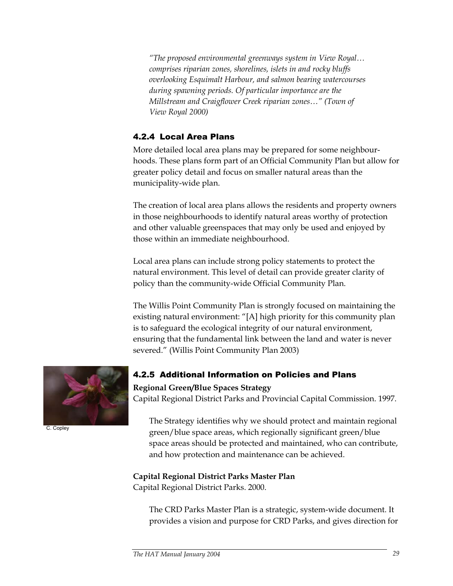*"The proposed environmental greenways system in View Royal… comprises riparian zones, shorelines, islets in and rocky bluffs overlooking Esquimalt Harbour, and salmon bearing watercourses during spawning periods. Of particular importance are the Millstream and Craigflower Creek riparian zones…" (Town of View Royal 2000)* 

## 4.2.4 Local Area Plans

More detailed local area plans may be prepared for some neighbourhoods. These plans form part of an Official Community Plan but allow for greater policy detail and focus on smaller natural areas than the municipality-wide plan.

The creation of local area plans allows the residents and property owners in those neighbourhoods to identify natural areas worthy of protection and other valuable greenspaces that may only be used and enjoyed by those within an immediate neighbourhood.

Local area plans can include strong policy statements to protect the natural environment. This level of detail can provide greater clarity of policy than the community-wide Official Community Plan.

The Willis Point Community Plan is strongly focused on maintaining the existing natural environment: "[A] high priority for this community plan is to safeguard the ecological integrity of our natural environment, ensuring that the fundamental link between the land and water is never severed." (Willis Point Community Plan 2003)



C. Copley

## 4.2.5 Additional Information on Policies and Plans

#### **Regional Green/Blue Spaces Strategy**

Capital Regional District Parks and Provincial Capital Commission. 1997.

The Strategy identifies why we should protect and maintain regional green/blue space areas, which regionally significant green/blue space areas should be protected and maintained, who can contribute, and how protection and maintenance can be achieved.

#### **Capital Regional District Parks Master Plan**  Capital Regional District Parks. 2000.

The CRD Parks Master Plan is a strategic, system-wide document. It provides a vision and purpose for CRD Parks, and gives direction for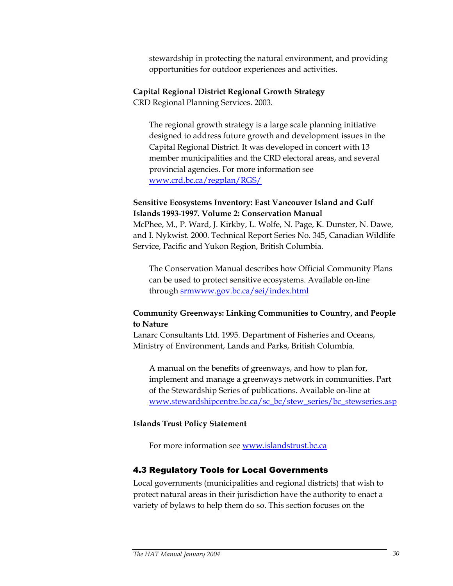stewardship in protecting the natural environment, and providing opportunities for outdoor experiences and activities.

#### **Capital Regional District Regional Growth Strategy**

CRD Regional Planning Services. 2003.

The regional growth strategy is a large scale planning initiative designed to address future growth and development issues in the Capital Regional District. It was developed in concert with 13 member municipalities and the CRD electoral areas, and several provincial agencies. For more information see www.crd.bc.ca/regplan/RGS/

#### **Sensitive Ecosystems Inventory: East Vancouver Island and Gulf Islands 1993-1997. Volume 2: Conservation Manual**

McPhee, M., P. Ward, J. Kirkby, L. Wolfe, N. Page, K. Dunster, N. Dawe, and I. Nykwist. 2000. Technical Report Series No. 345, Canadian Wildlife Service, Pacific and Yukon Region, British Columbia.

The Conservation Manual describes how Official Community Plans can be used to protect sensitive ecosystems. Available on-line through srmwww.gov.bc.ca/sei/index.html

## **Community Greenways: Linking Communities to Country, and People to Nature**

Lanarc Consultants Ltd. 1995. Department of Fisheries and Oceans, Ministry of Environment, Lands and Parks, British Columbia.

A manual on the benefits of greenways, and how to plan for, implement and manage a greenways network in communities. Part of the Stewardship Series of publications. Available on-line at www.stewardshipcentre.bc.ca/sc\_bc/stew\_series/bc\_stewseries.asp

#### **Islands Trust Policy Statement**

For more information see www.islandstrust.bc.ca

#### 4.3 Regulatory Tools for Local Governments

Local governments (municipalities and regional districts) that wish to protect natural areas in their jurisdiction have the authority to enact a variety of bylaws to help them do so. This section focuses on the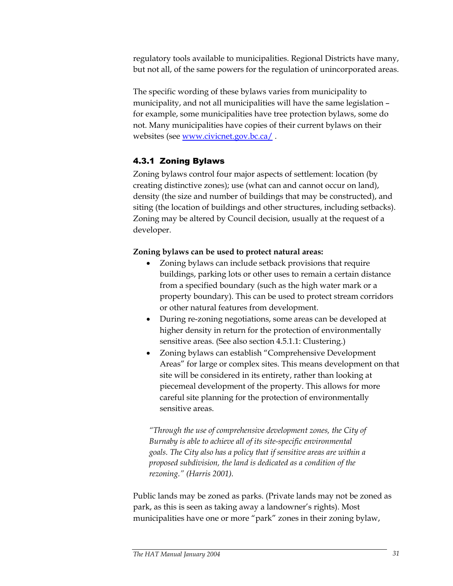regulatory tools available to municipalities. Regional Districts have many, but not all, of the same powers for the regulation of unincorporated areas.

The specific wording of these bylaws varies from municipality to municipality, and not all municipalities will have the same legislation – for example, some municipalities have tree protection bylaws, some do not. Many municipalities have copies of their current bylaws on their websites (see www.civicnet.gov.bc.ca/ .

# 4.3.1 Zoning Bylaws

Zoning bylaws control four major aspects of settlement: location (by creating distinctive zones); use (what can and cannot occur on land), density (the size and number of buildings that may be constructed), and siting (the location of buildings and other structures, including setbacks). Zoning may be altered by Council decision, usually at the request of a developer.

### **Zoning bylaws can be used to protect natural areas:**

- Zoning bylaws can include setback provisions that require buildings, parking lots or other uses to remain a certain distance from a specified boundary (such as the high water mark or a property boundary). This can be used to protect stream corridors or other natural features from development.
- During re-zoning negotiations, some areas can be developed at higher density in return for the protection of environmentally sensitive areas. (See also section 4.5.1.1: Clustering.)
- Zoning bylaws can establish "Comprehensive Development Areas" for large or complex sites. This means development on that site will be considered in its entirety, rather than looking at piecemeal development of the property. This allows for more careful site planning for the protection of environmentally sensitive areas.

*"Through the use of comprehensive development zones, the City of Burnaby is able to achieve all of its site-specific environmental goals. The City also has a policy that if sensitive areas are within a proposed subdivision, the land is dedicated as a condition of the rezoning." (Harris 2001).* 

Public lands may be zoned as parks. (Private lands may not be zoned as park, as this is seen as taking away a landowner's rights). Most municipalities have one or more "park" zones in their zoning bylaw,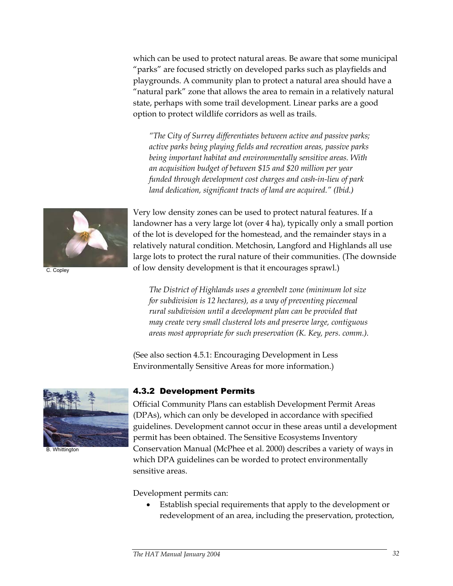which can be used to protect natural areas. Be aware that some municipal "parks" are focused strictly on developed parks such as playfields and playgrounds. A community plan to protect a natural area should have a "natural park" zone that allows the area to remain in a relatively natural state, perhaps with some trail development. Linear parks are a good option to protect wildlife corridors as well as trails.

*"The City of Surrey differentiates between active and passive parks; active parks being playing fields and recreation areas, passive parks being important habitat and environmentally sensitive areas. With an acquisition budget of between \$15 and \$20 million per year funded through development cost charges and cash-in-lieu of park land dedication, significant tracts of land are acquired." (Ibid.)* 



C. Copley

Very low density zones can be used to protect natural features. If a landowner has a very large lot (over 4 ha), typically only a small portion of the lot is developed for the homestead, and the remainder stays in a relatively natural condition. Metchosin, Langford and Highlands all use large lots to protect the rural nature of their communities. (The downside of low density development is that it encourages sprawl.)

*The District of Highlands uses a greenbelt zone (minimum lot size for subdivision is 12 hectares), as a way of preventing piecemeal rural subdivision until a development plan can be provided that may create very small clustered lots and preserve large, contiguous areas most appropriate for such preservation (K. Key, pers. comm.).* 

(See also section 4.5.1: Encouraging Development in Less Environmentally Sensitive Areas for more information.)



B. Whittington

### 4.3.2 Development Permits

Official Community Plans can establish Development Permit Areas (DPAs), which can only be developed in accordance with specified guidelines. Development cannot occur in these areas until a development permit has been obtained. The Sensitive Ecosystems Inventory Conservation Manual (McPhee et al. 2000) describes a variety of ways in which DPA guidelines can be worded to protect environmentally sensitive areas.

Development permits can:

• Establish special requirements that apply to the development or redevelopment of an area, including the preservation, protection,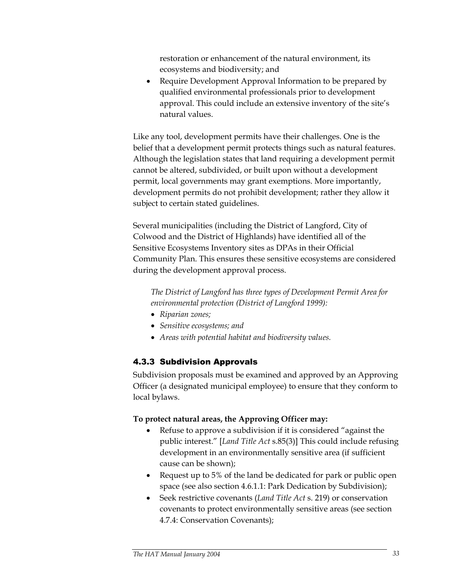restoration or enhancement of the natural environment, its ecosystems and biodiversity; and

• Require Development Approval Information to be prepared by qualified environmental professionals prior to development approval. This could include an extensive inventory of the site's natural values.

Like any tool, development permits have their challenges. One is the belief that a development permit protects things such as natural features. Although the legislation states that land requiring a development permit cannot be altered, subdivided, or built upon without a development permit, local governments may grant exemptions. More importantly, development permits do not prohibit development; rather they allow it subject to certain stated guidelines.

Several municipalities (including the District of Langford, City of Colwood and the District of Highlands) have identified all of the Sensitive Ecosystems Inventory sites as DPAs in their Official Community Plan. This ensures these sensitive ecosystems are considered during the development approval process.

*The District of Langford has three types of Development Permit Area for environmental protection (District of Langford 1999):* 

- *Riparian zones;*
- *Sensitive ecosystems; and*
- *Areas with potential habitat and biodiversity values.*

# 4.3.3 Subdivision Approvals

Subdivision proposals must be examined and approved by an Approving Officer (a designated municipal employee) to ensure that they conform to local bylaws.

### **To protect natural areas, the Approving Officer may:**

- Refuse to approve a subdivision if it is considered "against the public interest." [*Land Title Act* s.85(3)] This could include refusing development in an environmentally sensitive area (if sufficient cause can be shown);
- Request up to 5% of the land be dedicated for park or public open space (see also section 4.6.1.1: Park Dedication by Subdivision);
- Seek restrictive covenants (*Land Title Act* s. 219) or conservation covenants to protect environmentally sensitive areas (see section 4.7.4: Conservation Covenants);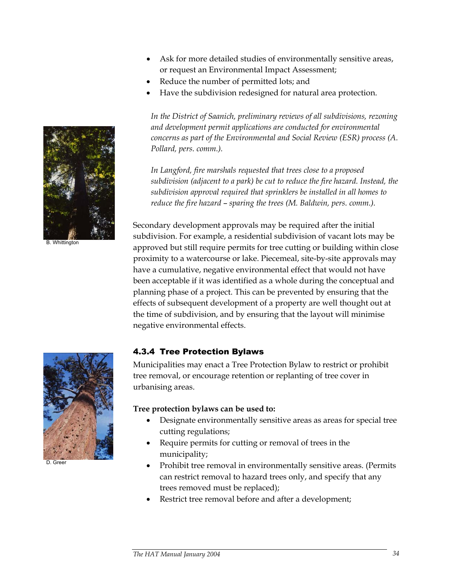- Ask for more detailed studies of environmentally sensitive areas, or request an Environmental Impact Assessment;
- Reduce the number of permitted lots; and
- Have the subdivision redesigned for natural area protection.

*In the District of Saanich, preliminary reviews of all subdivisions, rezoning and development permit applications are conducted for environmental concerns as part of the Environmental and Social Review (ESR) process (A. Pollard, pers. comm.).* 

*In Langford, fire marshals requested that trees close to a proposed subdivision (adjacent to a park) be cut to reduce the fire hazard. Instead, the subdivision approval required that sprinklers be installed in all homes to reduce the fire hazard* – *sparing the trees (M. Baldwin, pers. comm.).*

Secondary development approvals may be required after the initial subdivision. For example, a residential subdivision of vacant lots may be approved but still require permits for tree cutting or building within close proximity to a watercourse or lake. Piecemeal, site-by-site approvals may have a cumulative, negative environmental effect that would not have been acceptable if it was identified as a whole during the conceptual and planning phase of a project. This can be prevented by ensuring that the effects of subsequent development of a property are well thought out at the time of subdivision, and by ensuring that the layout will minimise negative environmental effects.

### 4.3.4 Tree Protection Bylaws

Municipalities may enact a Tree Protection Bylaw to restrict or prohibit tree removal, or encourage retention or replanting of tree cover in urbanising areas.

#### **Tree protection bylaws can be used to:**

- Designate environmentally sensitive areas as areas for special tree cutting regulations;
- Require permits for cutting or removal of trees in the municipality;
- Prohibit tree removal in environmentally sensitive areas. (Permits can restrict removal to hazard trees only, and specify that any trees removed must be replaced);
- Restrict tree removal before and after a development;



B. Whittington



D. Greer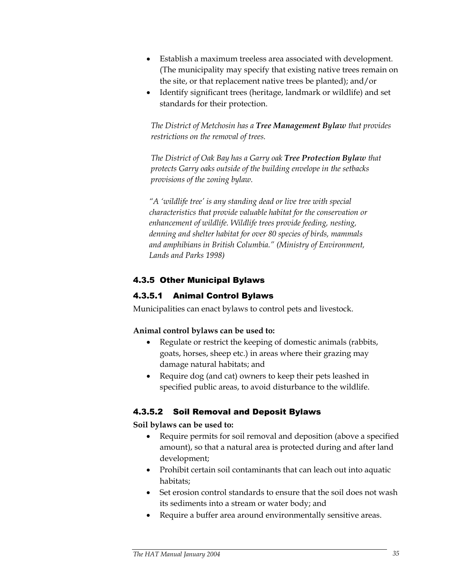- Establish a maximum treeless area associated with development. (The municipality may specify that existing native trees remain on the site, or that replacement native trees be planted); and/or
- Identify significant trees (heritage, landmark or wildlife) and set standards for their protection.

*The District of Metchosin has a Tree Management Bylaw that provides restrictions on the removal of trees.* 

*The District of Oak Bay has a Garry oak Tree Protection Bylaw that protects Garry oaks outside of the building envelope in the setbacks provisions of the zoning bylaw.*

*"A 'wildlife tree' is any standing dead or live tree with special characteristics that provide valuable habitat for the conservation or enhancement of wildlife. Wildlife trees provide feeding, nesting, denning and shelter habitat for over 80 species of birds, mammals and amphibians in British Columbia." (Ministry of Environment, Lands and Parks 1998)* 

# 4.3.5 Other Municipal Bylaws

# 4.3.5.1 Animal Control Bylaws

Municipalities can enact bylaws to control pets and livestock.

### **Animal control bylaws can be used to:**

- Regulate or restrict the keeping of domestic animals (rabbits, goats, horses, sheep etc.) in areas where their grazing may damage natural habitats; and
- Require dog (and cat) owners to keep their pets leashed in specified public areas, to avoid disturbance to the wildlife.

# 4.3.5.2 Soil Removal and Deposit Bylaws

### **Soil bylaws can be used to:**

- Require permits for soil removal and deposition (above a specified amount), so that a natural area is protected during and after land development;
- Prohibit certain soil contaminants that can leach out into aquatic habitats;
- Set erosion control standards to ensure that the soil does not wash its sediments into a stream or water body; and
- Require a buffer area around environmentally sensitive areas.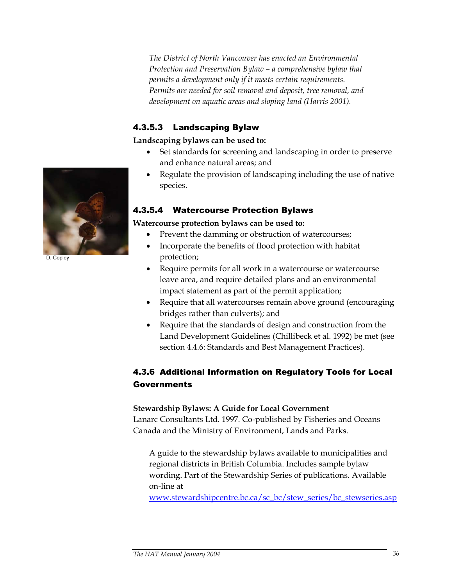*The District of North Vancouver has enacted an Environmental Protection and Preservation Bylaw – a comprehensive bylaw that permits a development only if it meets certain requirements. Permits are needed for soil removal and deposit, tree removal, and development on aquatic areas and sloping land (Harris 2001).* 

# 4.3.5.3 Landscaping Bylaw

**Landscaping bylaws can be used to:** 

- Set standards for screening and landscaping in order to preserve and enhance natural areas; and
- Regulate the provision of landscaping including the use of native species.

# 4.3.5.4 Watercourse Protection Bylaws

### **Watercourse protection bylaws can be used to:**

- Prevent the damming or obstruction of watercourses;
- Incorporate the benefits of flood protection with habitat protection;
- Require permits for all work in a watercourse or watercourse leave area, and require detailed plans and an environmental impact statement as part of the permit application;
- Require that all watercourses remain above ground (encouraging bridges rather than culverts); and
- Require that the standards of design and construction from the Land Development Guidelines (Chillibeck et al. 1992) be met (see section 4.4.6: Standards and Best Management Practices).

# 4.3.6 Additional Information on Regulatory Tools for Local Governments

### **Stewardship Bylaws: A Guide for Local Government**

Lanarc Consultants Ltd. 1997. Co-published by Fisheries and Oceans Canada and the Ministry of Environment, Lands and Parks.

A guide to the stewardship bylaws available to municipalities and regional districts in British Columbia. Includes sample bylaw wording. Part of the Stewardship Series of publications. Available on-line at

www.stewardshipcentre.bc.ca/sc\_bc/stew\_series/bc\_stewseries.asp



D. Copley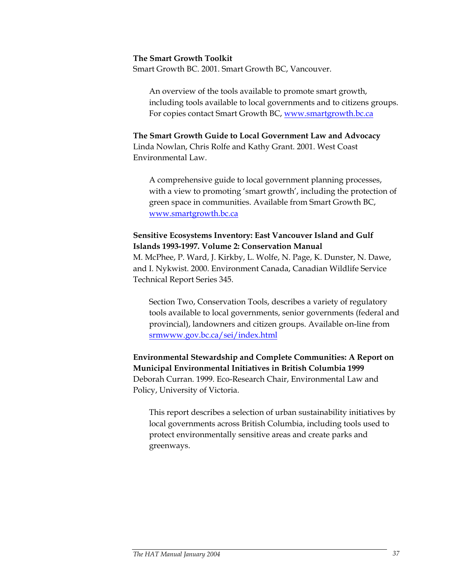#### **The Smart Growth Toolkit**

Smart Growth BC. 2001. Smart Growth BC, Vancouver.

An overview of the tools available to promote smart growth, including tools available to local governments and to citizens groups. For copies contact Smart Growth BC, www.smartgrowth.bc.ca

**The Smart Growth Guide to Local Government Law and Advocacy**  Linda Nowlan, Chris Rolfe and Kathy Grant. 2001. West Coast Environmental Law.

A comprehensive guide to local government planning processes, with a view to promoting 'smart growth', including the protection of green space in communities. Available from Smart Growth BC, www.smartgrowth.bc.ca

#### **Sensitive Ecosystems Inventory: East Vancouver Island and Gulf Islands 1993-1997. Volume 2: Conservation Manual**

M. McPhee, P. Ward, J. Kirkby, L. Wolfe, N. Page, K. Dunster, N. Dawe, and I. Nykwist. 2000. Environment Canada, Canadian Wildlife Service Technical Report Series 345.

Section Two, Conservation Tools, describes a variety of regulatory tools available to local governments, senior governments (federal and provincial), landowners and citizen groups. Available on-line from srmwww.gov.bc.ca/sei/index.html

**Environmental Stewardship and Complete Communities: A Report on Municipal Environmental Initiatives in British Columbia 1999**  Deborah Curran. 1999. Eco-Research Chair, Environmental Law and Policy, University of Victoria.

This report describes a selection of urban sustainability initiatives by local governments across British Columbia, including tools used to protect environmentally sensitive areas and create parks and greenways.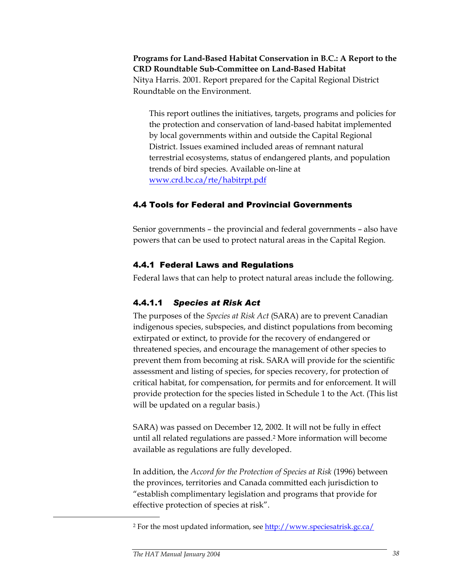**Programs for Land-Based Habitat Conservation in B.C.: A Report to the CRD Roundtable Sub-Committee on Land-Based Habitat**  Nitya Harris. 2001. Report prepared for the Capital Regional District Roundtable on the Environment.

This report outlines the initiatives, targets, programs and policies for the protection and conservation of land-based habitat implemented by local governments within and outside the Capital Regional District. Issues examined included areas of remnant natural terrestrial ecosystems, status of endangered plants, and population trends of bird species. Available on-line at www.crd.bc.ca/rte/habitrpt.pdf

### 4.4 Tools for Federal and Provincial Governments

Senior governments – the provincial and federal governments – also have powers that can be used to protect natural areas in the Capital Region.

# 4.4.1 Federal Laws and Regulations

Federal laws that can help to protect natural areas include the following.

# 4.4.1.1 *Species at Risk Act*

The purposes of the *Species at Risk Act* (SARA) are to prevent Canadian indigenous species, subspecies, and distinct populations from becoming extirpated or extinct, to provide for the recovery of endangered or threatened species, and encourage the management of other species to prevent them from becoming at risk. SARA will provide for the scientific assessment and listing of species, for species recovery, for protection of critical habitat, for compensation, for permits and for enforcement. It will provide protection for the species listed in Schedule 1 to the Act. (This list will be updated on a regular basis.)

SARA) was passed on December 12, 2002. It will not be fully in effect until all related regulations are passed.2 More information will become available as regulations are fully developed.

In addition, the *Accord for the Protection of Species at Risk* (1996) between the provinces, territories and Canada committed each jurisdiction to "establish complimentary legislation and programs that provide for effective protection of species at risk".

<u>.</u>

<sup>&</sup>lt;sup>2</sup> For the most updated information, see http://www.speciesatrisk.gc.ca/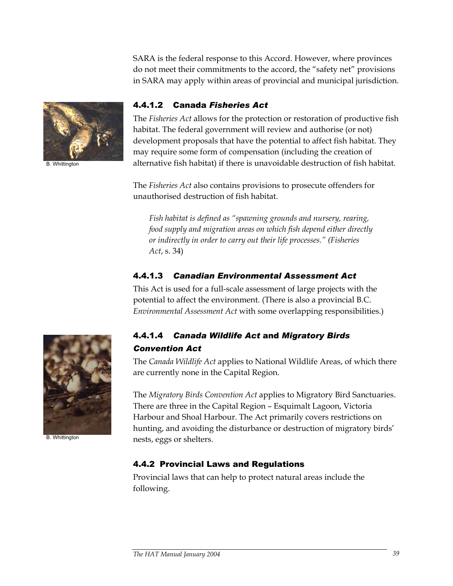SARA is the federal response to this Accord. However, where provinces do not meet their commitments to the accord, the "safety net" provisions in SARA may apply within areas of provincial and municipal jurisdiction.



B. Whittington

#### 4.4.1.2 Canada *Fisheries Act*

The *Fisheries Act* allows for the protection or restoration of productive fish habitat. The federal government will review and authorise (or not) development proposals that have the potential to affect fish habitat. They may require some form of compensation (including the creation of alternative fish habitat) if there is unavoidable destruction of fish habitat.

The *Fisheries Act* also contains provisions to prosecute offenders for unauthorised destruction of fish habitat.

*Fish habitat is defined as "spawning grounds and nursery, rearing, food supply and migration areas on which fish depend either directly or indirectly in order to carry out their life processes." (Fisheries Act*, s. 34)

# 4.4.1.3 *Canadian Environmental Assessment Act*

This Act is used for a full-scale assessment of large projects with the potential to affect the environment. (There is also a provincial B.C. *Environmental Assessment Act* with some overlapping responsibilities.)

B. Whittington

# 4.4.1.4 *Canada Wildlife Act* and *Migratory Birds Convention Act*

The *Canada Wildlife Act* applies to National Wildlife Areas, of which there are currently none in the Capital Region.

The *Migratory Birds Convention Act* applies to Migratory Bird Sanctuaries. There are three in the Capital Region – Esquimalt Lagoon, Victoria Harbour and Shoal Harbour. The Act primarily covers restrictions on hunting, and avoiding the disturbance or destruction of migratory birds' nests, eggs or shelters.

# 4.4.2 Provincial Laws and Regulations

Provincial laws that can help to protect natural areas include the following.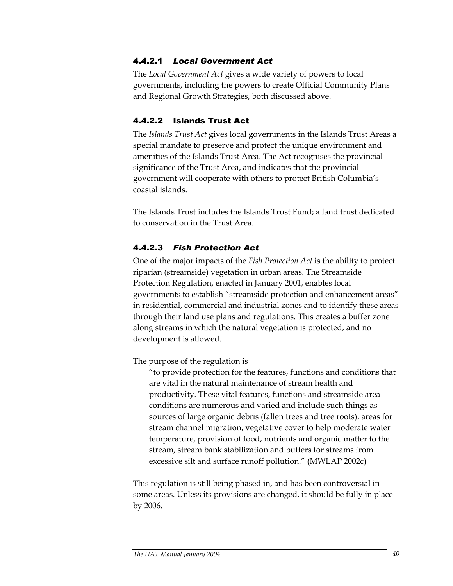# 4.4.2.1 *Local Government Act*

The *Local Government Act* gives a wide variety of powers to local governments, including the powers to create Official Community Plans and Regional Growth Strategies, both discussed above.

## 4.4.2.2 Islands Trust Act

The *Islands Trust Act* gives local governments in the Islands Trust Areas a special mandate to preserve and protect the unique environment and amenities of the Islands Trust Area. The Act recognises the provincial significance of the Trust Area, and indicates that the provincial government will cooperate with others to protect British Columbia's coastal islands.

The Islands Trust includes the Islands Trust Fund; a land trust dedicated to conservation in the Trust Area.

# 4.4.2.3 *Fish Protection Act*

One of the major impacts of the *Fish Protection Act* is the ability to protect riparian (streamside) vegetation in urban areas. The Streamside Protection Regulation, enacted in January 2001, enables local governments to establish "streamside protection and enhancement areas" in residential, commercial and industrial zones and to identify these areas through their land use plans and regulations. This creates a buffer zone along streams in which the natural vegetation is protected, and no development is allowed.

The purpose of the regulation is

"to provide protection for the features, functions and conditions that are vital in the natural maintenance of stream health and productivity. These vital features, functions and streamside area conditions are numerous and varied and include such things as sources of large organic debris (fallen trees and tree roots), areas for stream channel migration, vegetative cover to help moderate water temperature, provision of food, nutrients and organic matter to the stream, stream bank stabilization and buffers for streams from excessive silt and surface runoff pollution." (MWLAP 2002c)

This regulation is still being phased in, and has been controversial in some areas. Unless its provisions are changed, it should be fully in place by 2006.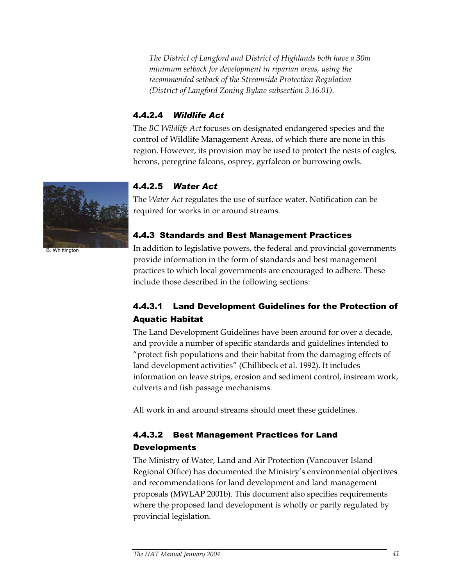*The District of Langford and District of Highlands both have a 30m minimum setback for development in riparian areas, using the recommended setback of the Streamside Protection Regulation (District of Langford Zoning Bylaw subsection 3.16.01).* 

# 4.4.2.4 *Wildlife Act*

The *BC Wildlife Act* focuses on designated endangered species and the control of Wildlife Management Areas, of which there are none in this region. However, its provision may be used to protect the nests of eagles, herons, peregrine falcons, osprey, gyrfalcon or burrowing owls.

# 4.4.2.5 *Water Act*

The *Water Act* regulates the use of surface water. Notification can be required for works in or around streams.

# 4.4.3 Standards and Best Management Practices

In addition to legislative powers, the federal and provincial governments provide information in the form of standards and best management practices to which local governments are encouraged to adhere. These include those described in the following sections:

# 4.4.3.1 Land Development Guidelines for the Protection of Aquatic Habitat

The Land Development Guidelines have been around for over a decade, and provide a number of specific standards and guidelines intended to "protect fish populations and their habitat from the damaging effects of land development activities" (Chillibeck et al. 1992). It includes information on leave strips, erosion and sediment control, instream work, culverts and fish passage mechanisms.

All work in and around streams should meet these guidelines.

# 4.4.3.2 Best Management Practices for Land Developments

The Ministry of Water, Land and Air Protection (Vancouver Island Regional Office) has documented the Ministry's environmental objectives and recommendations for land development and land management proposals (MWLAP 2001b). This document also specifies requirements where the proposed land development is wholly or partly regulated by provincial legislation.



B. Whittington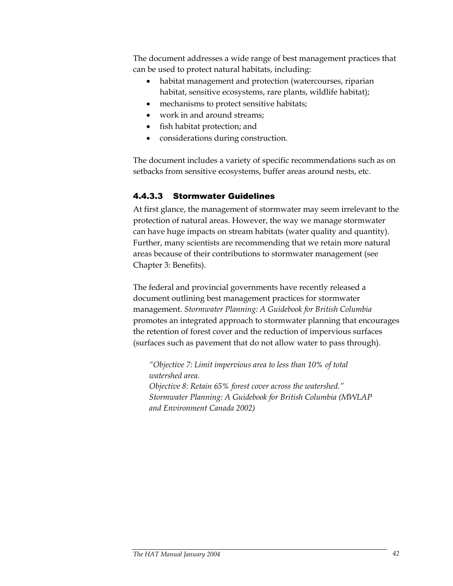The document addresses a wide range of best management practices that can be used to protect natural habitats, including:

- habitat management and protection (watercourses, riparian habitat, sensitive ecosystems, rare plants, wildlife habitat);
- mechanisms to protect sensitive habitats;
- work in and around streams:
- fish habitat protection; and
- considerations during construction.

The document includes a variety of specific recommendations such as on setbacks from sensitive ecosystems, buffer areas around nests, etc.

# 4.4.3.3 Stormwater Guidelines

At first glance, the management of stormwater may seem irrelevant to the protection of natural areas. However, the way we manage stormwater can have huge impacts on stream habitats (water quality and quantity). Further, many scientists are recommending that we retain more natural areas because of their contributions to stormwater management (see Chapter 3: Benefits).

The federal and provincial governments have recently released a document outlining best management practices for stormwater management. *Stormwater Planning: A Guidebook for British Columbia* promotes an integrated approach to stormwater planning that encourages the retention of forest cover and the reduction of impervious surfaces (surfaces such as pavement that do not allow water to pass through).

*"Objective 7: Limit impervious area to less than 10% of total watershed area. Objective 8: Retain 65% forest cover across the watershed." Stormwater Planning: A Guidebook for British Columbia (MWLAP and Environment Canada 2002)*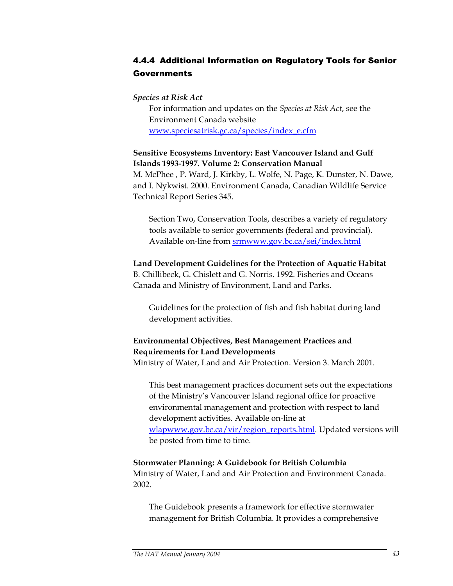# 4.4.4 Additional Information on Regulatory Tools for Senior Governments

#### *Species at Risk Act*

For information and updates on the *Species at Risk Act*, see the Environment Canada website www.speciesatrisk.gc.ca/species/index\_e.cfm

#### **Sensitive Ecosystems Inventory: East Vancouver Island and Gulf Islands 1993-1997. Volume 2: Conservation Manual**

M. McPhee , P. Ward, J. Kirkby, L. Wolfe, N. Page, K. Dunster, N. Dawe, and I. Nykwist. 2000. Environment Canada, Canadian Wildlife Service Technical Report Series 345.

Section Two, Conservation Tools, describes a variety of regulatory tools available to senior governments (federal and provincial). Available on-line from srmwww.gov.bc.ca/sei/index.html

#### **Land Development Guidelines for the Protection of Aquatic Habitat**

B. Chillibeck, G. Chislett and G. Norris. 1992. Fisheries and Oceans Canada and Ministry of Environment, Land and Parks.

Guidelines for the protection of fish and fish habitat during land development activities.

# **Environmental Objectives, Best Management Practices and Requirements for Land Developments**

Ministry of Water, Land and Air Protection. Version 3. March 2001.

This best management practices document sets out the expectations of the Ministry's Vancouver Island regional office for proactive environmental management and protection with respect to land development activities. Available on-line at wlapwww.gov.bc.ca/vir/region\_reports.html. Updated versions will be posted from time to time.

#### **Stormwater Planning: A Guidebook for British Columbia**  Ministry of Water, Land and Air Protection and Environment Canada. 2002.

The Guidebook presents a framework for effective stormwater management for British Columbia. It provides a comprehensive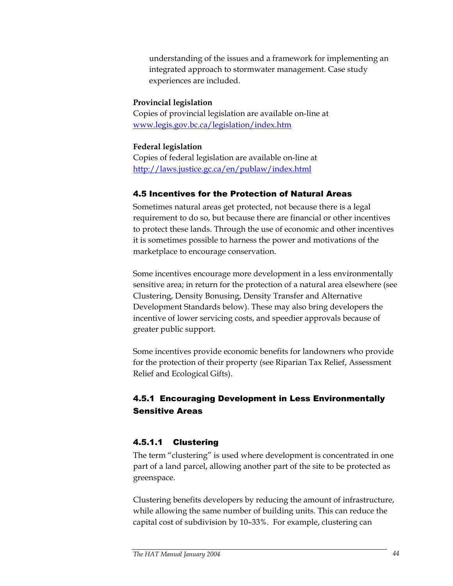understanding of the issues and a framework for implementing an integrated approach to stormwater management. Case study experiences are included.

#### **Provincial legislation**

Copies of provincial legislation are available on-line at www.legis.gov.bc.ca/legislation/index.htm

#### **Federal legislation**

Copies of federal legislation are available on-line at http://laws.justice.gc.ca/en/publaw/index.html

# 4.5 Incentives for the Protection of Natural Areas

Sometimes natural areas get protected, not because there is a legal requirement to do so, but because there are financial or other incentives to protect these lands. Through the use of economic and other incentives it is sometimes possible to harness the power and motivations of the marketplace to encourage conservation.

Some incentives encourage more development in a less environmentally sensitive area; in return for the protection of a natural area elsewhere (see Clustering, Density Bonusing, Density Transfer and Alternative Development Standards below). These may also bring developers the incentive of lower servicing costs, and speedier approvals because of greater public support.

Some incentives provide economic benefits for landowners who provide for the protection of their property (see Riparian Tax Relief, Assessment Relief and Ecological Gifts).

# 4.5.1 Encouraging Development in Less Environmentally Sensitive Areas

### 4.5.1.1 Clustering

The term "clustering" is used where development is concentrated in one part of a land parcel, allowing another part of the site to be protected as greenspace.

Clustering benefits developers by reducing the amount of infrastructure, while allowing the same number of building units. This can reduce the capital cost of subdivision by 10–33%. For example, clustering can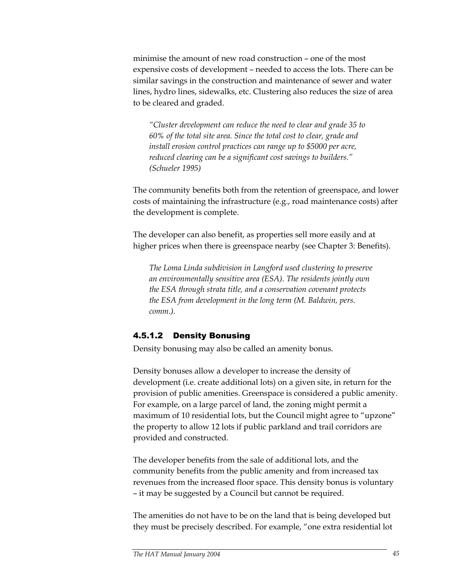minimise the amount of new road construction – one of the most expensive costs of development – needed to access the lots. There can be similar savings in the construction and maintenance of sewer and water lines, hydro lines, sidewalks, etc. Clustering also reduces the size of area to be cleared and graded.

*"Cluster development can reduce the need to clear and grade 35 to 60% of the total site area. Since the total cost to clear, grade and install erosion control practices can range up to \$5000 per acre, reduced clearing can be a significant cost savings to builders." (Schueler 1995)* 

The community benefits both from the retention of greenspace, and lower costs of maintaining the infrastructure (e.g., road maintenance costs) after the development is complete.

The developer can also benefit, as properties sell more easily and at higher prices when there is greenspace nearby (see Chapter 3: Benefits).

*The Loma Linda subdivision in Langford used clustering to preserve an environmentally sensitive area (ESA). The residents jointly own the ESA through strata title, and a conservation covenant protects the ESA from development in the long term (M. Baldwin, pers. comm.).* 

### 4.5.1.2 Density Bonusing

Density bonusing may also be called an amenity bonus.

Density bonuses allow a developer to increase the density of development (i.e. create additional lots) on a given site, in return for the provision of public amenities. Greenspace is considered a public amenity. For example, on a large parcel of land, the zoning might permit a maximum of 10 residential lots, but the Council might agree to "upzone" the property to allow 12 lots if public parkland and trail corridors are provided and constructed.

The developer benefits from the sale of additional lots, and the community benefits from the public amenity and from increased tax revenues from the increased floor space. This density bonus is voluntary – it may be suggested by a Council but cannot be required.

The amenities do not have to be on the land that is being developed but they must be precisely described. For example, "one extra residential lot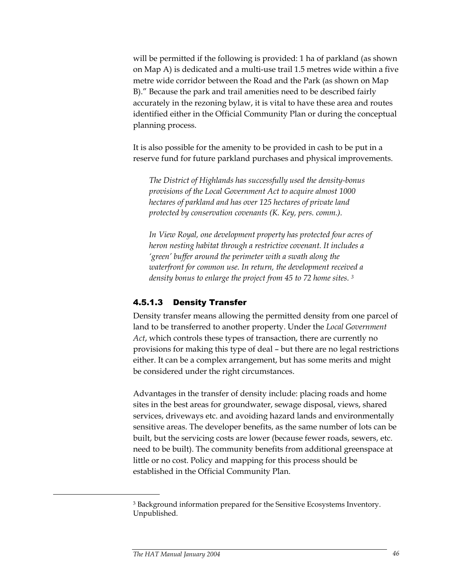will be permitted if the following is provided: 1 ha of parkland (as shown on Map A) is dedicated and a multi-use trail 1.5 metres wide within a five metre wide corridor between the Road and the Park (as shown on Map B)." Because the park and trail amenities need to be described fairly accurately in the rezoning bylaw, it is vital to have these area and routes identified either in the Official Community Plan or during the conceptual planning process.

It is also possible for the amenity to be provided in cash to be put in a reserve fund for future parkland purchases and physical improvements.

*The District of Highlands has successfully used the density-bonus provisions of the Local Government Act to acquire almost 1000 hectares of parkland and has over 125 hectares of private land protected by conservation covenants (K. Key, pers. comm.).* 

*In View Royal, one development property has protected four acres of heron nesting habitat through a restrictive covenant. It includes a 'green' buffer around the perimeter with a swath along the waterfront for common use. In return, the development received a density bonus to enlarge the project from 45 to 72 home sites. 3*

#### 4.5.1.3 Density Transfer

Density transfer means allowing the permitted density from one parcel of land to be transferred to another property. Under the *Local Government Act*, which controls these types of transaction, there are currently no provisions for making this type of deal – but there are no legal restrictions either. It can be a complex arrangement, but has some merits and might be considered under the right circumstances.

Advantages in the transfer of density include: placing roads and home sites in the best areas for groundwater, sewage disposal, views, shared services, driveways etc. and avoiding hazard lands and environmentally sensitive areas. The developer benefits, as the same number of lots can be built, but the servicing costs are lower (because fewer roads, sewers, etc. need to be built). The community benefits from additional greenspace at little or no cost. Policy and mapping for this process should be established in the Official Community Plan.

 $\ddot{\phantom{a}}$ 

<sup>&</sup>lt;sup>3</sup> Background information prepared for the Sensitive Ecosystems Inventory. Unpublished.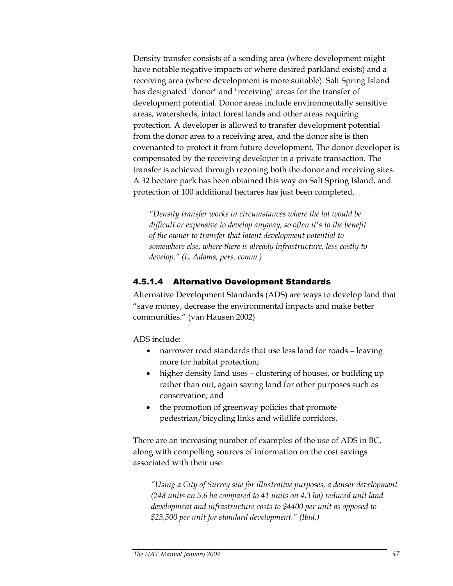Density transfer consists of a sending area (where development might have notable negative impacts or where desired parkland exists) and a receiving area (where development is more suitable). Salt Spring Island has designated "donor" and "receiving" areas for the transfer of development potential. Donor areas include environmentally sensitive areas, watersheds, intact forest lands and other areas requiring protection. A developer is allowed to transfer development potential from the donor area to a receiving area, and the donor site is then covenanted to protect it from future development. The donor developer is compensated by the receiving developer in a private transaction. The transfer is achieved through rezoning both the donor and receiving sites. A 32 hectare park has been obtained this way on Salt Spring Island, and protection of 100 additional hectares has just been completed.

*"Density transfer works in circumstances where the lot would be difficult or expensive to develop anyway, so often it's to the benefit of the owner to transfer that latent development potential to somewhere else, where there is already infrastructure, less costly to develop." (L. Adams, pers. comm.)* 

# 4.5.1.4 Alternative Development Standards

Alternative Development Standards (ADS) are ways to develop land that "save money, decrease the environmental impacts and make better communities." (van Hausen 2002)

ADS include:

- narrower road standards that use less land for roads leaving more for habitat protection;
- higher density land uses clustering of houses, or building up rather than out, again saving land for other purposes such as conservation; and
- the promotion of greenway policies that promote pedestrian/bicycling links and wildlife corridors.

There are an increasing number of examples of the use of ADS in BC, along with compelling sources of information on the cost savings associated with their use.

*"Using a City of Surrey site for illustrative purposes, a denser development (248 units on 5.6 ha compared to 41 units on 4.3 ha) reduced unit land development and infrastructure costs to \$4400 per unit as opposed to \$23,500 per unit for standard development." (Ibid.)*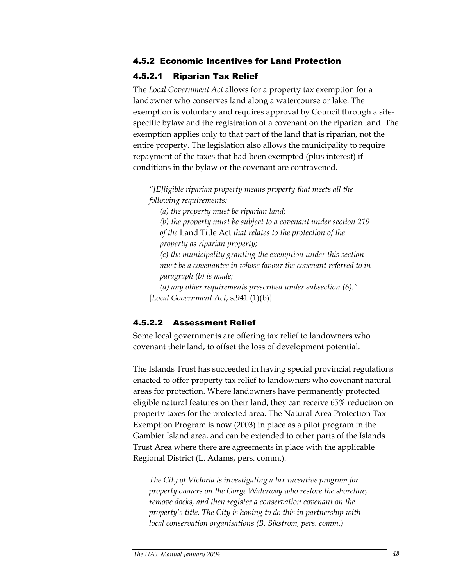#### 4.5.2 Economic Incentives for Land Protection

#### 4.5.2.1 Riparian Tax Relief

The *Local Government Act* allows for a property tax exemption for a landowner who conserves land along a watercourse or lake. The exemption is voluntary and requires approval by Council through a sitespecific bylaw and the registration of a covenant on the riparian land. The exemption applies only to that part of the land that is riparian, not the entire property. The legislation also allows the municipality to require repayment of the taxes that had been exempted (plus interest) if conditions in the bylaw or the covenant are contravened.

*"[E]ligible riparian property means property that meets all the following requirements:* 

*(a) the property must be riparian land;* 

*(b) the property must be subject to a covenant under section 219 of the* Land Title Act *that relates to the protection of the property as riparian property;* 

*(c) the municipality granting the exemption under this section must be a covenantee in whose favour the covenant referred to in paragraph (b) is made;* 

*(d) any other requirements prescribed under subsection (6)."*  [*Local Government Act*, s.941 (1)(b)]

### 4.5.2.2 Assessment Relief

Some local governments are offering tax relief to landowners who covenant their land, to offset the loss of development potential.

The Islands Trust has succeeded in having special provincial regulations enacted to offer property tax relief to landowners who covenant natural areas for protection. Where landowners have permanently protected eligible natural features on their land, they can receive 65% reduction on property taxes for the protected area. The Natural Area Protection Tax Exemption Program is now (2003) in place as a pilot program in the Gambier Island area, and can be extended to other parts of the Islands Trust Area where there are agreements in place with the applicable Regional District (L. Adams, pers. comm.).

*The City of Victoria is investigating a tax incentive program for property owners on the Gorge Waterway who restore the shoreline, remove docks, and then register a conservation covenant on the property's title. The City is hoping to do this in partnership with local conservation organisations (B. Sikstrom, pers. comm.)*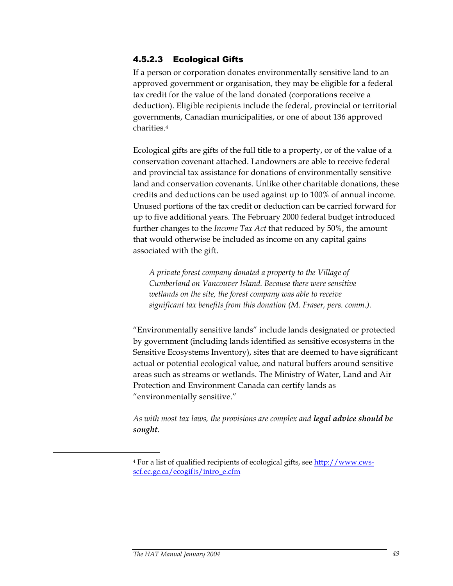# 4.5.2.3 Ecological Gifts

If a person or corporation donates environmentally sensitive land to an approved government or organisation, they may be eligible for a federal tax credit for the value of the land donated (corporations receive a deduction). Eligible recipients include the federal, provincial or territorial governments, Canadian municipalities, or one of about 136 approved charities.4

Ecological gifts are gifts of the full title to a property, or of the value of a conservation covenant attached. Landowners are able to receive federal and provincial tax assistance for donations of environmentally sensitive land and conservation covenants. Unlike other charitable donations, these credits and deductions can be used against up to 100% of annual income. Unused portions of the tax credit or deduction can be carried forward for up to five additional years. The February 2000 federal budget introduced further changes to the *Income Tax Act* that reduced by 50%, the amount that would otherwise be included as income on any capital gains associated with the gift.

*A private forest company donated a property to the Village of Cumberland on Vancouver Island. Because there were sensitive wetlands on the site, the forest company was able to receive significant tax benefits from this donation (M. Fraser, pers. comm.).* 

"Environmentally sensitive lands" include lands designated or protected by government (including lands identified as sensitive ecosystems in the Sensitive Ecosystems Inventory), sites that are deemed to have significant actual or potential ecological value, and natural buffers around sensitive areas such as streams or wetlands. The Ministry of Water, Land and Air Protection and Environment Canada can certify lands as "environmentally sensitive."

*As with most tax laws, the provisions are complex and legal advice should be sought.* 

<u>.</u>

<sup>&</sup>lt;sup>4</sup> For a list of qualified recipients of ecological gifts, see http://www.cwsscf.ec.gc.ca/ecogifts/intro\_e.cfm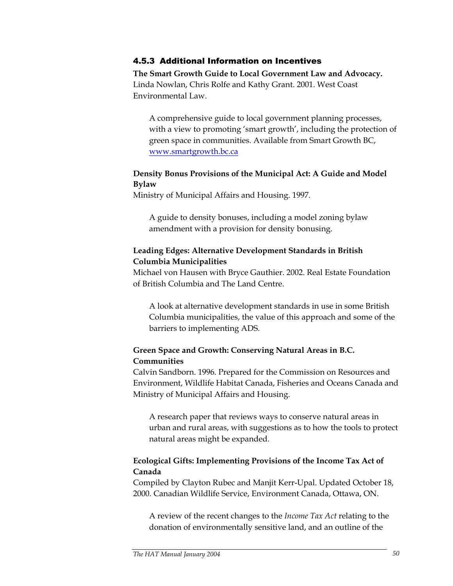#### 4.5.3 Additional Information on Incentives

**The Smart Growth Guide to Local Government Law and Advocacy.**  Linda Nowlan, Chris Rolfe and Kathy Grant. 2001. West Coast Environmental Law.

A comprehensive guide to local government planning processes, with a view to promoting 'smart growth', including the protection of green space in communities. Available from Smart Growth BC, www.smartgrowth.bc.ca

#### **Density Bonus Provisions of the Municipal Act: A Guide and Model Bylaw**

Ministry of Municipal Affairs and Housing. 1997.

A guide to density bonuses, including a model zoning bylaw amendment with a provision for density bonusing.

#### **Leading Edges: Alternative Development Standards in British Columbia Municipalities**

Michael von Hausen with Bryce Gauthier. 2002. Real Estate Foundation of British Columbia and The Land Centre.

A look at alternative development standards in use in some British Columbia municipalities, the value of this approach and some of the barriers to implementing ADS.

# **Green Space and Growth: Conserving Natural Areas in B.C. Communities**

Calvin Sandborn. 1996. Prepared for the Commission on Resources and Environment, Wildlife Habitat Canada, Fisheries and Oceans Canada and Ministry of Municipal Affairs and Housing.

A research paper that reviews ways to conserve natural areas in urban and rural areas, with suggestions as to how the tools to protect natural areas might be expanded.

# **Ecological Gifts: Implementing Provisions of the Income Tax Act of Canada**

Compiled by Clayton Rubec and Manjit Kerr-Upal. Updated October 18, 2000. Canadian Wildlife Service, Environment Canada, Ottawa, ON.

A review of the recent changes to the *Income Tax Act* relating to the donation of environmentally sensitive land, and an outline of the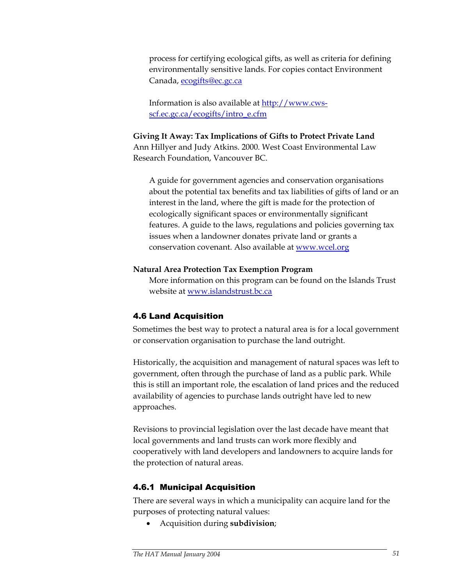process for certifying ecological gifts, as well as criteria for defining environmentally sensitive lands. For copies contact Environment Canada, ecogifts@ec.gc.ca

Information is also available at http://www.cwsscf.ec.gc.ca/ecogifts/intro\_e.cfm

# **Giving It Away: Tax Implications of Gifts to Protect Private Land**

Ann Hillyer and Judy Atkins. 2000. West Coast Environmental Law Research Foundation, Vancouver BC.

A guide for government agencies and conservation organisations about the potential tax benefits and tax liabilities of gifts of land or an interest in the land, where the gift is made for the protection of ecologically significant spaces or environmentally significant features. A guide to the laws, regulations and policies governing tax issues when a landowner donates private land or grants a conservation covenant. Also available at www.wcel.org

#### **Natural Area Protection Tax Exemption Program**

More information on this program can be found on the Islands Trust website at www.islandstrust.bc.ca

# 4.6 Land Acquisition

Sometimes the best way to protect a natural area is for a local government or conservation organisation to purchase the land outright.

Historically, the acquisition and management of natural spaces was left to government, often through the purchase of land as a public park. While this is still an important role, the escalation of land prices and the reduced availability of agencies to purchase lands outright have led to new approaches.

Revisions to provincial legislation over the last decade have meant that local governments and land trusts can work more flexibly and cooperatively with land developers and landowners to acquire lands for the protection of natural areas.

# 4.6.1 Municipal Acquisition

There are several ways in which a municipality can acquire land for the purposes of protecting natural values:

• Acquisition during **subdivision**;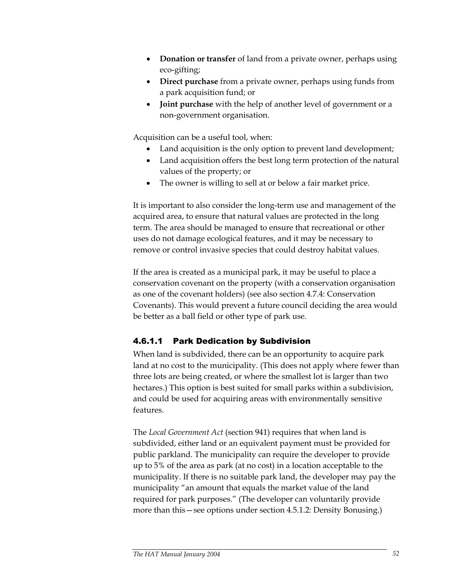- **Donation or transfer** of land from a private owner, perhaps using eco-gifting;
- **Direct purchase** from a private owner, perhaps using funds from a park acquisition fund; or
- **Joint purchase** with the help of another level of government or a non-government organisation.

Acquisition can be a useful tool, when:

- Land acquisition is the only option to prevent land development;
- Land acquisition offers the best long term protection of the natural values of the property; or
- The owner is willing to sell at or below a fair market price.

It is important to also consider the long-term use and management of the acquired area, to ensure that natural values are protected in the long term. The area should be managed to ensure that recreational or other uses do not damage ecological features, and it may be necessary to remove or control invasive species that could destroy habitat values.

If the area is created as a municipal park, it may be useful to place a conservation covenant on the property (with a conservation organisation as one of the covenant holders) (see also section 4.7.4: Conservation Covenants). This would prevent a future council deciding the area would be better as a ball field or other type of park use.

# 4.6.1.1 Park Dedication by Subdivision

When land is subdivided, there can be an opportunity to acquire park land at no cost to the municipality. (This does not apply where fewer than three lots are being created, or where the smallest lot is larger than two hectares.) This option is best suited for small parks within a subdivision, and could be used for acquiring areas with environmentally sensitive features.

The *Local Government Act* (section 941) requires that when land is subdivided, either land or an equivalent payment must be provided for public parkland. The municipality can require the developer to provide up to 5% of the area as park (at no cost) in a location acceptable to the municipality. If there is no suitable park land, the developer may pay the municipality "an amount that equals the market value of the land required for park purposes." (The developer can voluntarily provide more than this—see options under section 4.5.1.2: Density Bonusing.)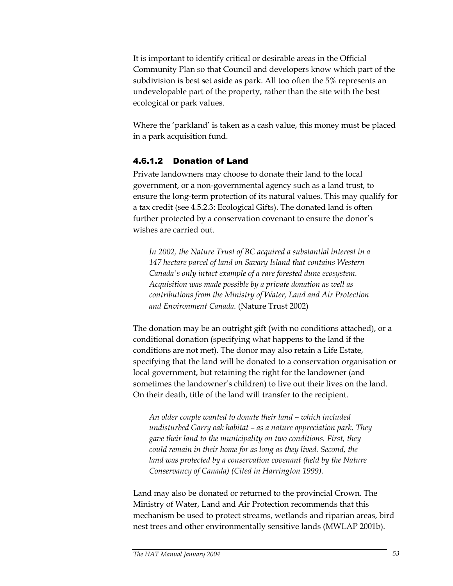It is important to identify critical or desirable areas in the Official Community Plan so that Council and developers know which part of the subdivision is best set aside as park. All too often the 5% represents an undevelopable part of the property, rather than the site with the best ecological or park values.

Where the 'parkland' is taken as a cash value, this money must be placed in a park acquisition fund.

# 4.6.1.2 Donation of Land

Private landowners may choose to donate their land to the local government, or a non-governmental agency such as a land trust, to ensure the long-term protection of its natural values. This may qualify for a tax credit (see 4.5.2.3: Ecological Gifts). The donated land is often further protected by a conservation covenant to ensure the donor's wishes are carried out.

*In 2002, the Nature Trust of BC acquired a substantial interest in a 147 hectare parcel of land on Savary Island that contains Western Canada's only intact example of a rare forested dune ecosystem. Acquisition was made possible by a private donation as well as contributions from the Ministry of Water, Land and Air Protection and Environment Canada.* (Nature Trust 2002)

The donation may be an outright gift (with no conditions attached), or a conditional donation (specifying what happens to the land if the conditions are not met). The donor may also retain a Life Estate, specifying that the land will be donated to a conservation organisation or local government, but retaining the right for the landowner (and sometimes the landowner's children) to live out their lives on the land. On their death, title of the land will transfer to the recipient.

*An older couple wanted to donate their land – which included undisturbed Garry oak habitat – as a nature appreciation park. They gave their land to the municipality on two conditions. First, they could remain in their home for as long as they lived. Second, the*  land was protected by a conservation covenant (held by the Nature *Conservancy of Canada) (Cited in Harrington 1999).* 

Land may also be donated or returned to the provincial Crown. The Ministry of Water, Land and Air Protection recommends that this mechanism be used to protect streams, wetlands and riparian areas, bird nest trees and other environmentally sensitive lands (MWLAP 2001b).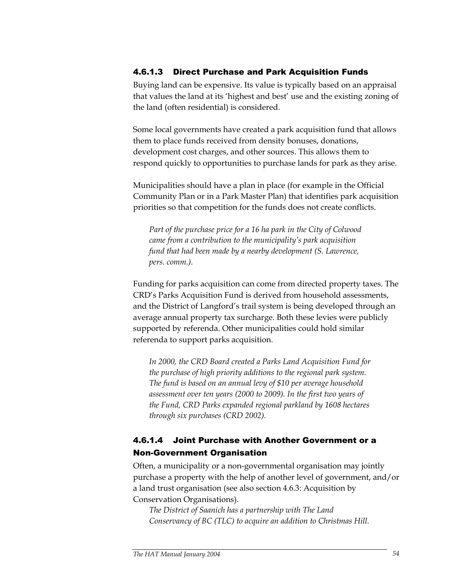# 4.6.1.3 Direct Purchase and Park Acquisition Funds

Buying land can be expensive. Its value is typically based on an appraisal that values the land at its 'highest and best' use and the existing zoning of the land (often residential) is considered.

Some local governments have created a park acquisition fund that allows them to place funds received from density bonuses, donations, development cost charges, and other sources. This allows them to respond quickly to opportunities to purchase lands for park as they arise.

Municipalities should have a plan in place (for example in the Official Community Plan or in a Park Master Plan) that identifies park acquisition priorities so that competition for the funds does not create conflicts.

*Part of the purchase price for a 16 ha park in the City of Colwood came from a contribution to the municipality's park acquisition fund that had been made by a nearby development (S. Lawrence, pers. comm.).* 

Funding for parks acquisition can come from directed property taxes. The CRD's Parks Acquisition Fund is derived from household assessments, and the District of Langford's trail system is being developed through an average annual property tax surcharge. Both these levies were publicly supported by referenda. Other municipalities could hold similar referenda to support parks acquisition.

*In 2000, the CRD Board created a Parks Land Acquisition Fund for the purchase of high priority additions to the regional park system. The fund is based on an annual levy of \$10 per average household assessment over ten years (2000 to 2009). In the first two years of the Fund, CRD Parks expanded regional parkland by 1608 hectares through six purchases (CRD 2002).* 

# 4.6.1.4 Joint Purchase with Another Government or a Non-Government Organisation

Often, a municipality or a non-governmental organisation may jointly purchase a property with the help of another level of government, and/or a land trust organisation (see also section 4.6.3: Acquisition by Conservation Organisations).

*The District of Saanich has a partnership with The Land Conservancy of BC (TLC) to acquire an addition to Christmas Hill.*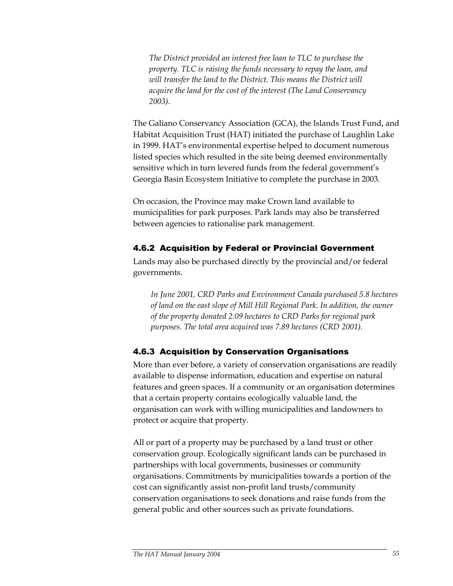*The District provided an interest free loan to TLC to purchase the property. TLC is raising the funds necessary to repay the loan, and will transfer the land to the District. This means the District will acquire the land for the cost of the interest (The Land Conservancy 2003).* 

The Galiano Conservancy Association (GCA), the Islands Trust Fund, and Habitat Acquisition Trust (HAT) initiated the purchase of Laughlin Lake in 1999. HAT's environmental expertise helped to document numerous listed species which resulted in the site being deemed environmentally sensitive which in turn levered funds from the federal government's Georgia Basin Ecosystem Initiative to complete the purchase in 2003.

On occasion, the Province may make Crown land available to municipalities for park purposes. Park lands may also be transferred between agencies to rationalise park management.

# 4.6.2 Acquisition by Federal or Provincial Government

Lands may also be purchased directly by the provincial and/or federal governments.

*In June 2001, CRD Parks and Environment Canada purchased 5.8 hectares of land on the east slope of Mill Hill Regional Park. In addition, the owner of the property donated 2.09 hectares to CRD Parks for regional park purposes. The total area acquired was 7.89 hectares (CRD 2001).* 

# 4.6.3 Acquisition by Conservation Organisations

More than ever before, a variety of conservation organisations are readily available to dispense information, education and expertise on natural features and green spaces. If a community or an organisation determines that a certain property contains ecologically valuable land, the organisation can work with willing municipalities and landowners to protect or acquire that property.

All or part of a property may be purchased by a land trust or other conservation group. Ecologically significant lands can be purchased in partnerships with local governments, businesses or community organisations. Commitments by municipalities towards a portion of the cost can significantly assist non-profit land trusts/community conservation organisations to seek donations and raise funds from the general public and other sources such as private foundations.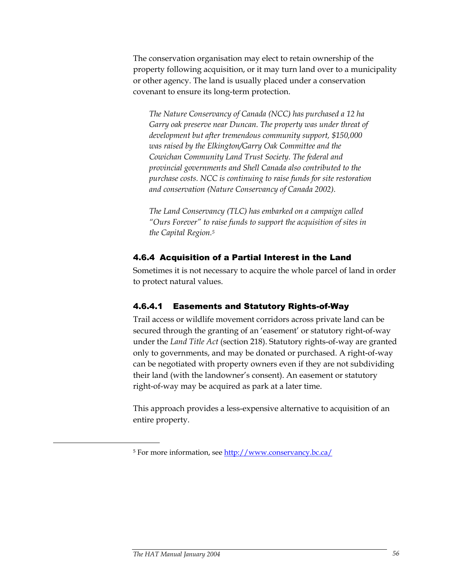The conservation organisation may elect to retain ownership of the property following acquisition, or it may turn land over to a municipality or other agency. The land is usually placed under a conservation covenant to ensure its long-term protection.

*The Nature Conservancy of Canada (NCC) has purchased a 12 ha Garry oak preserve near Duncan. The property was under threat of development but after tremendous community support, \$150,000 was raised by the Elkington/Garry Oak Committee and the Cowichan Community Land Trust Society. The federal and provincial governments and Shell Canada also contributed to the purchase costs. NCC is continuing to raise funds for site restoration and conservation (Nature Conservancy of Canada 2002).* 

*The Land Conservancy (TLC) has embarked on a campaign called "Ours Forever" to raise funds to support the acquisition of sites in the Capital Region.5* 

# 4.6.4 Acquisition of a Partial Interest in the Land

Sometimes it is not necessary to acquire the whole parcel of land in order to protect natural values.

# 4.6.4.1 Easements and Statutory Rights-of-Way

Trail access or wildlife movement corridors across private land can be secured through the granting of an 'easement' or statutory right-of-way under the *Land Title Act* (section 218). Statutory rights-of-way are granted only to governments, and may be donated or purchased. A right-of-way can be negotiated with property owners even if they are not subdividing their land (with the landowner's consent). An easement or statutory right-of-way may be acquired as park at a later time.

This approach provides a less-expensive alternative to acquisition of an entire property.

-

<sup>5</sup> For more information, see http://www.conservancy.bc.ca/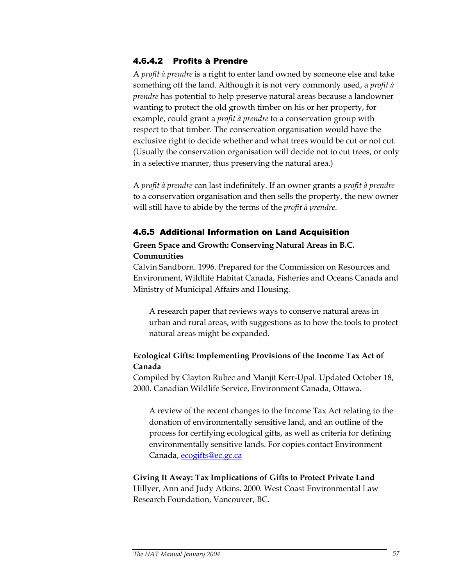## 4.6.4.2 Profits à Prendre

A *profit à prendre* is a right to enter land owned by someone else and take something off the land. Although it is not very commonly used, a *profit à prendre* has potential to help preserve natural areas because a landowner wanting to protect the old growth timber on his or her property, for example, could grant a *profit à prendre* to a conservation group with respect to that timber. The conservation organisation would have the exclusive right to decide whether and what trees would be cut or not cut. (Usually the conservation organisation will decide not to cut trees, or only in a selective manner, thus preserving the natural area.)

A *profit à prendre* can last indefinitely. If an owner grants a *profit à prendre* to a conservation organisation and then sells the property, the new owner will still have to abide by the terms of the *profit à prendre*.

### 4.6.5 Additional Information on Land Acquisition

# **Green Space and Growth: Conserving Natural Areas in B.C. Communities**

Calvin Sandborn. 1996. Prepared for the Commission on Resources and Environment, Wildlife Habitat Canada, Fisheries and Oceans Canada and Ministry of Municipal Affairs and Housing.

A research paper that reviews ways to conserve natural areas in urban and rural areas, with suggestions as to how the tools to protect natural areas might be expanded.

# **Ecological Gifts: Implementing Provisions of the Income Tax Act of Canada**

Compiled by Clayton Rubec and Manjit Kerr-Upal. Updated October 18, 2000. Canadian Wildlife Service, Environment Canada, Ottawa.

A review of the recent changes to the Income Tax Act relating to the donation of environmentally sensitive land, and an outline of the process for certifying ecological gifts, as well as criteria for defining environmentally sensitive lands. For copies contact Environment Canada, ecogifts@ec.gc.ca

### **Giving It Away: Tax Implications of Gifts to Protect Private Land**  Hillyer, Ann and Judy Atkins. 2000. West Coast Environmental Law Research Foundation, Vancouver, BC.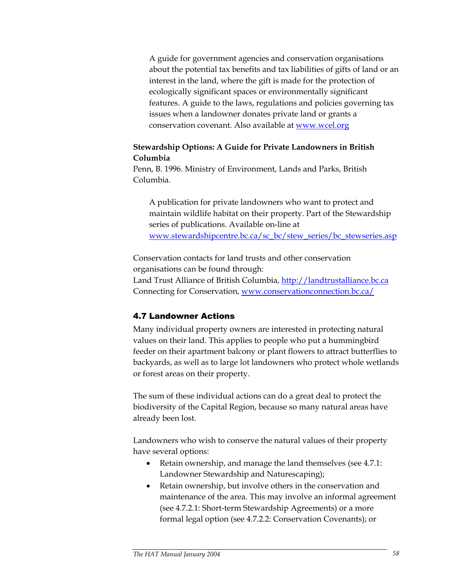A guide for government agencies and conservation organisations about the potential tax benefits and tax liabilities of gifts of land or an interest in the land, where the gift is made for the protection of ecologically significant spaces or environmentally significant features. A guide to the laws, regulations and policies governing tax issues when a landowner donates private land or grants a conservation covenant. Also available at www.wcel.org

### **Stewardship Options: A Guide for Private Landowners in British Columbia**

Penn, B. 1996. Ministry of Environment, Lands and Parks, British Columbia.

A publication for private landowners who want to protect and maintain wildlife habitat on their property. Part of the Stewardship series of publications. Available on-line at www.stewardshipcentre.bc.ca/sc\_bc/stew\_series/bc\_stewseries.asp

Conservation contacts for land trusts and other conservation organisations can be found through: Land Trust Alliance of British Columbia, http://landtrustalliance.bc.ca Connecting for Conservation, www.conservationconnection.bc.ca/

# 4.7 Landowner Actions

Many individual property owners are interested in protecting natural values on their land. This applies to people who put a hummingbird feeder on their apartment balcony or plant flowers to attract butterflies to backyards, as well as to large lot landowners who protect whole wetlands or forest areas on their property.

The sum of these individual actions can do a great deal to protect the biodiversity of the Capital Region, because so many natural areas have already been lost.

Landowners who wish to conserve the natural values of their property have several options:

- Retain ownership, and manage the land themselves (see 4.7.1: Landowner Stewardship and Naturescaping);
- Retain ownership, but involve others in the conservation and maintenance of the area. This may involve an informal agreement (see 4.7.2.1: Short-term Stewardship Agreements) or a more formal legal option (see 4.7.2.2: Conservation Covenants); or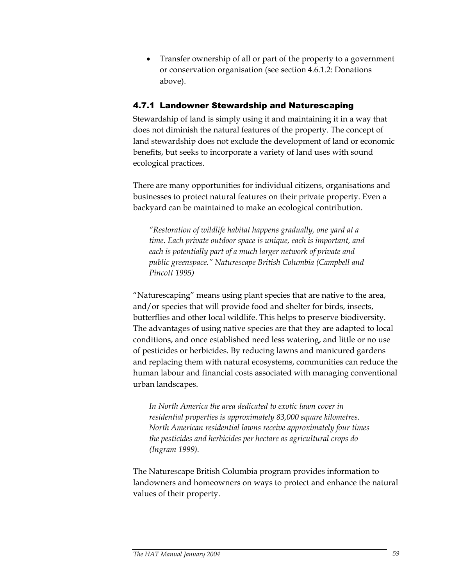• Transfer ownership of all or part of the property to a government or conservation organisation (see section 4.6.1.2: Donations above).

# 4.7.1 Landowner Stewardship and Naturescaping

Stewardship of land is simply using it and maintaining it in a way that does not diminish the natural features of the property. The concept of land stewardship does not exclude the development of land or economic benefits, but seeks to incorporate a variety of land uses with sound ecological practices.

There are many opportunities for individual citizens, organisations and businesses to protect natural features on their private property. Even a backyard can be maintained to make an ecological contribution.

*"Restoration of wildlife habitat happens gradually, one yard at a time. Each private outdoor space is unique, each is important, and each is potentially part of a much larger network of private and public greenspace." Naturescape British Columbia (Campbell and Pincott 1995)* 

"Naturescaping" means using plant species that are native to the area, and/or species that will provide food and shelter for birds, insects, butterflies and other local wildlife. This helps to preserve biodiversity. The advantages of using native species are that they are adapted to local conditions, and once established need less watering, and little or no use of pesticides or herbicides. By reducing lawns and manicured gardens and replacing them with natural ecosystems, communities can reduce the human labour and financial costs associated with managing conventional urban landscapes.

*In North America the area dedicated to exotic lawn cover in residential properties is approximately 83,000 square kilometres. North American residential lawns receive approximately four times the pesticides and herbicides per hectare as agricultural crops do (Ingram 1999).* 

The Naturescape British Columbia program provides information to landowners and homeowners on ways to protect and enhance the natural values of their property.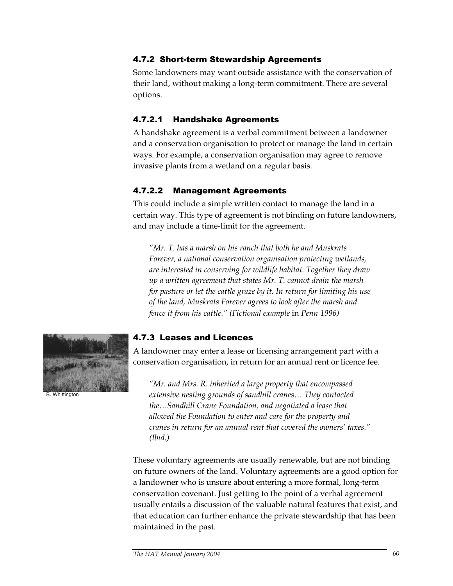# 4.7.2 Short-term Stewardship Agreements

Some landowners may want outside assistance with the conservation of their land, without making a long-term commitment. There are several options.

# 4.7.2.1 Handshake Agreements

A handshake agreement is a verbal commitment between a landowner and a conservation organisation to protect or manage the land in certain ways. For example, a conservation organisation may agree to remove invasive plants from a wetland on a regular basis.

# 4.7.2.2 Management Agreements

This could include a simple written contact to manage the land in a certain way. This type of agreement is not binding on future landowners, and may include a time-limit for the agreement.

*"Mr. T. has a marsh on his ranch that both he and Muskrats Forever, a national conservation organisation protecting wetlands, are interested in conserving for wildlife habitat. Together they draw up a written agreement that states Mr. T. cannot drain the marsh for pasture or let the cattle graze by it. In return for limiting his use of the land, Muskrats Forever agrees to look after the marsh and fence it from his cattle." (Fictional example* in *Penn 1996)* 



B. Whittington

#### 4.7.3 Leases and Licences

A landowner may enter a lease or licensing arrangement part with a conservation organisation, in return for an annual rent or licence fee.

*"Mr. and Mrs. R. inherited a large property that encompassed extensive nesting grounds of sandhill cranes… They contacted the…Sandhill Crane Foundation, and negotiated a lease that allowed the Foundation to enter and care for the property and cranes in return for an annual rent that covered the owners' taxes." (Ibid.)* 

These voluntary agreements are usually renewable, but are not binding on future owners of the land. Voluntary agreements are a good option for a landowner who is unsure about entering a more formal, long-term conservation covenant. Just getting to the point of a verbal agreement usually entails a discussion of the valuable natural features that exist, and that education can further enhance the private stewardship that has been maintained in the past.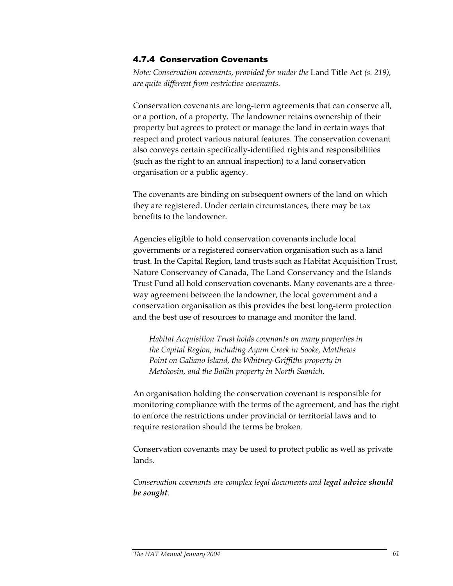#### 4.7.4 Conservation Covenants

*Note: Conservation covenants, provided for under the* Land Title Act *(s. 219), are quite different from restrictive covenants.* 

Conservation covenants are long-term agreements that can conserve all, or a portion, of a property. The landowner retains ownership of their property but agrees to protect or manage the land in certain ways that respect and protect various natural features. The conservation covenant also conveys certain specifically-identified rights and responsibilities (such as the right to an annual inspection) to a land conservation organisation or a public agency.

The covenants are binding on subsequent owners of the land on which they are registered. Under certain circumstances, there may be tax benefits to the landowner.

Agencies eligible to hold conservation covenants include local governments or a registered conservation organisation such as a land trust. In the Capital Region, land trusts such as Habitat Acquisition Trust, Nature Conservancy of Canada, The Land Conservancy and the Islands Trust Fund all hold conservation covenants. Many covenants are a threeway agreement between the landowner, the local government and a conservation organisation as this provides the best long-term protection and the best use of resources to manage and monitor the land.

*Habitat Acquisition Trust holds covenants on many properties in the Capital Region, including Ayum Creek in Sooke, Matthews Point on Galiano Island, the Whitney-Griffiths property in Metchosin, and the Bailin property in North Saanich.*

An organisation holding the conservation covenant is responsible for monitoring compliance with the terms of the agreement, and has the right to enforce the restrictions under provincial or territorial laws and to require restoration should the terms be broken.

Conservation covenants may be used to protect public as well as private lands.

*Conservation covenants are complex legal documents and legal advice should be sought.*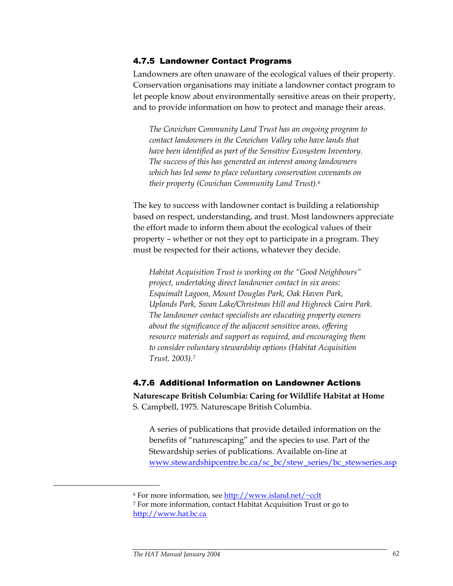#### 4.7.5 Landowner Contact Programs

Landowners are often unaware of the ecological values of their property. Conservation organisations may initiate a landowner contact program to let people know about environmentally sensitive areas on their property, and to provide information on how to protect and manage their areas.

*The Cowichan Community Land Trust has an ongoing program to contact landowners in the Cowichan Valley who have lands that have been identified as part of the Sensitive Ecosystem Inventory. The success of this has generated an interest among landowners which has led some to place voluntary conservation covenants on their property (Cowichan Community Land Trust).6* 

The key to success with landowner contact is building a relationship based on respect, understanding, and trust. Most landowners appreciate the effort made to inform them about the ecological values of their property – whether or not they opt to participate in a program. They must be respected for their actions, whatever they decide.

*Habitat Acquisition Trust is working on the "Good Neighbours" project, undertaking direct landowner contact in six areas: Esquimalt Lagoon, Mount Douglas Park, Oak Haven Park, Uplands Park, Swan Lake/Christmas Hill and Highrock Cairn Park. The landowner contact specialists are educating property owners about the significance of the adjacent sensitive areas, offering resource materials and support as required, and encouraging them to consider voluntary stewardship options (Habitat Acquisition Trust, 2003).7*

## 4.7.6 Additional Information on Landowner Actions

**Naturescape British Columbia: Caring for Wildlife Habitat at Home**  S. Campbell, 1975. Naturescape British Columbia.

A series of publications that provide detailed information on the benefits of "naturescaping" and the species to use. Part of the Stewardship series of publications. Available on-line at www.stewardshipcentre.bc.ca/sc\_bc/stew\_series/bc\_stewseries.asp

<u>.</u>

<sup>&</sup>lt;sup>6</sup> For more information, see  $\frac{\text{http://www.island.net/~colt}}{\text{a}$ <br><sup>7</sup> For more information, contact Habitat Acquisition Trust or go to http://www.hat.bc.ca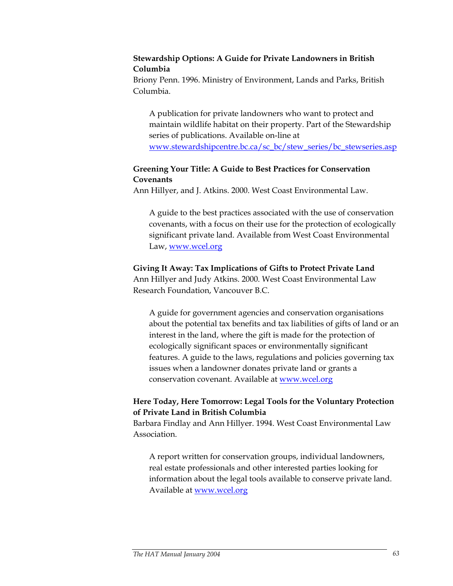#### **Stewardship Options: A Guide for Private Landowners in British Columbia**

Briony Penn. 1996. Ministry of Environment, Lands and Parks, British Columbia.

A publication for private landowners who want to protect and maintain wildlife habitat on their property. Part of the Stewardship series of publications. Available on-line at www.stewardshipcentre.bc.ca/sc\_bc/stew\_series/bc\_stewseries.asp

# **Greening Your Title: A Guide to Best Practices for Conservation Covenants**

Ann Hillyer, and J. Atkins. 2000. West Coast Environmental Law.

A guide to the best practices associated with the use of conservation covenants, with a focus on their use for the protection of ecologically significant private land. Available from West Coast Environmental Law, www.wcel.org

### **Giving It Away: Tax Implications of Gifts to Protect Private Land**

Ann Hillyer and Judy Atkins. 2000. West Coast Environmental Law Research Foundation, Vancouver B.C.

A guide for government agencies and conservation organisations about the potential tax benefits and tax liabilities of gifts of land or an interest in the land, where the gift is made for the protection of ecologically significant spaces or environmentally significant features. A guide to the laws, regulations and policies governing tax issues when a landowner donates private land or grants a conservation covenant. Available at www.wcel.org

# **Here Today, Here Tomorrow: Legal Tools for the Voluntary Protection of Private Land in British Columbia**

Barbara Findlay and Ann Hillyer. 1994. West Coast Environmental Law Association.

A report written for conservation groups, individual landowners, real estate professionals and other interested parties looking for information about the legal tools available to conserve private land. Available at www.wcel.org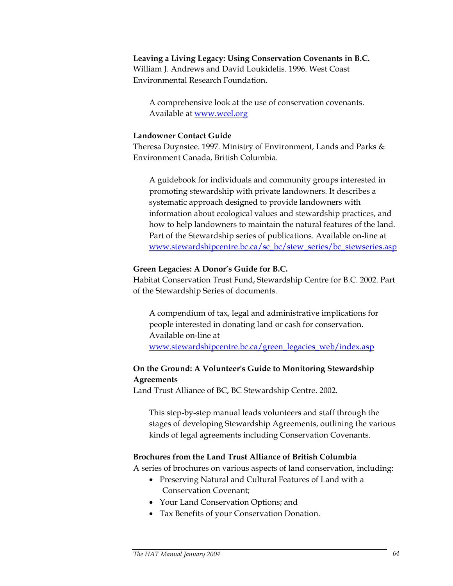#### **Leaving a Living Legacy: Using Conservation Covenants in B.C.**

William J. Andrews and David Loukidelis. 1996. West Coast Environmental Research Foundation.

A comprehensive look at the use of conservation covenants. Available at www.wcel.org

#### **Landowner Contact Guide**

Theresa Duynstee. 1997. Ministry of Environment, Lands and Parks & Environment Canada, British Columbia.

A guidebook for individuals and community groups interested in promoting stewardship with private landowners. It describes a systematic approach designed to provide landowners with information about ecological values and stewardship practices, and how to help landowners to maintain the natural features of the land. Part of the Stewardship series of publications. Available on-line at www.stewardshipcentre.bc.ca/sc\_bc/stew\_series/bc\_stewseries.asp

#### **Green Legacies: A Donor's Guide for B.C.**

Habitat Conservation Trust Fund, Stewardship Centre for B.C. 2002. Part of the Stewardship Series of documents.

A compendium of tax, legal and administrative implications for people interested in donating land or cash for conservation. Available on-line at www.stewardshipcentre.bc.ca/green\_legacies\_web/index.asp

# **On the Ground: A Volunteer's Guide to Monitoring Stewardship Agreements**

Land Trust Alliance of BC, BC Stewardship Centre. 2002.

This step-by-step manual leads volunteers and staff through the stages of developing Stewardship Agreements, outlining the various kinds of legal agreements including Conservation Covenants.

#### **Brochures from the Land Trust Alliance of British Columbia**

A series of brochures on various aspects of land conservation, including:

- Preserving Natural and Cultural Features of Land with a Conservation Covenant;
- Your Land Conservation Options; and
- Tax Benefits of your Conservation Donation.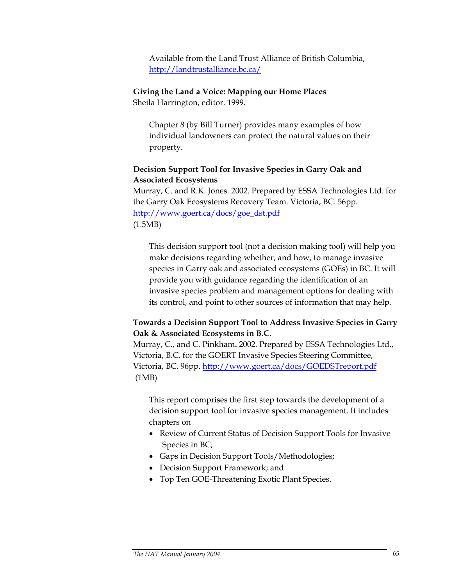Available from the Land Trust Alliance of British Columbia, http://landtrustalliance.bc.ca/

#### **Giving the Land a Voice: Mapping our Home Places**

Sheila Harrington, editor. 1999.

Chapter 8 (by Bill Turner) provides many examples of how individual landowners can protect the natural values on their property.

#### **Decision Support Tool for Invasive Species in Garry Oak and Associated Ecosystems**

Murray, C. and R.K. Jones. 2002. Prepared by ESSA Technologies Ltd. for the Garry Oak Ecosystems Recovery Team. Victoria, BC. 56pp. http://www.goert.ca/docs/goe\_dst.pdf (1.5MB)

This decision support tool (not a decision making tool) will help you make decisions regarding whether, and how, to manage invasive species in Garry oak and associated ecosystems (GOEs) in BC. It will provide you with guidance regarding the identification of an invasive species problem and management options for dealing with its control, and point to other sources of information that may help.

### **Towards a Decision Support Tool to Address Invasive Species in Garry Oak & Associated Ecosystems in B.C.**

Murray, C., and C. Pinkham**.** 2002. Prepared by ESSA Technologies Ltd., Victoria, B.C. for the GOERT Invasive Species Steering Committee, Victoria, BC. 96pp. http://www.goert.ca/docs/GOEDSTreport.pdf (1MB)

This report comprises the first step towards the development of a decision support tool for invasive species management. It includes chapters on

- Review of Current Status of Decision Support Tools for Invasive Species in BC;
- Gaps in Decision Support Tools/Methodologies;
- Decision Support Framework; and
- Top Ten GOE-Threatening Exotic Plant Species.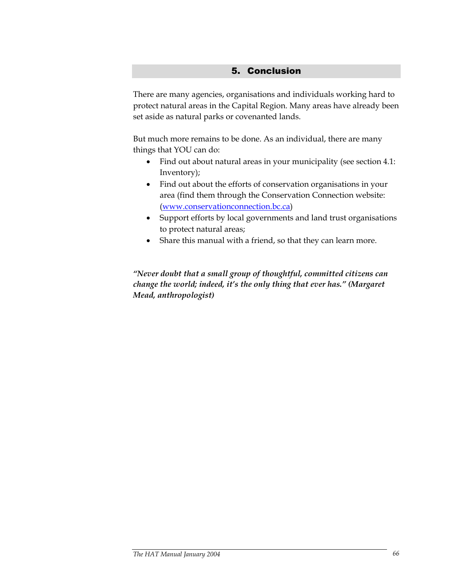## 5. Conclusion

There are many agencies, organisations and individuals working hard to protect natural areas in the Capital Region. Many areas have already been set aside as natural parks or covenanted lands.

But much more remains to be done. As an individual, there are many things that YOU can do:

- Find out about natural areas in your municipality (see section 4.1: Inventory);
- Find out about the efforts of conservation organisations in your area (find them through the Conservation Connection website: (www.conservationconnection.bc.ca)
- Support efforts by local governments and land trust organisations to protect natural areas;
- Share this manual with a friend, so that they can learn more.

*"Never doubt that a small group of thoughtful, committed citizens can change the world; indeed, it's the only thing that ever has." (Margaret Mead, anthropologist)*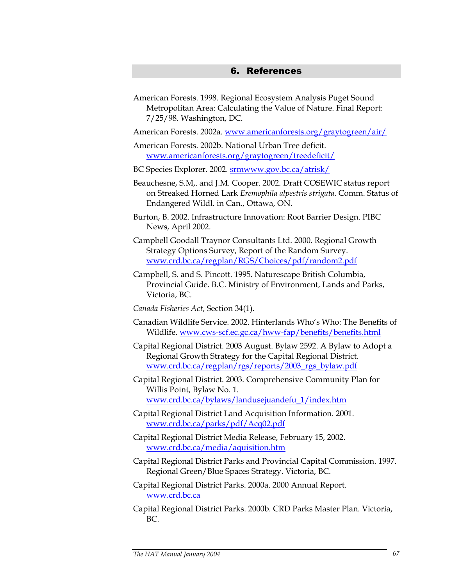### 6. References

American Forests. 1998. Regional Ecosystem Analysis Puget Sound Metropolitan Area: Calculating the Value of Nature. Final Report: 7/25/98. Washington, DC.

American Forests. 2002a. www.americanforests.org/graytogreen/air/

American Forests. 2002b. National Urban Tree deficit. www.americanforests.org/graytogreen/treedeficit/

BC Species Explorer. 2002. srmwww.gov.bc.ca/atrisk/

- Beauchesne, S.M,. and J.M. Cooper. 2002. Draft COSEWIC status report on Streaked Horned Lark *Eremophila alpestris strigata*. Comm. Status of Endangered Wildl. in Can., Ottawa, ON.
- Burton, B. 2002. Infrastructure Innovation: Root Barrier Design. PIBC News, April 2002.
- Campbell Goodall Traynor Consultants Ltd. 2000. Regional Growth Strategy Options Survey, Report of the Random Survey. www.crd.bc.ca/regplan/RGS/Choices/pdf/random2.pdf
- Campbell, S. and S. Pincott. 1995. Naturescape British Columbia, Provincial Guide. B.C. Ministry of Environment, Lands and Parks, Victoria, BC.
- *Canada Fisheries Act*, Section 34(1).
- Canadian Wildlife Service. 2002. Hinterlands Who's Who: The Benefits of Wildlife. www.cws-scf.ec.gc.ca/hww-fap/benefits/benefits.html
- Capital Regional District. 2003 August. Bylaw 2592. A Bylaw to Adopt a Regional Growth Strategy for the Capital Regional District. www.crd.bc.ca/regplan/rgs/reports/2003\_rgs\_bylaw.pdf
- Capital Regional District. 2003. Comprehensive Community Plan for Willis Point, Bylaw No. 1.

www.crd.bc.ca/bylaws/landusejuandefu\_1/index.htm

- Capital Regional District Land Acquisition Information. 2001. www.crd.bc.ca/parks/pdf/Acq02.pdf
- Capital Regional District Media Release, February 15, 2002. www.crd.bc.ca/media/aquisition.htm
- Capital Regional District Parks and Provincial Capital Commission. 1997. Regional Green/Blue Spaces Strategy. Victoria, BC.
- Capital Regional District Parks. 2000a. 2000 Annual Report. www.crd.bc.ca
- Capital Regional District Parks. 2000b. CRD Parks Master Plan. Victoria, BC.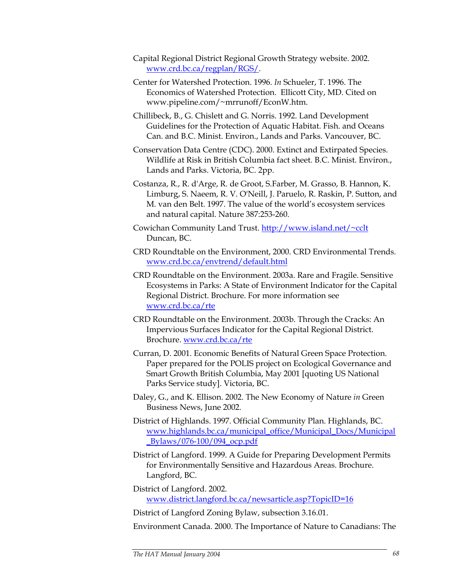- Capital Regional District Regional Growth Strategy website. 2002. www.crd.bc.ca/regplan/RGS/.
- Center for Watershed Protection. 1996. *In* Schueler, T. 1996. The Economics of Watershed Protection. Ellicott City, MD. Cited on www.pipeline.com/~mrrunoff/EconW.htm.
- Chillibeck, B., G. Chislett and G. Norris. 1992. Land Development Guidelines for the Protection of Aquatic Habitat. Fish. and Oceans Can. and B.C. Minist. Environ., Lands and Parks. Vancouver, BC.
- Conservation Data Centre (CDC). 2000. Extinct and Extirpated Species. Wildlife at Risk in British Columbia fact sheet. B.C. Minist. Environ., Lands and Parks. Victoria, BC. 2pp.
- Costanza, R., R. d'Arge, R. de Groot, S.Farber, M. Grasso, B. Hannon, K. Limburg, S. Naeem, R. V. O'Neill, J. Paruelo, R. Raskin, P. Sutton, and M. van den Belt. 1997. The value of the world's ecosystem services and natural capital. Nature 387:253-260.
- Cowichan Community Land Trust. http://www.island.net/~cclt Duncan, BC.
- CRD Roundtable on the Environment, 2000. CRD Environmental Trends. www.crd.bc.ca/envtrend/default.html
- CRD Roundtable on the Environment. 2003a. Rare and Fragile. Sensitive Ecosystems in Parks: A State of Environment Indicator for the Capital Regional District. Brochure. For more information see www.crd.bc.ca/rte
- CRD Roundtable on the Environment. 2003b. Through the Cracks: An Impervious Surfaces Indicator for the Capital Regional District. Brochure. www.crd.bc.ca/rte
- Curran, D. 2001. Economic Benefits of Natural Green Space Protection. Paper prepared for the POLIS project on Ecological Governance and Smart Growth British Columbia, May 2001 [quoting US National Parks Service study]. Victoria, BC.
- Daley, G., and K. Ellison. 2002. The New Economy of Nature *in* Green Business News, June 2002.
- District of Highlands. 1997. Official Community Plan. Highlands, BC. www.highlands.bc.ca/municipal\_office/Municipal\_Docs/Municipal \_Bylaws/076-100/094\_ocp.pdf
- District of Langford. 1999. A Guide for Preparing Development Permits for Environmentally Sensitive and Hazardous Areas. Brochure. Langford, BC.
- District of Langford. 2002. www.district.langford.bc.ca/newsarticle.asp?TopicID=16
- District of Langford Zoning Bylaw, subsection 3.16.01.
- Environment Canada. 2000. The Importance of Nature to Canadians: The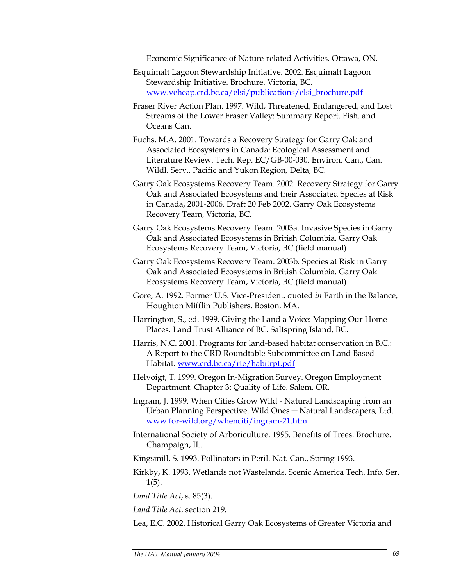Economic Significance of Nature-related Activities. Ottawa, ON.

- Esquimalt Lagoon Stewardship Initiative. 2002. Esquimalt Lagoon Stewardship Initiative. Brochure. Victoria, BC. www.veheap.crd.bc.ca/elsi/publications/elsi\_brochure.pdf
- Fraser River Action Plan. 1997. Wild, Threatened, Endangered, and Lost Streams of the Lower Fraser Valley: Summary Report. Fish. and Oceans Can.
- Fuchs, M.A. 2001. Towards a Recovery Strategy for Garry Oak and Associated Ecosystems in Canada: Ecological Assessment and Literature Review. Tech. Rep. EC/GB-00-030. Environ. Can., Can. Wildl. Serv., Pacific and Yukon Region, Delta, BC.
- Garry Oak Ecosystems Recovery Team. 2002. Recovery Strategy for Garry Oak and Associated Ecosystems and their Associated Species at Risk in Canada, 2001-2006. Draft 20 Feb 2002. Garry Oak Ecosystems Recovery Team, Victoria, BC.
- Garry Oak Ecosystems Recovery Team. 2003a. Invasive Species in Garry Oak and Associated Ecosystems in British Columbia. Garry Oak Ecosystems Recovery Team, Victoria, BC.(field manual)
- Garry Oak Ecosystems Recovery Team. 2003b. Species at Risk in Garry Oak and Associated Ecosystems in British Columbia. Garry Oak Ecosystems Recovery Team, Victoria, BC.(field manual)
- Gore, A. 1992. Former U.S. Vice-President, quoted *in* Earth in the Balance, Houghton Mifflin Publishers, Boston, MA.
- Harrington, S., ed. 1999. Giving the Land a Voice: Mapping Our Home Places. Land Trust Alliance of BC. Saltspring Island, BC.
- Harris, N.C. 2001. Programs for land-based habitat conservation in B.C.: A Report to the CRD Roundtable Subcommittee on Land Based Habitat. www.crd.bc.ca/rte/habitrpt.pdf
- Helvoigt, T. 1999. Oregon In-Migration Survey. Oregon Employment Department. Chapter 3: Quality of Life. Salem. OR.
- Ingram, J. 1999. When Cities Grow Wild Natural Landscaping from an Urban Planning Perspective. Wild Ones - Natural Landscapers, Ltd. www.for-wild.org/whenciti/ingram-21.htm
- International Society of Arboriculture. 1995. Benefits of Trees. Brochure. Champaign, IL.
- Kingsmill, S. 1993. Pollinators in Peril. Nat. Can., Spring 1993.
- Kirkby, K. 1993. Wetlands not Wastelands. Scenic America Tech. Info. Ser. 1(5).

*Land Title Act*, s. 85(3).

*Land Title Act*, section 219.

Lea, E.C. 2002. Historical Garry Oak Ecosystems of Greater Victoria and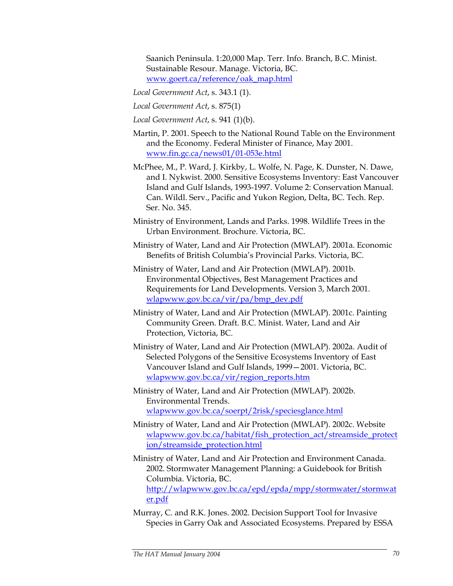Saanich Peninsula. 1:20,000 Map. Terr. Info. Branch, B.C. Minist. Sustainable Resour. Manage. Victoria, BC. www.goert.ca/reference/oak\_map.html

- *Local Government Act*, s. 343.1 (1).
- *Local Government Act*, s. 875(1)
- *Local Government Act*, s. 941 (1)(b).
- Martin, P. 2001. Speech to the National Round Table on the Environment and the Economy. Federal Minister of Finance, May 2001. www.fin.gc.ca/news01/01-053e.html
- McPhee, M., P. Ward, J. Kirkby, L. Wolfe, N. Page, K. Dunster, N. Dawe, and I. Nykwist. 2000. Sensitive Ecosystems Inventory: East Vancouver Island and Gulf Islands, 1993-1997. Volume 2: Conservation Manual. Can. Wildl. Serv., Pacific and Yukon Region, Delta, BC. Tech. Rep. Ser. No. 345.
- Ministry of Environment, Lands and Parks. 1998. Wildlife Trees in the Urban Environment. Brochure. Victoria, BC.
- Ministry of Water, Land and Air Protection (MWLAP). 2001a. Economic Benefits of British Columbia's Provincial Parks. Victoria, BC.
- Ministry of Water, Land and Air Protection (MWLAP). 2001b. Environmental Objectives, Best Management Practices and Requirements for Land Developments. Version 3, March 2001. wlapwww.gov.bc.ca/vir/pa/bmp\_dev.pdf
- Ministry of Water, Land and Air Protection (MWLAP). 2001c. Painting Community Green. Draft. B.C. Minist. Water, Land and Air Protection, Victoria, BC.
- Ministry of Water, Land and Air Protection (MWLAP). 2002a. Audit of Selected Polygons of the Sensitive Ecosystems Inventory of East Vancouver Island and Gulf Islands, 1999—2001. Victoria, BC. wlapwww.gov.bc.ca/vir/region\_reports.htm
- Ministry of Water, Land and Air Protection (MWLAP). 2002b. Environmental Trends. wlapwww.gov.bc.ca/soerpt/2risk/speciesglance.html
- Ministry of Water, Land and Air Protection (MWLAP). 2002c. Website wlapwww.gov.bc.ca/habitat/fish\_protection\_act/streamside\_protect ion/streamside\_protection.html
- Ministry of Water, Land and Air Protection and Environment Canada. 2002. Stormwater Management Planning: a Guidebook for British Columbia. Victoria, BC. http://wlapwww.gov.bc.ca/epd/epda/mpp/stormwater/stormwat er.pdf
- Murray, C. and R.K. Jones. 2002. Decision Support Tool for Invasive Species in Garry Oak and Associated Ecosystems. Prepared by ESSA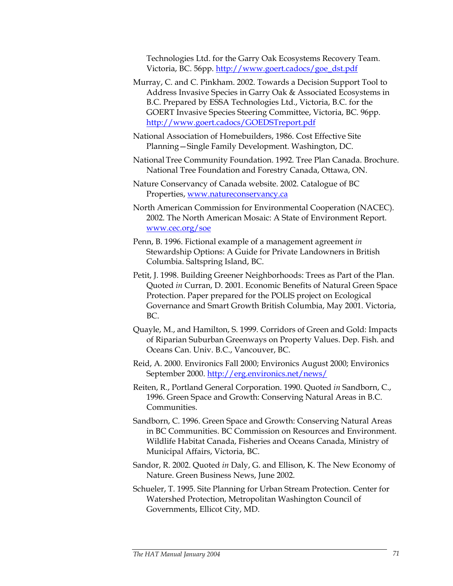Technologies Ltd. for the Garry Oak Ecosystems Recovery Team. Victoria, BC. 56pp. http://www.goert.cadocs/goe\_dst.pdf

- Murray, C. and C. Pinkham. 2002. Towards a Decision Support Tool to Address Invasive Species in Garry Oak & Associated Ecosystems in B.C. Prepared by ESSA Technologies Ltd., Victoria, B.C. for the GOERT Invasive Species Steering Committee, Victoria, BC. 96pp. http://www.goert.cadocs/GOEDSTreport.pdf
- National Association of Homebuilders, 1986. Cost Effective Site Planning—Single Family Development. Washington, DC.
- National Tree Community Foundation. 1992. Tree Plan Canada. Brochure. National Tree Foundation and Forestry Canada, Ottawa, ON.
- Nature Conservancy of Canada website. 2002. Catalogue of BC Properties, www.natureconservancy.ca
- North American Commission for Environmental Cooperation (NACEC). 2002. The North American Mosaic: A State of Environment Report. www.cec.org/soe
- Penn, B. 1996. Fictional example of a management agreement *in*  Stewardship Options: A Guide for Private Landowners in British Columbia. Saltspring Island, BC.
- Petit, J. 1998. Building Greener Neighborhoods: Trees as Part of the Plan. Quoted *in* Curran, D. 2001. Economic Benefits of Natural Green Space Protection. Paper prepared for the POLIS project on Ecological Governance and Smart Growth British Columbia, May 2001. Victoria, BC.
- Quayle, M., and Hamilton, S. 1999. Corridors of Green and Gold: Impacts of Riparian Suburban Greenways on Property Values. Dep. Fish. and Oceans Can. Univ. B.C., Vancouver, BC.
- Reid, A. 2000. Environics Fall 2000; Environics August 2000; Environics September 2000. http://erg.environics.net/news/
- Reiten, R., Portland General Corporation. 1990. Quoted *in* Sandborn, C., 1996. Green Space and Growth: Conserving Natural Areas in B.C. Communities.
- Sandborn, C. 1996. Green Space and Growth: Conserving Natural Areas in BC Communities. BC Commission on Resources and Environment. Wildlife Habitat Canada, Fisheries and Oceans Canada, Ministry of Municipal Affairs, Victoria, BC.
- Sandor, R. 2002. Quoted *in* Daly, G. and Ellison, K. The New Economy of Nature. Green Business News, June 2002.
- Schueler, T. 1995. Site Planning for Urban Stream Protection. Center for Watershed Protection, Metropolitan Washington Council of Governments, Ellicot City, MD.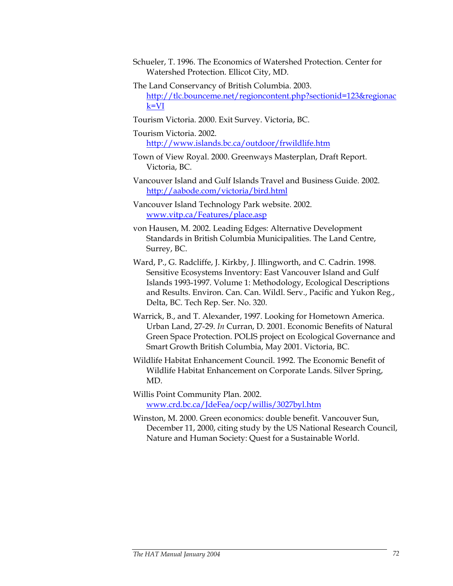- Schueler, T. 1996. The Economics of Watershed Protection. Center for Watershed Protection. Ellicot City, MD.
- The Land Conservancy of British Columbia. 2003.

http://tlc.bounceme.net/regioncontent.php?sectionid=123&regionac k=VI

Tourism Victoria. 2000. Exit Survey. Victoria, BC.

Tourism Victoria. 2002. http://www.islands.bc.ca/outdoor/frwildlife.htm

- Town of View Royal. 2000. Greenways Masterplan, Draft Report. Victoria, BC.
- Vancouver Island and Gulf Islands Travel and Business Guide. 2002. http://aabode.com/victoria/bird.html

Vancouver Island Technology Park website. 2002. www.vitp.ca/Features/place.asp

von Hausen, M. 2002. Leading Edges: Alternative Development Standards in British Columbia Municipalities. The Land Centre, Surrey, BC.

- Ward, P., G. Radcliffe, J. Kirkby, J. Illingworth, and C. Cadrin. 1998. Sensitive Ecosystems Inventory: East Vancouver Island and Gulf Islands 1993-1997. Volume 1: Methodology, Ecological Descriptions and Results. Environ. Can. Can. Wildl. Serv., Pacific and Yukon Reg., Delta, BC. Tech Rep. Ser. No. 320.
- Warrick, B., and T. Alexander, 1997. Looking for Hometown America. Urban Land, 27-29. *In* Curran, D. 2001. Economic Benefits of Natural Green Space Protection. POLIS project on Ecological Governance and Smart Growth British Columbia, May 2001. Victoria, BC.
- Wildlife Habitat Enhancement Council. 1992. The Economic Benefit of Wildlife Habitat Enhancement on Corporate Lands. Silver Spring, MD.

Willis Point Community Plan. 2002. www.crd.bc.ca/JdeFea/ocp/willis/3027byl.htm

Winston, M. 2000. Green economics: double benefit. Vancouver Sun, December 11, 2000, citing study by the US National Research Council, Nature and Human Society: Quest for a Sustainable World.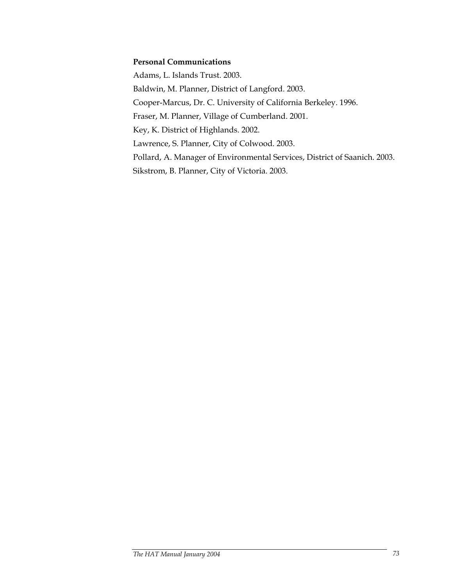### **Personal Communications**

Adams, L. Islands Trust. 2003. Baldwin, M. Planner, District of Langford. 2003. Cooper-Marcus, Dr. C. University of California Berkeley. 1996. Fraser, M. Planner, Village of Cumberland. 2001. Key, K. District of Highlands. 2002. Lawrence, S. Planner, City of Colwood. 2003. Pollard, A. Manager of Environmental Services, District of Saanich. 2003. Sikstrom, B. Planner, City of Victoria. 2003.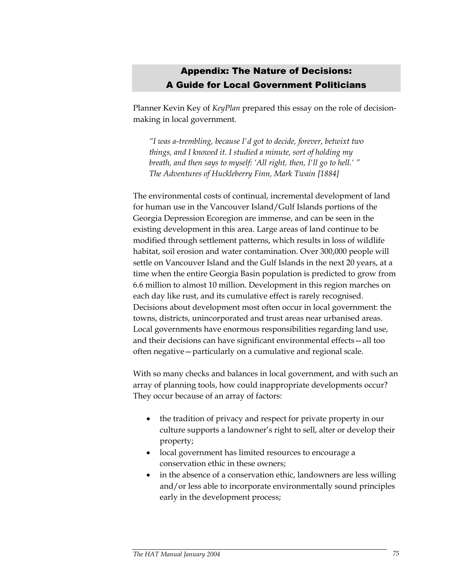# Appendix: The Nature of Decisions: A Guide for Local Government Politicians

Planner Kevin Key of *KeyPlan* prepared this essay on the role of decisionmaking in local government.

*"I was a-trembling, because I'd got to decide, forever, betwixt two things, and I knowed it. I studied a minute, sort of holding my breath, and then says to myself: 'All right, then, I'll go to hell.' " The Adventures of Huckleberry Finn, Mark Twain [1884]* 

The environmental costs of continual, incremental development of land for human use in the Vancouver Island/Gulf Islands portions of the Georgia Depression Ecoregion are immense, and can be seen in the existing development in this area. Large areas of land continue to be modified through settlement patterns, which results in loss of wildlife habitat, soil erosion and water contamination. Over 300,000 people will settle on Vancouver Island and the Gulf Islands in the next 20 years, at a time when the entire Georgia Basin population is predicted to grow from 6.6 million to almost 10 million. Development in this region marches on each day like rust, and its cumulative effect is rarely recognised. Decisions about development most often occur in local government: the towns, districts, unincorporated and trust areas near urbanised areas. Local governments have enormous responsibilities regarding land use, and their decisions can have significant environmental effects—all too often negative—particularly on a cumulative and regional scale.

With so many checks and balances in local government, and with such an array of planning tools, how could inappropriate developments occur? They occur because of an array of factors:

- the tradition of privacy and respect for private property in our culture supports a landowner's right to sell, alter or develop their property;
- local government has limited resources to encourage a conservation ethic in these owners;
- in the absence of a conservation ethic, landowners are less willing and/or less able to incorporate environmentally sound principles early in the development process;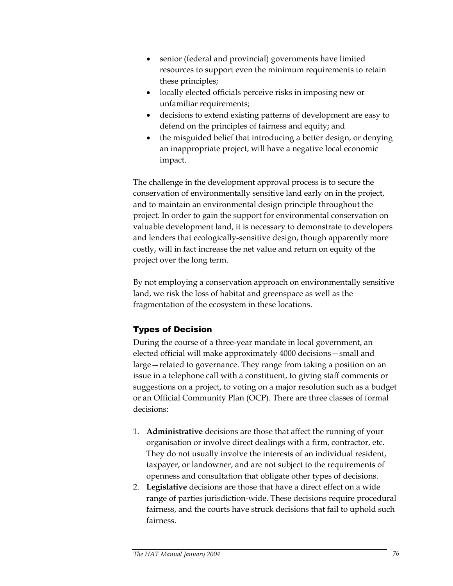- senior (federal and provincial) governments have limited resources to support even the minimum requirements to retain these principles;
- locally elected officials perceive risks in imposing new or unfamiliar requirements;
- decisions to extend existing patterns of development are easy to defend on the principles of fairness and equity; and
- the misguided belief that introducing a better design, or denying an inappropriate project, will have a negative local economic impact.

The challenge in the development approval process is to secure the conservation of environmentally sensitive land early on in the project, and to maintain an environmental design principle throughout the project. In order to gain the support for environmental conservation on valuable development land, it is necessary to demonstrate to developers and lenders that ecologically-sensitive design, though apparently more costly, will in fact increase the net value and return on equity of the project over the long term.

By not employing a conservation approach on environmentally sensitive land, we risk the loss of habitat and greenspace as well as the fragmentation of the ecosystem in these locations.

# Types of Decision

During the course of a three-year mandate in local government, an elected official will make approximately 4000 decisions—small and large—related to governance. They range from taking a position on an issue in a telephone call with a constituent, to giving staff comments or suggestions on a project, to voting on a major resolution such as a budget or an Official Community Plan (OCP). There are three classes of formal decisions:

- 1. **Administrative** decisions are those that affect the running of your organisation or involve direct dealings with a firm, contractor, etc. They do not usually involve the interests of an individual resident, taxpayer, or landowner, and are not subject to the requirements of openness and consultation that obligate other types of decisions.
- 2. **Legislative** decisions are those that have a direct effect on a wide range of parties jurisdiction-wide. These decisions require procedural fairness, and the courts have struck decisions that fail to uphold such fairness.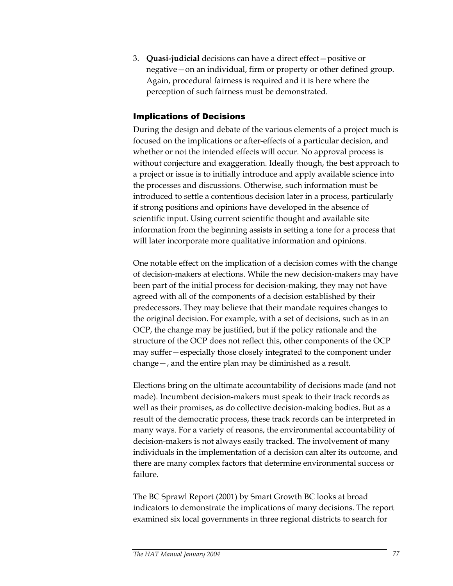3. **Quasi-judicial** decisions can have a direct effect—positive or negative—on an individual, firm or property or other defined group. Again, procedural fairness is required and it is here where the perception of such fairness must be demonstrated.

### Implications of Decisions

During the design and debate of the various elements of a project much is focused on the implications or after-effects of a particular decision, and whether or not the intended effects will occur. No approval process is without conjecture and exaggeration. Ideally though, the best approach to a project or issue is to initially introduce and apply available science into the processes and discussions. Otherwise, such information must be introduced to settle a contentious decision later in a process, particularly if strong positions and opinions have developed in the absence of scientific input. Using current scientific thought and available site information from the beginning assists in setting a tone for a process that will later incorporate more qualitative information and opinions.

One notable effect on the implication of a decision comes with the change of decision-makers at elections. While the new decision-makers may have been part of the initial process for decision-making, they may not have agreed with all of the components of a decision established by their predecessors. They may believe that their mandate requires changes to the original decision. For example, with a set of decisions, such as in an OCP, the change may be justified, but if the policy rationale and the structure of the OCP does not reflect this, other components of the OCP may suffer—especially those closely integrated to the component under change—, and the entire plan may be diminished as a result.

Elections bring on the ultimate accountability of decisions made (and not made). Incumbent decision-makers must speak to their track records as well as their promises, as do collective decision-making bodies. But as a result of the democratic process, these track records can be interpreted in many ways. For a variety of reasons, the environmental accountability of decision-makers is not always easily tracked. The involvement of many individuals in the implementation of a decision can alter its outcome, and there are many complex factors that determine environmental success or failure.

The BC Sprawl Report (2001) by Smart Growth BC looks at broad indicators to demonstrate the implications of many decisions. The report examined six local governments in three regional districts to search for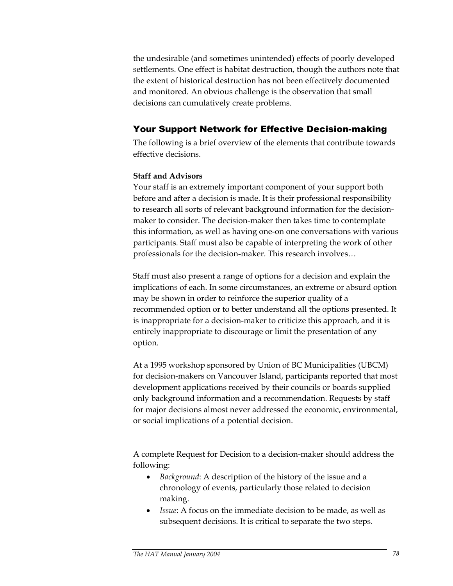the undesirable (and sometimes unintended) effects of poorly developed settlements. One effect is habitat destruction, though the authors note that the extent of historical destruction has not been effectively documented and monitored. An obvious challenge is the observation that small decisions can cumulatively create problems.

# Your Support Network for Effective Decision-making

The following is a brief overview of the elements that contribute towards effective decisions.

## **Staff and Advisors**

Your staff is an extremely important component of your support both before and after a decision is made. It is their professional responsibility to research all sorts of relevant background information for the decisionmaker to consider. The decision-maker then takes time to contemplate this information, as well as having one-on one conversations with various participants. Staff must also be capable of interpreting the work of other professionals for the decision-maker. This research involves…

Staff must also present a range of options for a decision and explain the implications of each. In some circumstances, an extreme or absurd option may be shown in order to reinforce the superior quality of a recommended option or to better understand all the options presented. It is inappropriate for a decision-maker to criticize this approach, and it is entirely inappropriate to discourage or limit the presentation of any option.

At a 1995 workshop sponsored by Union of BC Municipalities (UBCM) for decision-makers on Vancouver Island, participants reported that most development applications received by their councils or boards supplied only background information and a recommendation. Requests by staff for major decisions almost never addressed the economic, environmental, or social implications of a potential decision.

A complete Request for Decision to a decision-maker should address the following:

- *Background*: A description of the history of the issue and a chronology of events, particularly those related to decision making.
- *Issue*: A focus on the immediate decision to be made, as well as subsequent decisions. It is critical to separate the two steps.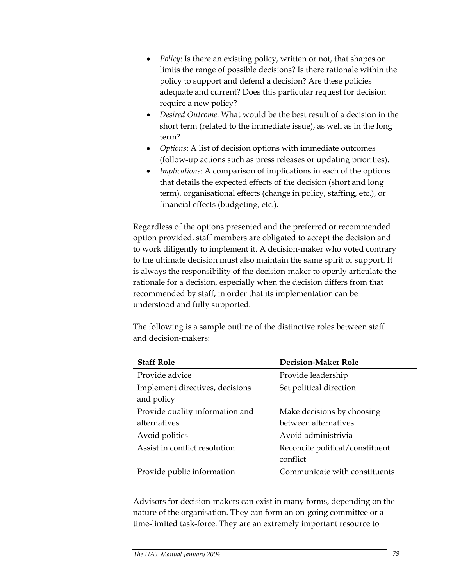- *Policy*: Is there an existing policy, written or not, that shapes or limits the range of possible decisions? Is there rationale within the policy to support and defend a decision? Are these policies adequate and current? Does this particular request for decision require a new policy?
- *Desired Outcome*: What would be the best result of a decision in the short term (related to the immediate issue), as well as in the long term?
- *Options*: A list of decision options with immediate outcomes (follow-up actions such as press releases or updating priorities).
- *Implications*: A comparison of implications in each of the options that details the expected effects of the decision (short and long term), organisational effects (change in policy, staffing, etc.), or financial effects (budgeting, etc.).

Regardless of the options presented and the preferred or recommended option provided, staff members are obligated to accept the decision and to work diligently to implement it. A decision-maker who voted contrary to the ultimate decision must also maintain the same spirit of support. It is always the responsibility of the decision-maker to openly articulate the rationale for a decision, especially when the decision differs from that recommended by staff, in order that its implementation can be understood and fully supported.

The following is a sample outline of the distinctive roles between staff and decision-makers:

| <b>Staff Role</b>                             | <b>Decision-Maker Role</b>                  |
|-----------------------------------------------|---------------------------------------------|
| Provide advice                                | Provide leadership                          |
| Implement directives, decisions<br>and policy | Set political direction                     |
| Provide quality information and               | Make decisions by choosing                  |
| alternatives                                  | between alternatives                        |
| Avoid politics                                | Avoid administrivia                         |
| Assist in conflict resolution                 | Reconcile political/constituent<br>conflict |
| Provide public information                    | Communicate with constituents               |

Advisors for decision-makers can exist in many forms, depending on the nature of the organisation. They can form an on-going committee or a time-limited task-force. They are an extremely important resource to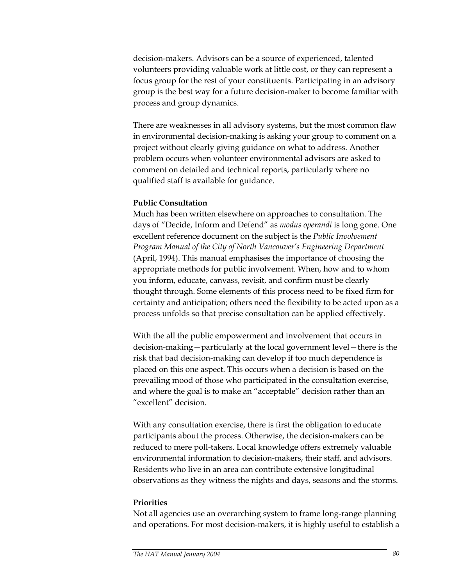decision-makers. Advisors can be a source of experienced, talented volunteers providing valuable work at little cost, or they can represent a focus group for the rest of your constituents. Participating in an advisory group is the best way for a future decision-maker to become familiar with process and group dynamics.

There are weaknesses in all advisory systems, but the most common flaw in environmental decision-making is asking your group to comment on a project without clearly giving guidance on what to address. Another problem occurs when volunteer environmental advisors are asked to comment on detailed and technical reports, particularly where no qualified staff is available for guidance.

#### **Public Consultation**

Much has been written elsewhere on approaches to consultation. The days of "Decide, Inform and Defend" as *modus operandi* is long gone. One excellent reference document on the subject is the *Public Involvement Program Manual of the City of North Vancouver's Engineering Department* (April, 1994). This manual emphasises the importance of choosing the appropriate methods for public involvement. When, how and to whom you inform, educate, canvass, revisit, and confirm must be clearly thought through. Some elements of this process need to be fixed firm for certainty and anticipation; others need the flexibility to be acted upon as a process unfolds so that precise consultation can be applied effectively.

With the all the public empowerment and involvement that occurs in decision-making—particularly at the local government level—there is the risk that bad decision-making can develop if too much dependence is placed on this one aspect. This occurs when a decision is based on the prevailing mood of those who participated in the consultation exercise, and where the goal is to make an "acceptable" decision rather than an "excellent" decision.

With any consultation exercise, there is first the obligation to educate participants about the process. Otherwise, the decision-makers can be reduced to mere poll-takers. Local knowledge offers extremely valuable environmental information to decision-makers, their staff, and advisors. Residents who live in an area can contribute extensive longitudinal observations as they witness the nights and days, seasons and the storms.

#### **Priorities**

Not all agencies use an overarching system to frame long-range planning and operations. For most decision-makers, it is highly useful to establish a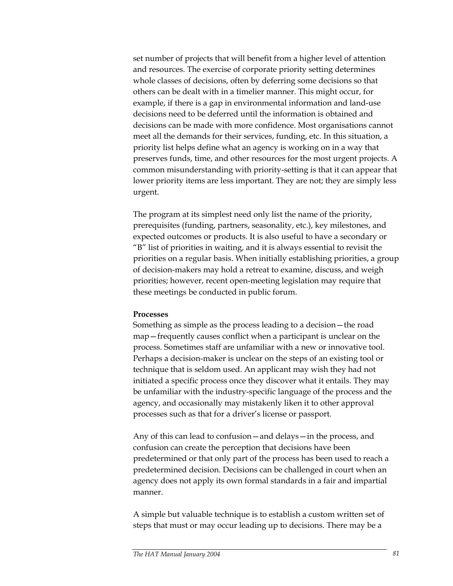set number of projects that will benefit from a higher level of attention and resources. The exercise of corporate priority setting determines whole classes of decisions, often by deferring some decisions so that others can be dealt with in a timelier manner. This might occur, for example, if there is a gap in environmental information and land-use decisions need to be deferred until the information is obtained and decisions can be made with more confidence. Most organisations cannot meet all the demands for their services, funding, etc. In this situation, a priority list helps define what an agency is working on in a way that preserves funds, time, and other resources for the most urgent projects. A common misunderstanding with priority-setting is that it can appear that lower priority items are less important. They are not; they are simply less urgent.

The program at its simplest need only list the name of the priority, prerequisites (funding, partners, seasonality, etc.), key milestones, and expected outcomes or products. It is also useful to have a secondary or "B" list of priorities in waiting, and it is always essential to revisit the priorities on a regular basis. When initially establishing priorities, a group of decision-makers may hold a retreat to examine, discuss, and weigh priorities; however, recent open-meeting legislation may require that these meetings be conducted in public forum.

#### **Processes**

Something as simple as the process leading to a decision—the road map—frequently causes conflict when a participant is unclear on the process. Sometimes staff are unfamiliar with a new or innovative tool. Perhaps a decision-maker is unclear on the steps of an existing tool or technique that is seldom used. An applicant may wish they had not initiated a specific process once they discover what it entails. They may be unfamiliar with the industry-specific language of the process and the agency, and occasionally may mistakenly liken it to other approval processes such as that for a driver's license or passport.

Any of this can lead to confusion—and delays—in the process, and confusion can create the perception that decisions have been predetermined or that only part of the process has been used to reach a predetermined decision. Decisions can be challenged in court when an agency does not apply its own formal standards in a fair and impartial manner.

A simple but valuable technique is to establish a custom written set of steps that must or may occur leading up to decisions. There may be a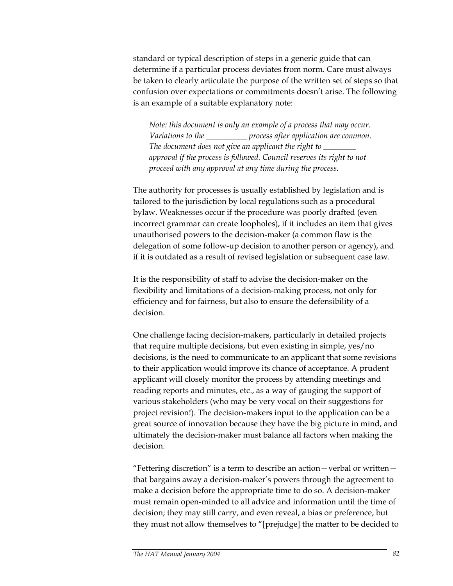standard or typical description of steps in a generic guide that can determine if a particular process deviates from norm. Care must always be taken to clearly articulate the purpose of the written set of steps so that confusion over expectations or commitments doesn't arise. The following is an example of a suitable explanatory note:

*Note: this document is only an example of a process that may occur. Variations to the \_\_\_\_\_\_\_\_\_\_ process after application are common. The document does not give an applicant the right to \_\_\_\_\_\_\_\_ approval if the process is followed. Council reserves its right to not proceed with any approval at any time during the process.* 

The authority for processes is usually established by legislation and is tailored to the jurisdiction by local regulations such as a procedural bylaw. Weaknesses occur if the procedure was poorly drafted (even incorrect grammar can create loopholes), if it includes an item that gives unauthorised powers to the decision-maker (a common flaw is the delegation of some follow-up decision to another person or agency), and if it is outdated as a result of revised legislation or subsequent case law.

It is the responsibility of staff to advise the decision-maker on the flexibility and limitations of a decision-making process, not only for efficiency and for fairness, but also to ensure the defensibility of a decision.

One challenge facing decision-makers, particularly in detailed projects that require multiple decisions, but even existing in simple, yes/no decisions, is the need to communicate to an applicant that some revisions to their application would improve its chance of acceptance. A prudent applicant will closely monitor the process by attending meetings and reading reports and minutes, etc., as a way of gauging the support of various stakeholders (who may be very vocal on their suggestions for project revision!). The decision-makers input to the application can be a great source of innovation because they have the big picture in mind, and ultimately the decision-maker must balance all factors when making the decision.

"Fettering discretion" is a term to describe an action—verbal or written that bargains away a decision-maker's powers through the agreement to make a decision before the appropriate time to do so. A decision-maker must remain open-minded to all advice and information until the time of decision; they may still carry, and even reveal, a bias or preference, but they must not allow themselves to "[prejudge] the matter to be decided to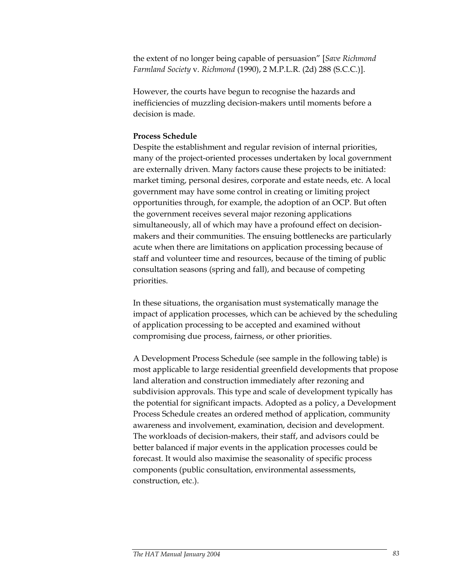the extent of no longer being capable of persuasion" [*Save Richmond Farmland Society* v*. Richmond* (1990), 2 M.P.L.R. (2d) 288 (S.C.C.)].

However, the courts have begun to recognise the hazards and inefficiencies of muzzling decision-makers until moments before a decision is made.

#### **Process Schedule**

Despite the establishment and regular revision of internal priorities, many of the project-oriented processes undertaken by local government are externally driven. Many factors cause these projects to be initiated: market timing, personal desires, corporate and estate needs, etc. A local government may have some control in creating or limiting project opportunities through, for example, the adoption of an OCP. But often the government receives several major rezoning applications simultaneously, all of which may have a profound effect on decisionmakers and their communities. The ensuing bottlenecks are particularly acute when there are limitations on application processing because of staff and volunteer time and resources, because of the timing of public consultation seasons (spring and fall), and because of competing priorities.

In these situations, the organisation must systematically manage the impact of application processes, which can be achieved by the scheduling of application processing to be accepted and examined without compromising due process, fairness, or other priorities.

A Development Process Schedule (see sample in the following table) is most applicable to large residential greenfield developments that propose land alteration and construction immediately after rezoning and subdivision approvals. This type and scale of development typically has the potential for significant impacts. Adopted as a policy, a Development Process Schedule creates an ordered method of application, community awareness and involvement, examination, decision and development. The workloads of decision-makers, their staff, and advisors could be better balanced if major events in the application processes could be forecast. It would also maximise the seasonality of specific process components (public consultation, environmental assessments, construction, etc.).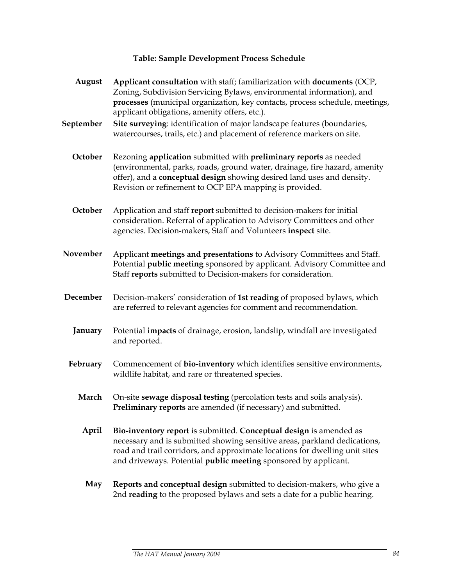## **Table: Sample Development Process Schedule**

| August    | Applicant consultation with staff; familiarization with documents (OCP,<br>Zoning, Subdivision Servicing Bylaws, environmental information), and<br>processes (municipal organization, key contacts, process schedule, meetings,<br>applicant obligations, amenity offers, etc.).                 |
|-----------|---------------------------------------------------------------------------------------------------------------------------------------------------------------------------------------------------------------------------------------------------------------------------------------------------|
| September | Site surveying: identification of major landscape features (boundaries,<br>watercourses, trails, etc.) and placement of reference markers on site.                                                                                                                                                |
| October   | Rezoning application submitted with preliminary reports as needed<br>(environmental, parks, roads, ground water, drainage, fire hazard, amenity<br>offer), and a conceptual design showing desired land uses and density.<br>Revision or refinement to OCP EPA mapping is provided.               |
| October   | Application and staff report submitted to decision-makers for initial<br>consideration. Referral of application to Advisory Committees and other<br>agencies. Decision-makers, Staff and Volunteers inspect site.                                                                                 |
| November  | Applicant meetings and presentations to Advisory Committees and Staff.<br>Potential public meeting sponsored by applicant. Advisory Committee and<br>Staff reports submitted to Decision-makers for consideration.                                                                                |
| December  | Decision-makers' consideration of 1st reading of proposed bylaws, which<br>are referred to relevant agencies for comment and recommendation.                                                                                                                                                      |
| January   | Potential impacts of drainage, erosion, landslip, windfall are investigated<br>and reported.                                                                                                                                                                                                      |
| February  | Commencement of bio-inventory which identifies sensitive environments,<br>wildlife habitat, and rare or threatened species.                                                                                                                                                                       |
| March     | On-site sewage disposal testing (percolation tests and soils analysis).<br><b>Preliminary reports</b> are amended (if necessary) and submitted.                                                                                                                                                   |
| April     | Bio-inventory report is submitted. Conceptual design is amended as<br>necessary and is submitted showing sensitive areas, parkland dedications,<br>road and trail corridors, and approximate locations for dwelling unit sites<br>and driveways. Potential public meeting sponsored by applicant. |
| May       | Reports and conceptual design submitted to decision-makers, who give a<br>2nd reading to the proposed bylaws and sets a date for a public hearing.                                                                                                                                                |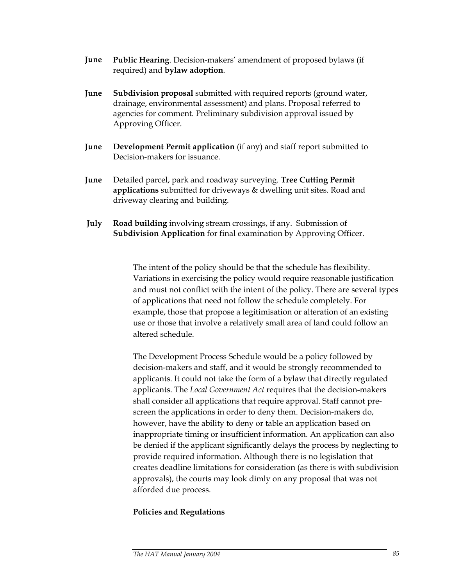- **June Public Hearing**. Decision-makers' amendment of proposed bylaws (if required) and **bylaw adoption**.
- **June Subdivision proposal** submitted with required reports (ground water, drainage, environmental assessment) and plans. Proposal referred to agencies for comment. Preliminary subdivision approval issued by Approving Officer.
- **June Development Permit application** (if any) and staff report submitted to Decision-makers for issuance.
- **June** Detailed parcel, park and roadway surveying. **Tree Cutting Permit applications** submitted for driveways & dwelling unit sites. Road and driveway clearing and building.
- **July Road building** involving stream crossings, if any. Submission of **Subdivision Application** for final examination by Approving Officer.

The intent of the policy should be that the schedule has flexibility. Variations in exercising the policy would require reasonable justification and must not conflict with the intent of the policy. There are several types of applications that need not follow the schedule completely. For example, those that propose a legitimisation or alteration of an existing use or those that involve a relatively small area of land could follow an altered schedule.

The Development Process Schedule would be a policy followed by decision-makers and staff, and it would be strongly recommended to applicants. It could not take the form of a bylaw that directly regulated applicants. The *Local Government Act* requires that the decision-makers shall consider all applications that require approval. Staff cannot prescreen the applications in order to deny them. Decision-makers do, however, have the ability to deny or table an application based on inappropriate timing or insufficient information. An application can also be denied if the applicant significantly delays the process by neglecting to provide required information. Although there is no legislation that creates deadline limitations for consideration (as there is with subdivision approvals), the courts may look dimly on any proposal that was not afforded due process.

### **Policies and Regulations**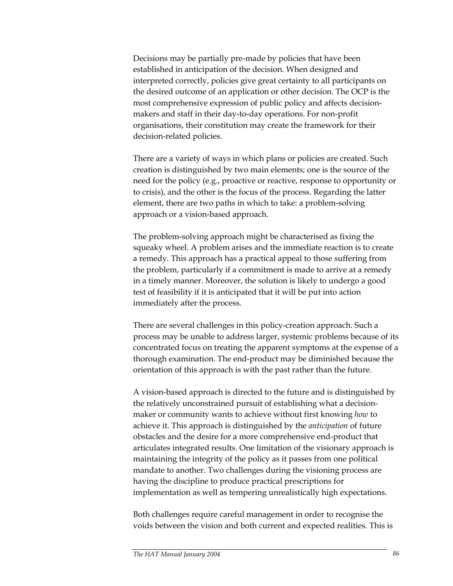Decisions may be partially pre-made by policies that have been established in anticipation of the decision. When designed and interpreted correctly, policies give great certainty to all participants on the desired outcome of an application or other decision. The OCP is the most comprehensive expression of public policy and affects decisionmakers and staff in their day-to-day operations. For non-profit organisations, their constitution may create the framework for their decision-related policies.

There are a variety of ways in which plans or policies are created. Such creation is distinguished by two main elements; one is the source of the need for the policy (e.g., proactive or reactive, response to opportunity or to crisis), and the other is the focus of the process. Regarding the latter element, there are two paths in which to take: a problem-solving approach or a vision-based approach.

The problem-solving approach might be characterised as fixing the squeaky wheel. A problem arises and the immediate reaction is to create a remedy. This approach has a practical appeal to those suffering from the problem, particularly if a commitment is made to arrive at a remedy in a timely manner. Moreover, the solution is likely to undergo a good test of feasibility if it is anticipated that it will be put into action immediately after the process.

There are several challenges in this policy-creation approach. Such a process may be unable to address larger, systemic problems because of its concentrated focus on treating the apparent symptoms at the expense of a thorough examination. The end-product may be diminished because the orientation of this approach is with the past rather than the future.

A vision-based approach is directed to the future and is distinguished by the relatively unconstrained pursuit of establishing what a decisionmaker or community wants to achieve without first knowing *how* to achieve it. This approach is distinguished by the *anticipation* of future obstacles and the desire for a more comprehensive end-product that articulates integrated results. One limitation of the visionary approach is maintaining the integrity of the policy as it passes from one political mandate to another. Two challenges during the visioning process are having the discipline to produce practical prescriptions for implementation as well as tempering unrealistically high expectations.

Both challenges require careful management in order to recognise the voids between the vision and both current and expected realities. This is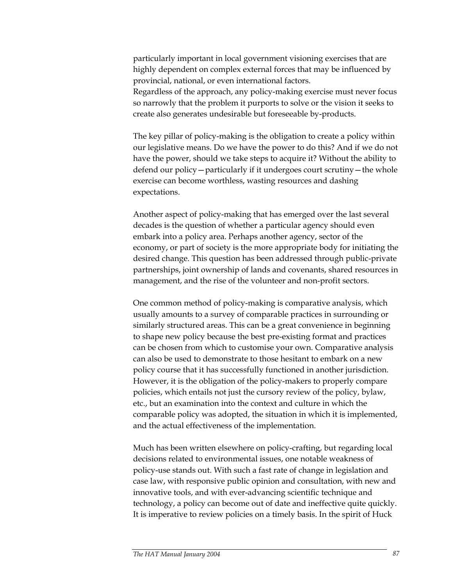particularly important in local government visioning exercises that are highly dependent on complex external forces that may be influenced by provincial, national, or even international factors.

Regardless of the approach, any policy-making exercise must never focus so narrowly that the problem it purports to solve or the vision it seeks to create also generates undesirable but foreseeable by-products.

The key pillar of policy-making is the obligation to create a policy within our legislative means. Do we have the power to do this? And if we do not have the power, should we take steps to acquire it? Without the ability to defend our policy—particularly if it undergoes court scrutiny—the whole exercise can become worthless, wasting resources and dashing expectations.

Another aspect of policy-making that has emerged over the last several decades is the question of whether a particular agency should even embark into a policy area. Perhaps another agency, sector of the economy, or part of society is the more appropriate body for initiating the desired change. This question has been addressed through public-private partnerships, joint ownership of lands and covenants, shared resources in management, and the rise of the volunteer and non-profit sectors.

One common method of policy-making is comparative analysis, which usually amounts to a survey of comparable practices in surrounding or similarly structured areas. This can be a great convenience in beginning to shape new policy because the best pre-existing format and practices can be chosen from which to customise your own. Comparative analysis can also be used to demonstrate to those hesitant to embark on a new policy course that it has successfully functioned in another jurisdiction. However, it is the obligation of the policy-makers to properly compare policies, which entails not just the cursory review of the policy, bylaw, etc., but an examination into the context and culture in which the comparable policy was adopted, the situation in which it is implemented, and the actual effectiveness of the implementation.

Much has been written elsewhere on policy-crafting, but regarding local decisions related to environmental issues, one notable weakness of policy-use stands out. With such a fast rate of change in legislation and case law, with responsive public opinion and consultation, with new and innovative tools, and with ever-advancing scientific technique and technology, a policy can become out of date and ineffective quite quickly. It is imperative to review policies on a timely basis. In the spirit of Huck